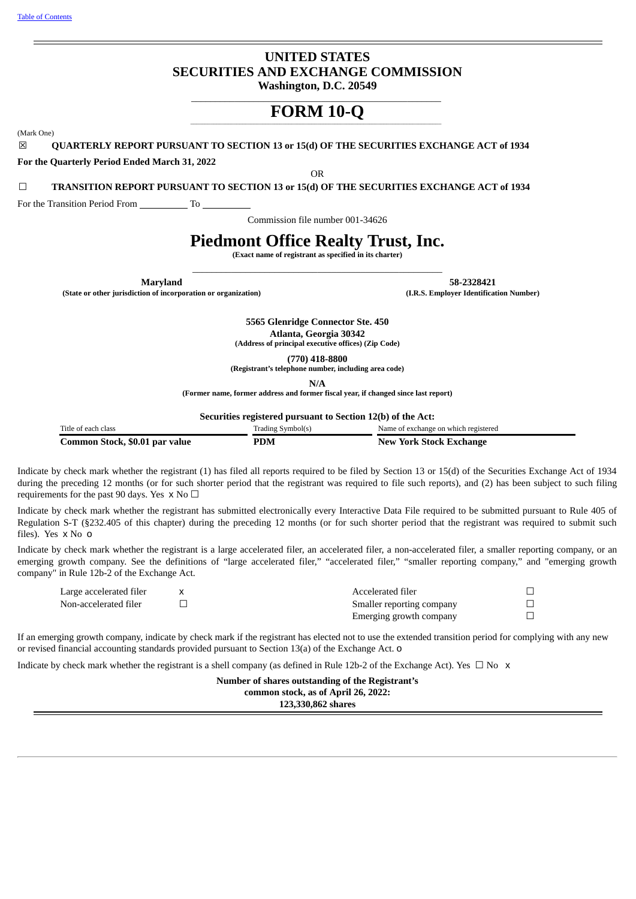# **UNITED STATES SECURITIES AND EXCHANGE COMMISSION**

**Washington, D.C. 20549** \_\_\_\_\_\_\_\_\_\_\_\_\_\_\_\_\_\_\_\_\_\_\_\_\_\_\_\_\_\_\_\_\_\_\_\_\_\_\_\_\_\_\_\_\_\_\_\_\_\_\_\_

# \_\_\_\_\_\_\_\_\_\_\_\_\_\_\_\_\_\_\_\_\_\_\_\_\_\_\_\_\_\_\_\_\_\_\_\_\_\_\_\_\_\_\_\_\_\_\_\_\_\_\_\_\_\_\_\_\_\_\_\_\_\_\_\_\_\_\_\_\_\_\_\_\_\_\_\_\_\_\_\_\_\_\_\_\_\_\_ **FORM 10-Q**

(Mark One)

☒ **QUARTERLY REPORT PURSUANT TO SECTION 13 or 15(d) OF THE SECURITIES EXCHANGE ACT of 1934**

**For the Quarterly Period Ended March 31, 2022**

OR

☐ **TRANSITION REPORT PURSUANT TO SECTION 13 or 15(d) OF THE SECURITIES EXCHANGE ACT of 1934**

For the Transition Period From To

Commission file number 001-34626

## **Piedmont Office Realty Trust, Inc.**

**(Exact name of registrant as specified in its charter)** \_\_\_\_\_\_\_\_\_\_\_\_\_\_\_\_\_\_\_\_\_\_\_\_\_\_\_\_\_\_\_\_\_\_\_\_\_\_\_\_\_\_\_\_\_\_\_\_\_\_\_\_

**(State or other jurisdiction of incorporation or organization) (I.R.S. Employer Identification Number)**

**Maryland 58-2328421**

**5565 Glenridge Connector Ste. 450 Atlanta, Georgia 30342 (Address of principal executive offices) (Zip Code)**

**(770) 418-8800**

**(Registrant's telephone number, including area code)**

**N/A**

**(Former name, former address and former fiscal year, if changed since last report)**

**Securities registered pursuant to Section 12(b) of the Act:**

| Title of each class            | Trading Symbol(s) | Name of exchange on which registered |
|--------------------------------|-------------------|--------------------------------------|
| Common Stock, \$0.01 par value | PDM               | New York Stock Exchange              |

Indicate by check mark whether the registrant (1) has filed all reports required to be filed by Section 13 or 15(d) of the Securities Exchange Act of 1934 during the preceding 12 months (or for such shorter period that the registrant was required to file such reports), and (2) has been subject to such filing requirements for the past 90 days. Yes  $x \text{ No } \Box$ 

Indicate by check mark whether the registrant has submitted electronically every Interactive Data File required to be submitted pursuant to Rule 405 of Regulation S-T (§232.405 of this chapter) during the preceding 12 months (or for such shorter period that the registrant was required to submit such files). Yes x No o

Indicate by check mark whether the registrant is a large accelerated filer, an accelerated filer, a non-accelerated filer, a smaller reporting company, or an emerging growth company. See the definitions of "large accelerated filer," "accelerated filer," "smaller reporting company," and "emerging growth company" in Rule 12b-2 of the Exchange Act.

| Large accelerated filer | Accelerated filer         |  |
|-------------------------|---------------------------|--|
| Non-accelerated filer   | Smaller reporting company |  |
|                         | Emerging growth company   |  |

If an emerging growth company, indicate by check mark if the registrant has elected not to use the extended transition period for complying with any new or revised financial accounting standards provided pursuant to Section 13(a) of the Exchange Act. o

<span id="page-0-0"></span>Indicate by check mark whether the registrant is a shell company (as defined in Rule 12b-2 of the Exchange Act). Yes  $\Box$  No  $\times$ 

**Number of shares outstanding of the Registrant's common stock, as of April 26, 2022: 123,330,862 shares**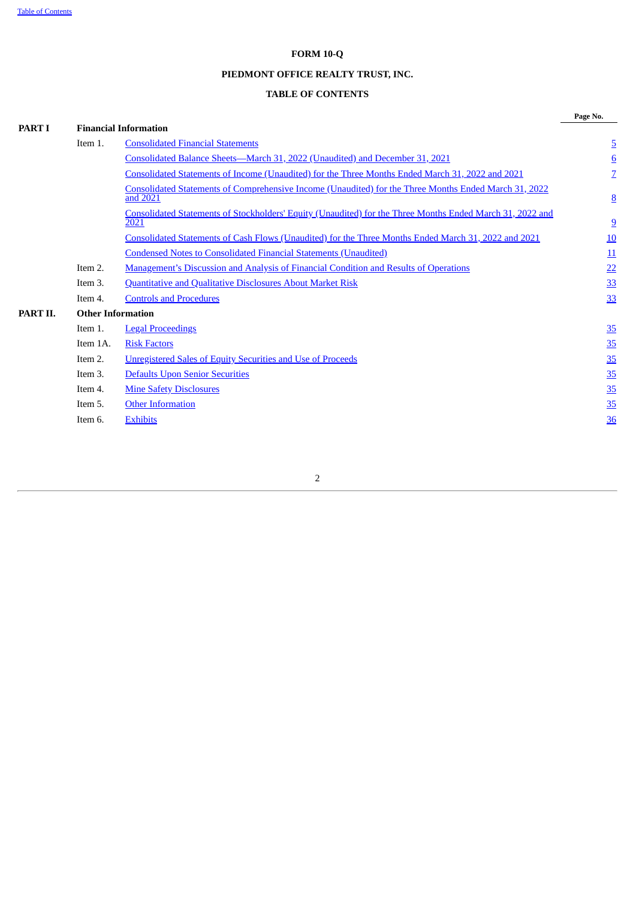## **FORM 10-Q**

## **PIEDMONT OFFICE REALTY TRUST, INC.**

## **TABLE OF CONTENTS**

|          |                          |                                                                                                                          | Page No.        |
|----------|--------------------------|--------------------------------------------------------------------------------------------------------------------------|-----------------|
| PART I   |                          | <b>Financial Information</b>                                                                                             |                 |
|          | Item 1.                  | <b>Consolidated Financial Statements</b>                                                                                 | $\overline{5}$  |
|          |                          | Consolidated Balance Sheets-March 31, 2022 (Unaudited) and December 31, 2021                                             | $6\overline{6}$ |
|          |                          | Consolidated Statements of Income (Unaudited) for the Three Months Ended March 31, 2022 and 2021                         | $\overline{Z}$  |
|          |                          | <b>Consolidated Statements of Comprehensive Income (Unaudited) for the Three Months Ended March 31, 2022</b><br>and 2021 | $\underline{8}$ |
|          |                          | Consolidated Statements of Stockholders' Equity (Unaudited) for the Three Months Ended March 31, 2022 and<br>2021        | $\overline{9}$  |
|          |                          | Consolidated Statements of Cash Flows (Unaudited) for the Three Months Ended March 31, 2022 and 2021                     | 10              |
|          |                          | <b>Condensed Notes to Consolidated Financial Statements (Unaudited)</b>                                                  | 11              |
|          | Item 2.                  | <b>Management's Discussion and Analysis of Financial Condition and Results of Operations</b>                             | 22              |
|          | Item 3.                  | <b>Quantitative and Qualitative Disclosures About Market Risk</b>                                                        | 33              |
|          | Item 4.                  | <b>Controls and Procedures</b>                                                                                           | <u>33</u>       |
| PART II. | <b>Other Information</b> |                                                                                                                          |                 |
|          | Item 1.                  | <b>Legal Proceedings</b>                                                                                                 | <u>35</u>       |
|          | Item 1A.                 | <b>Risk Factors</b>                                                                                                      | <u>35</u>       |
|          | Item 2.                  | <b>Unregistered Sales of Equity Securities and Use of Proceeds</b>                                                       | 35              |
|          | Item 3.                  | Defaults Upon Senior Securities                                                                                          | 35              |
|          | Item 4.                  | <b>Mine Safety Disclosures</b>                                                                                           | <u>35</u>       |
|          | Item 5.                  | <b>Other Information</b>                                                                                                 | <u>35</u>       |
|          | Item 6.                  | <b>Exhibits</b>                                                                                                          | 36              |
|          |                          |                                                                                                                          |                 |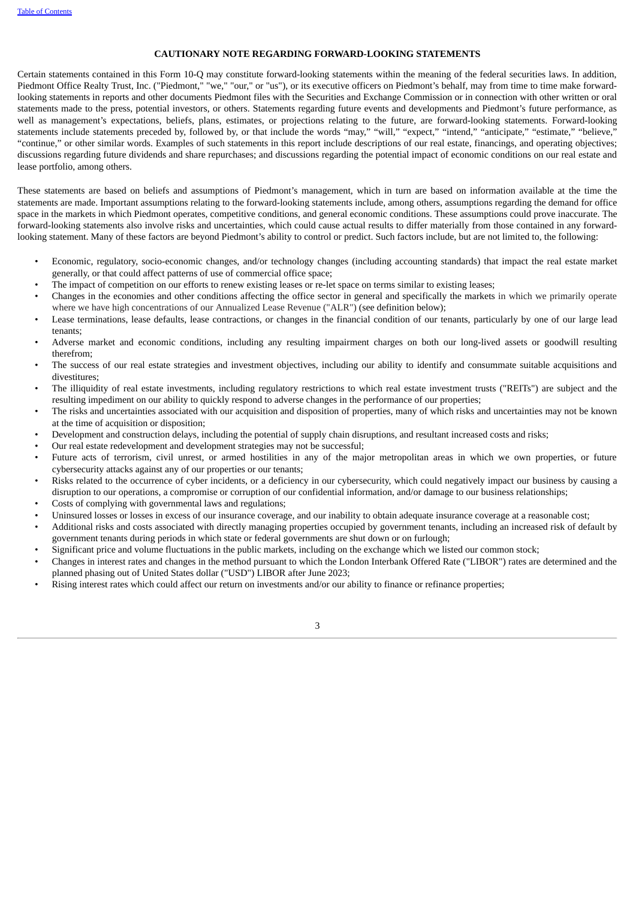#### **CAUTIONARY NOTE REGARDING FORWARD-LOOKING STATEMENTS**

Certain statements contained in this Form 10-Q may constitute forward-looking statements within the meaning of the federal securities laws. In addition, Piedmont Office Realty Trust, Inc. ("Piedmont," "we," "our," or "us"), or its executive officers on Piedmont's behalf, may from time to time make forwardlooking statements in reports and other documents Piedmont files with the Securities and Exchange Commission or in connection with other written or oral statements made to the press, potential investors, or others. Statements regarding future events and developments and Piedmont's future performance, as well as management's expectations, beliefs, plans, estimates, or projections relating to the future, are forward-looking statements. Forward-looking statements include statements preceded by, followed by, or that include the words "may," "will," "expect," "intend," "anticipate," "estimate," "believe," "continue," or other similar words. Examples of such statements in this report include descriptions of our real estate, financings, and operating objectives; discussions regarding future dividends and share repurchases; and discussions regarding the potential impact of economic conditions on our real estate and lease portfolio, among others.

These statements are based on beliefs and assumptions of Piedmont's management, which in turn are based on information available at the time the statements are made. Important assumptions relating to the forward-looking statements include, among others, assumptions regarding the demand for office space in the markets in which Piedmont operates, competitive conditions, and general economic conditions. These assumptions could prove inaccurate. The forward-looking statements also involve risks and uncertainties, which could cause actual results to differ materially from those contained in any forwardlooking statement. Many of these factors are beyond Piedmont's ability to control or predict. Such factors include, but are not limited to, the following:

- Economic, regulatory, socio-economic changes, and/or technology changes (including accounting standards) that impact the real estate market generally, or that could affect patterns of use of commercial office space;
- The impact of competition on our efforts to renew existing leases or re-let space on terms similar to existing leases;
- Changes in the economies and other conditions affecting the office sector in general and specifically the markets in which we primarily operate where we have high concentrations of our Annualized Lease Revenue ("ALR") (see definition below);
- Lease terminations, lease defaults, lease contractions, or changes in the financial condition of our tenants, particularly by one of our large lead tenants;
- Adverse market and economic conditions, including any resulting impairment charges on both our long-lived assets or goodwill resulting therefrom;
- The success of our real estate strategies and investment objectives, including our ability to identify and consummate suitable acquisitions and divestitures;
- The illiquidity of real estate investments, including regulatory restrictions to which real estate investment trusts ("REITs") are subject and the resulting impediment on our ability to quickly respond to adverse changes in the performance of our properties;
- The risks and uncertainties associated with our acquisition and disposition of properties, many of which risks and uncertainties may not be known at the time of acquisition or disposition;
- Development and construction delays, including the potential of supply chain disruptions, and resultant increased costs and risks;
- Our real estate redevelopment and development strategies may not be successful;
- Future acts of terrorism, civil unrest, or armed hostilities in any of the major metropolitan areas in which we own properties, or future cybersecurity attacks against any of our properties or our tenants;
- Risks related to the occurrence of cyber incidents, or a deficiency in our cybersecurity, which could negatively impact our business by causing a disruption to our operations, a compromise or corruption of our confidential information, and/or damage to our business relationships;
- Costs of complying with governmental laws and regulations;
- Uninsured losses or losses in excess of our insurance coverage, and our inability to obtain adequate insurance coverage at a reasonable cost;
- Additional risks and costs associated with directly managing properties occupied by government tenants, including an increased risk of default by government tenants during periods in which state or federal governments are shut down or on furlough;
- Significant price and volume fluctuations in the public markets, including on the exchange which we listed our common stock;
- Changes in interest rates and changes in the method pursuant to which the London Interbank Offered Rate ("LIBOR") rates are determined and the planned phasing out of United States dollar ("USD") LIBOR after June 2023;
- Rising interest rates which could affect our return on investments and/or our ability to finance or refinance properties;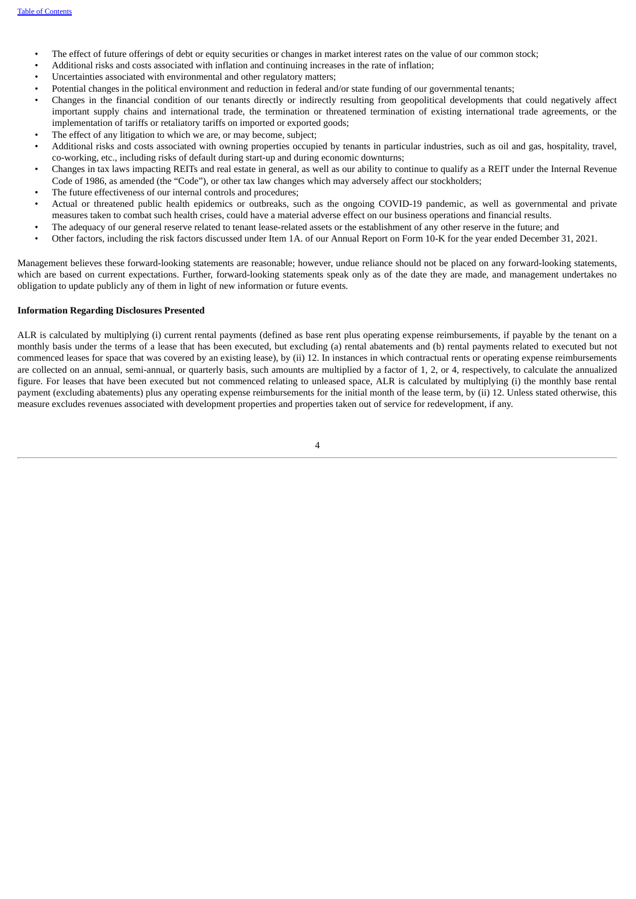- The effect of future offerings of debt or equity securities or changes in market interest rates on the value of our common stock;
- Additional risks and costs associated with inflation and continuing increases in the rate of inflation;
- Uncertainties associated with environmental and other regulatory matters;
- Potential changes in the political environment and reduction in federal and/or state funding of our governmental tenants;
- Changes in the financial condition of our tenants directly or indirectly resulting from geopolitical developments that could negatively affect important supply chains and international trade, the termination or threatened termination of existing international trade agreements, or the implementation of tariffs or retaliatory tariffs on imported or exported goods;
- The effect of any litigation to which we are, or may become, subject;
- Additional risks and costs associated with owning properties occupied by tenants in particular industries, such as oil and gas, hospitality, travel, co-working, etc., including risks of default during start-up and during economic downturns;
- Changes in tax laws impacting REITs and real estate in general, as well as our ability to continue to qualify as a REIT under the Internal Revenue Code of 1986, as amended (the "Code"), or other tax law changes which may adversely affect our stockholders;
- The future effectiveness of our internal controls and procedures;
- Actual or threatened public health epidemics or outbreaks, such as the ongoing COVID-19 pandemic, as well as governmental and private measures taken to combat such health crises, could have a material adverse effect on our business operations and financial results.
- The adequacy of our general reserve related to tenant lease-related assets or the establishment of any other reserve in the future; and
- Other factors, including the risk factors discussed under Item 1A. of our Annual Report on Form 10-K for the year ended December 31, 2021.

Management believes these forward-looking statements are reasonable; however, undue reliance should not be placed on any forward-looking statements, which are based on current expectations. Further, forward-looking statements speak only as of the date they are made, and management undertakes no obligation to update publicly any of them in light of new information or future events.

#### **Information Regarding Disclosures Presented**

ALR is calculated by multiplying (i) current rental payments (defined as base rent plus operating expense reimbursements, if payable by the tenant on a monthly basis under the terms of a lease that has been executed, but excluding (a) rental abatements and (b) rental payments related to executed but not commenced leases for space that was covered by an existing lease), by (ii) 12. In instances in which contractual rents or operating expense reimbursements are collected on an annual, semi-annual, or quarterly basis, such amounts are multiplied by a factor of 1, 2, or 4, respectively, to calculate the annualized figure. For leases that have been executed but not commenced relating to unleased space, ALR is calculated by multiplying (i) the monthly base rental payment (excluding abatements) plus any operating expense reimbursements for the initial month of the lease term, by (ii) 12. Unless stated otherwise, this measure excludes revenues associated with development properties and properties taken out of service for redevelopment, if any.

 $\overline{A}$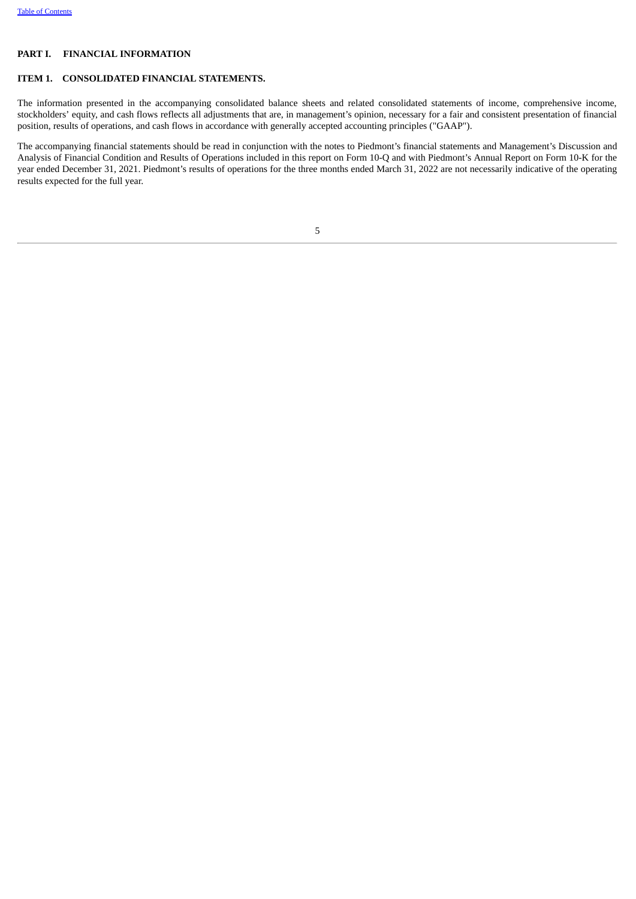#### **PART I. FINANCIAL INFORMATION**

#### <span id="page-4-0"></span>**ITEM 1. CONSOLIDATED FINANCIAL STATEMENTS.**

The information presented in the accompanying consolidated balance sheets and related consolidated statements of income, comprehensive income, stockholders' equity, and cash flows reflects all adjustments that are, in management's opinion, necessary for a fair and consistent presentation of financial position, results of operations, and cash flows in accordance with generally accepted accounting principles ("GAAP").

<span id="page-4-1"></span>The accompanying financial statements should be read in conjunction with the notes to Piedmont's financial statements and Management's Discussion and Analysis of Financial Condition and Results of Operations included in this report on Form 10-Q and with Piedmont's Annual Report on Form 10-K for the year ended December 31, 2021. Piedmont's results of operations for the three months ended March 31, 2022 are not necessarily indicative of the operating results expected for the full year.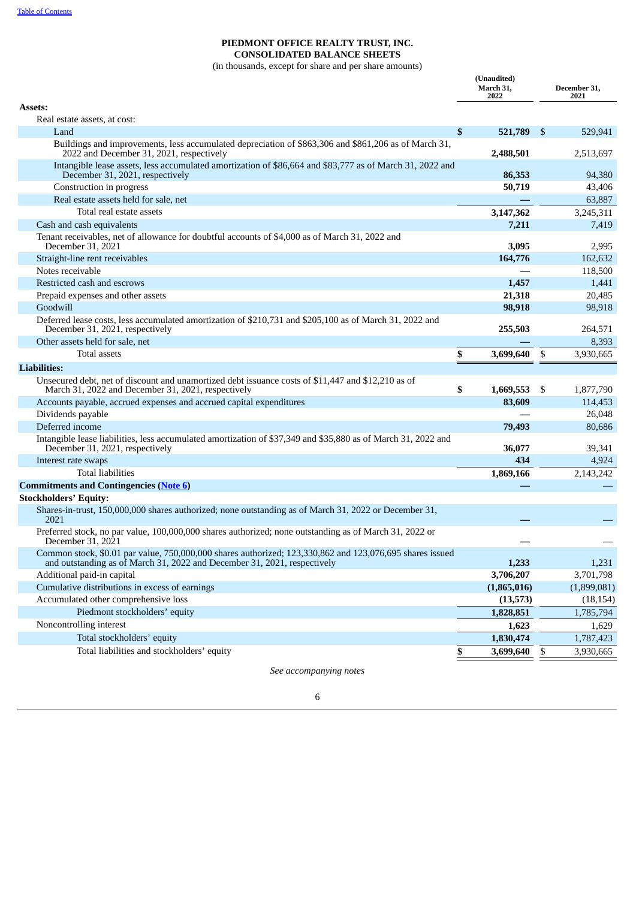## **PIEDMONT OFFICE REALTY TRUST, INC. CONSOLIDATED BALANCE SHEETS**

(in thousands, except for share and per share amounts)

| Assets:<br>Real estate assets, at cost:<br>\$<br>521,789<br>Land<br>\$<br>Buildings and improvements, less accumulated depreciation of \$863,306 and \$861,206 as of March 31,<br>2022 and December 31, 2021, respectively<br>2,488,501<br>Intangible lease assets, less accumulated amortization of \$86,664 and \$83,777 as of March 31, 2022 and<br>December 31, 2021, respectively<br>86,353<br>50,719<br>Construction in progress<br>Real estate assets held for sale, net | 529,941<br>2,513,697<br>94,380<br>43,406<br>63,887<br>3,245,311<br>7,419<br>2,995<br>162,632<br>118,500 |
|---------------------------------------------------------------------------------------------------------------------------------------------------------------------------------------------------------------------------------------------------------------------------------------------------------------------------------------------------------------------------------------------------------------------------------------------------------------------------------|---------------------------------------------------------------------------------------------------------|
|                                                                                                                                                                                                                                                                                                                                                                                                                                                                                 |                                                                                                         |
|                                                                                                                                                                                                                                                                                                                                                                                                                                                                                 |                                                                                                         |
|                                                                                                                                                                                                                                                                                                                                                                                                                                                                                 |                                                                                                         |
|                                                                                                                                                                                                                                                                                                                                                                                                                                                                                 |                                                                                                         |
|                                                                                                                                                                                                                                                                                                                                                                                                                                                                                 |                                                                                                         |
|                                                                                                                                                                                                                                                                                                                                                                                                                                                                                 |                                                                                                         |
|                                                                                                                                                                                                                                                                                                                                                                                                                                                                                 |                                                                                                         |
| Total real estate assets<br>3,147,362                                                                                                                                                                                                                                                                                                                                                                                                                                           |                                                                                                         |
| Cash and cash equivalents<br>7,211                                                                                                                                                                                                                                                                                                                                                                                                                                              |                                                                                                         |
| Tenant receivables, net of allowance for doubtful accounts of \$4,000 as of March 31, 2022 and<br>December 31, 2021<br>3,095                                                                                                                                                                                                                                                                                                                                                    |                                                                                                         |
| Straight-line rent receivables<br>164,776                                                                                                                                                                                                                                                                                                                                                                                                                                       |                                                                                                         |
| Notes receivable                                                                                                                                                                                                                                                                                                                                                                                                                                                                |                                                                                                         |
| Restricted cash and escrows<br>1,457                                                                                                                                                                                                                                                                                                                                                                                                                                            | 1,441                                                                                                   |
| Prepaid expenses and other assets<br>21,318                                                                                                                                                                                                                                                                                                                                                                                                                                     | 20,485                                                                                                  |
| Goodwill<br>98,918                                                                                                                                                                                                                                                                                                                                                                                                                                                              | 98,918                                                                                                  |
| Deferred lease costs, less accumulated amortization of \$210,731 and \$205,100 as of March 31, 2022 and<br>December 31, 2021, respectively<br>255,503                                                                                                                                                                                                                                                                                                                           | 264,571                                                                                                 |
| Other assets held for sale, net                                                                                                                                                                                                                                                                                                                                                                                                                                                 | 8,393                                                                                                   |
| <b>Total assets</b><br>\$<br>\$<br>3,699,640                                                                                                                                                                                                                                                                                                                                                                                                                                    | 3,930,665                                                                                               |
| <b>Liabilities:</b>                                                                                                                                                                                                                                                                                                                                                                                                                                                             |                                                                                                         |
| Unsecured debt, net of discount and unamortized debt issuance costs of \$11,447 and \$12,210 as of<br>\$<br>March 31, 2022 and December 31, 2021, respectively<br>1,669,553<br>\$                                                                                                                                                                                                                                                                                               | 1,877,790                                                                                               |
| Accounts payable, accrued expenses and accrued capital expenditures<br>83,609                                                                                                                                                                                                                                                                                                                                                                                                   | 114,453                                                                                                 |
| Dividends payable                                                                                                                                                                                                                                                                                                                                                                                                                                                               | 26,048                                                                                                  |
| Deferred income<br>79,493                                                                                                                                                                                                                                                                                                                                                                                                                                                       | 80,686                                                                                                  |
| Intangible lease liabilities, less accumulated amortization of \$37,349 and \$35,880 as of March 31, 2022 and<br>December 31, 2021, respectively<br>36,077                                                                                                                                                                                                                                                                                                                      | 39,341                                                                                                  |
| 434<br>Interest rate swaps                                                                                                                                                                                                                                                                                                                                                                                                                                                      | 4,924                                                                                                   |
| <b>Total liabilities</b><br>1,869,166                                                                                                                                                                                                                                                                                                                                                                                                                                           | 2,143,242                                                                                               |
| <b>Commitments and Contingencies (Note 6)</b>                                                                                                                                                                                                                                                                                                                                                                                                                                   |                                                                                                         |
| <b>Stockholders' Equity:</b>                                                                                                                                                                                                                                                                                                                                                                                                                                                    |                                                                                                         |
| Shares-in-trust, 150,000,000 shares authorized; none outstanding as of March 31, 2022 or December 31,<br>2021                                                                                                                                                                                                                                                                                                                                                                   |                                                                                                         |
| Preferred stock, no par value, 100,000,000 shares authorized; none outstanding as of March 31, 2022 or<br>December 31, 2021                                                                                                                                                                                                                                                                                                                                                     |                                                                                                         |
| Common stock, \$0.01 par value, 750,000,000 shares authorized; 123,330,862 and 123,076,695 shares issued<br>and outstanding as of March 31, 2022 and December 31, 2021, respectively<br>1,233                                                                                                                                                                                                                                                                                   | 1,231                                                                                                   |
| 3,706,207<br>Additional paid-in capital                                                                                                                                                                                                                                                                                                                                                                                                                                         | 3,701,798                                                                                               |
| Cumulative distributions in excess of earnings<br>(1,865,016)                                                                                                                                                                                                                                                                                                                                                                                                                   | (1,899,081)                                                                                             |
| Accumulated other comprehensive loss<br>(13,573)                                                                                                                                                                                                                                                                                                                                                                                                                                | (18, 154)                                                                                               |
| Piedmont stockholders' equity<br>1,828,851                                                                                                                                                                                                                                                                                                                                                                                                                                      | 1,785,794                                                                                               |
| Noncontrolling interest<br>1,623                                                                                                                                                                                                                                                                                                                                                                                                                                                | 1,629                                                                                                   |
| Total stockholders' equity<br>1,830,474                                                                                                                                                                                                                                                                                                                                                                                                                                         | 1,787,423                                                                                               |
| Total liabilities and stockholders' equity<br>\$<br>3,699,640<br>\$                                                                                                                                                                                                                                                                                                                                                                                                             | 3,930,665                                                                                               |

<span id="page-5-0"></span>*See accompanying notes*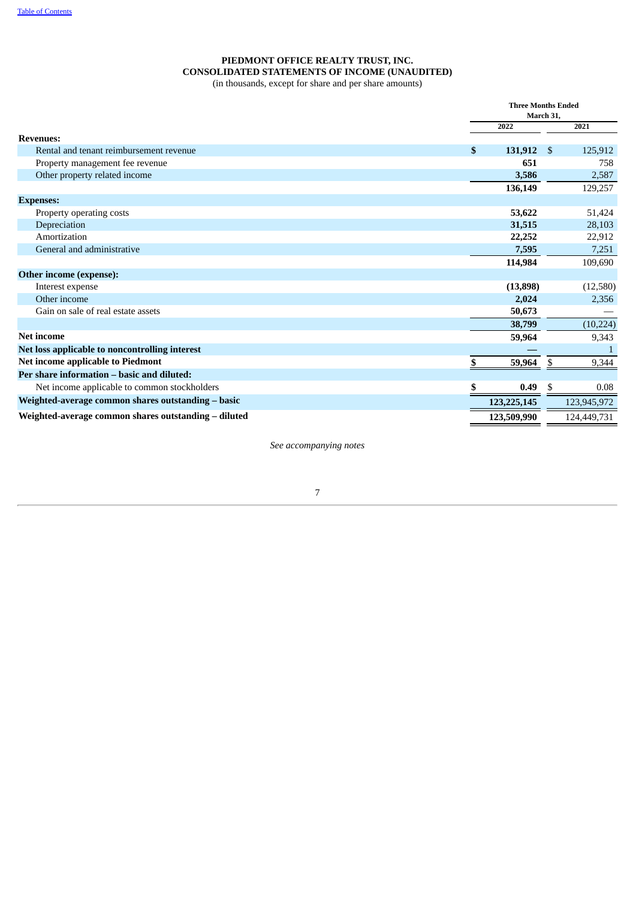## **PIEDMONT OFFICE REALTY TRUST, INC. CONSOLIDATED STATEMENTS OF INCOME (UNAUDITED)**

(in thousands, except for share and per share amounts)

|                                                      | <b>Three Months Ended</b><br>March 31. |                |             |  |  |
|------------------------------------------------------|----------------------------------------|----------------|-------------|--|--|
|                                                      | 2022                                   |                | 2021        |  |  |
| <b>Revenues:</b>                                     |                                        |                |             |  |  |
| Rental and tenant reimbursement revenue              | \$<br>131,912                          | $\mathfrak{S}$ | 125,912     |  |  |
| Property management fee revenue                      | 651                                    |                | 758         |  |  |
| Other property related income                        | 3,586                                  |                | 2,587       |  |  |
|                                                      | 136,149                                |                | 129,257     |  |  |
| <b>Expenses:</b>                                     |                                        |                |             |  |  |
| Property operating costs                             | 53,622                                 |                | 51,424      |  |  |
| Depreciation                                         | 31,515                                 |                | 28,103      |  |  |
| Amortization                                         | 22,252                                 |                | 22,912      |  |  |
| General and administrative                           | 7,595                                  |                | 7,251       |  |  |
|                                                      | 114,984                                |                | 109,690     |  |  |
| Other income (expense):                              |                                        |                |             |  |  |
| Interest expense                                     | (13,898)                               |                | (12,580)    |  |  |
| Other income                                         | 2,024                                  |                | 2,356       |  |  |
| Gain on sale of real estate assets                   | 50,673                                 |                |             |  |  |
|                                                      | 38,799                                 |                | (10, 224)   |  |  |
| <b>Net income</b>                                    | 59,964                                 |                | 9,343       |  |  |
| Net loss applicable to noncontrolling interest       |                                        |                |             |  |  |
| Net income applicable to Piedmont                    | 59,964                                 | \$             | 9,344       |  |  |
| Per share information - basic and diluted:           |                                        |                |             |  |  |
| Net income applicable to common stockholders         | \$<br>0.49                             | \$             | 0.08        |  |  |
| Weighted-average common shares outstanding - basic   | 123, 225, 145                          |                | 123,945,972 |  |  |
| Weighted-average common shares outstanding - diluted | 123,509,990                            |                | 124,449,731 |  |  |

<span id="page-6-0"></span>*See accompanying notes*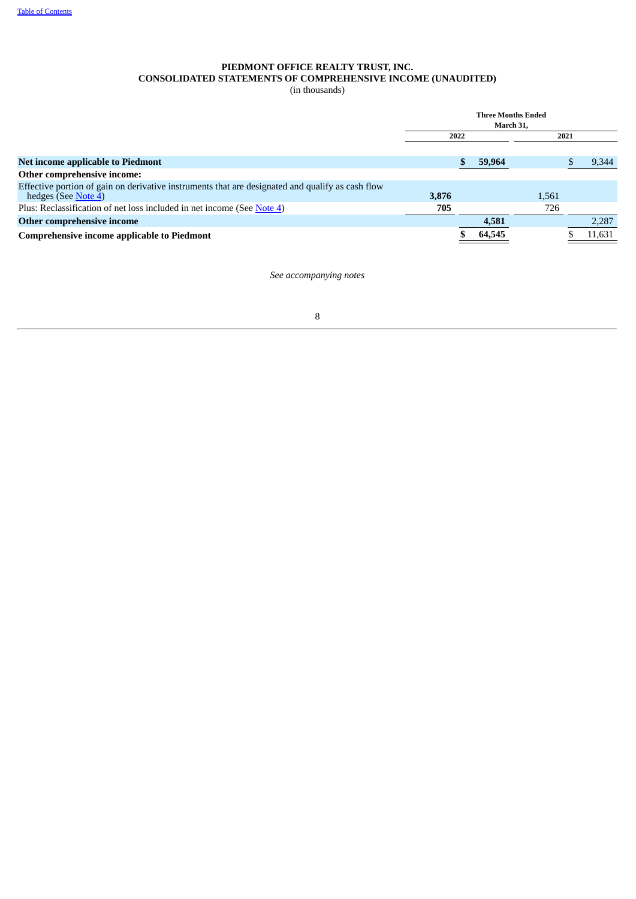## **PIEDMONT OFFICE REALTY TRUST, INC. CONSOLIDATED STATEMENTS OF COMPREHENSIVE INCOME (UNAUDITED)**

(in thousands)

<span id="page-7-0"></span>

|                                                                                                                         | <b>Three Months Ended</b><br>March 31. |  |        |       |      |        |
|-------------------------------------------------------------------------------------------------------------------------|----------------------------------------|--|--------|-------|------|--------|
|                                                                                                                         | 2022                                   |  |        |       | 2021 |        |
| Net income applicable to Piedmont                                                                                       |                                        |  | 59,964 |       |      | 9,344  |
| Other comprehensive income:                                                                                             |                                        |  |        |       |      |        |
| Effective portion of gain on derivative instruments that are designated and qualify as cash flow<br>hedges (See Note 4) | 3.876                                  |  |        | 1.561 |      |        |
| Plus: Reclassification of net loss included in net income (See Note 4)                                                  | 705                                    |  |        | 726   |      |        |
| Other comprehensive income                                                                                              |                                        |  | 4,581  |       |      | 2,287  |
| <b>Comprehensive income applicable to Piedmont</b>                                                                      |                                        |  | 64,545 |       |      | 11,631 |

*See accompanying notes*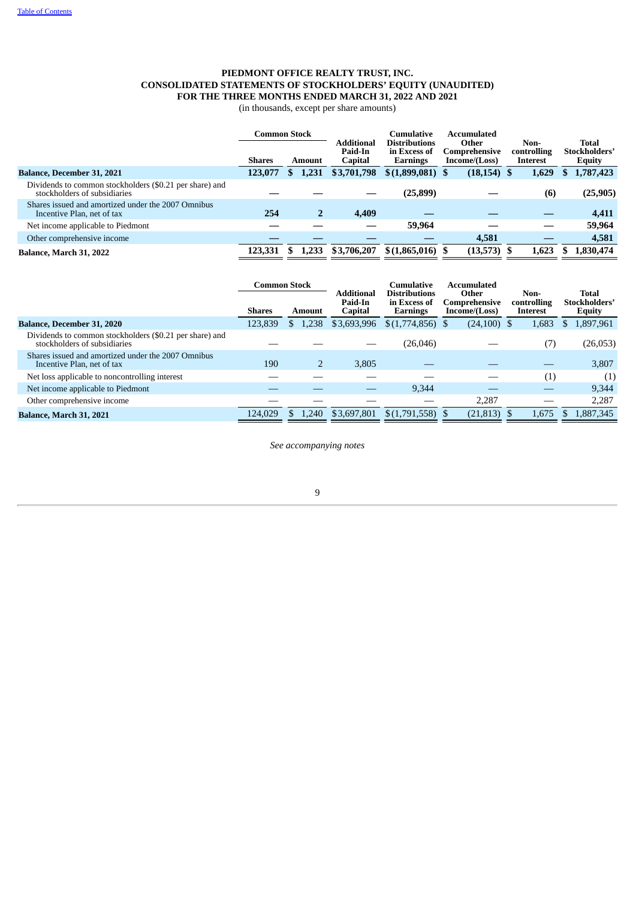## **PIEDMONT OFFICE REALTY TRUST, INC. CONSOLIDATED STATEMENTS OF STOCKHOLDERS' EQUITY (UNAUDITED) FOR THE THREE MONTHS ENDED MARCH 31, 2022 AND 2021**

(in thousands, except per share amounts)

|                                                                                         | <b>Common Stock</b> |        | Cumulative | Accumulated        |                                                                       |  |           |       |                                |                                        |  |                                         |
|-----------------------------------------------------------------------------------------|---------------------|--------|------------|--------------------|-----------------------------------------------------------------------|--|-----------|-------|--------------------------------|----------------------------------------|--|-----------------------------------------|
|                                                                                         | <b>Shares</b>       | Amount |            | Paid-In<br>Capital | <b>Distributions</b><br><b>Additional</b><br>in Excess of<br>Earnings |  | Other     |       | Comprehensive<br>Income/(Loss) | Non-<br>controlling<br><b>Interest</b> |  | <b>Total</b><br>Stockholders'<br>Equity |
| <b>Balance, December 31, 2021</b>                                                       | 123,077             | S.     | 1,231      | \$3,701,798        | $$(1,899,081)$ \$                                                     |  | (18, 154) | 1,629 | ж                              | 1,787,423                              |  |                                         |
| Dividends to common stockholders (\$0.21 per share) and<br>stockholders of subsidiaries |                     |        |            |                    | (25, 899)                                                             |  |           | (6)   |                                | (25, 905)                              |  |                                         |
| Shares issued and amortized under the 2007 Omnibus<br>Incentive Plan, net of tax        | 254                 |        |            | 4,409              |                                                                       |  |           |       |                                | 4,411                                  |  |                                         |
| Net income applicable to Piedmont                                                       |                     |        |            |                    | 59,964                                                                |  |           |       |                                | 59,964                                 |  |                                         |
| Other comprehensive income                                                              |                     |        |            |                    |                                                                       |  | 4,581     |       |                                | 4,581                                  |  |                                         |
| Balance, March 31, 2022                                                                 | 123,331             |        | 1,233      | \$3,706,207        | $$(1,865,016)$ \$                                                     |  | (13,573)  | 1.623 |                                | 1,830,474                              |  |                                         |

<span id="page-8-0"></span>

|                                                                                         | <b>Common Stock</b> |     | <b>Additional</b> | Cumulative<br><b>Distributions</b> |                          | Accumulated<br>Other |                                | Non- | <b>Total</b>            |                                |
|-----------------------------------------------------------------------------------------|---------------------|-----|-------------------|------------------------------------|--------------------------|----------------------|--------------------------------|------|-------------------------|--------------------------------|
|                                                                                         | <b>Shares</b>       |     | Amount            | Paid-In<br>Capital                 | in Excess of<br>Earnings |                      | Comprehensive<br>Income/(Loss) |      | controlling<br>Interest | Stockholders'<br><b>Equity</b> |
| <b>Balance, December 31, 2020</b>                                                       | 123,839             | S   | 1,238             | \$3,693,996                        | $$(1,774,856)$ \,        |                      | $(24,100)$ \$                  |      | 1,683                   | 1,897,961                      |
| Dividends to common stockholders (\$0.21 per share) and<br>stockholders of subsidiaries |                     |     |                   |                                    | (26, 046)                |                      |                                |      | (7)                     | (26, 053)                      |
| Shares issued and amortized under the 2007 Omnibus<br>Incentive Plan, net of tax        | 190                 |     |                   | 3,805                              |                          |                      |                                |      |                         | 3,807                          |
| Net loss applicable to noncontrolling interest                                          |                     |     |                   |                                    |                          |                      |                                |      | (1)                     | (1)                            |
| Net income applicable to Piedmont                                                       |                     |     |                   |                                    | 9,344                    |                      |                                |      |                         | 9,344                          |
| Other comprehensive income                                                              |                     |     |                   |                                    |                          |                      | 2,287                          |      |                         | 2,287                          |
| <b>Balance, March 31, 2021</b>                                                          | 124,029             | \$. | 1.240             | \$3,697,801                        | $$(1,791,558)$ \$        |                      | $(21,813)$ \$                  |      | 1.675                   | 1,887,345                      |
|                                                                                         |                     |     |                   |                                    |                          |                      |                                |      |                         |                                |

*See accompanying notes*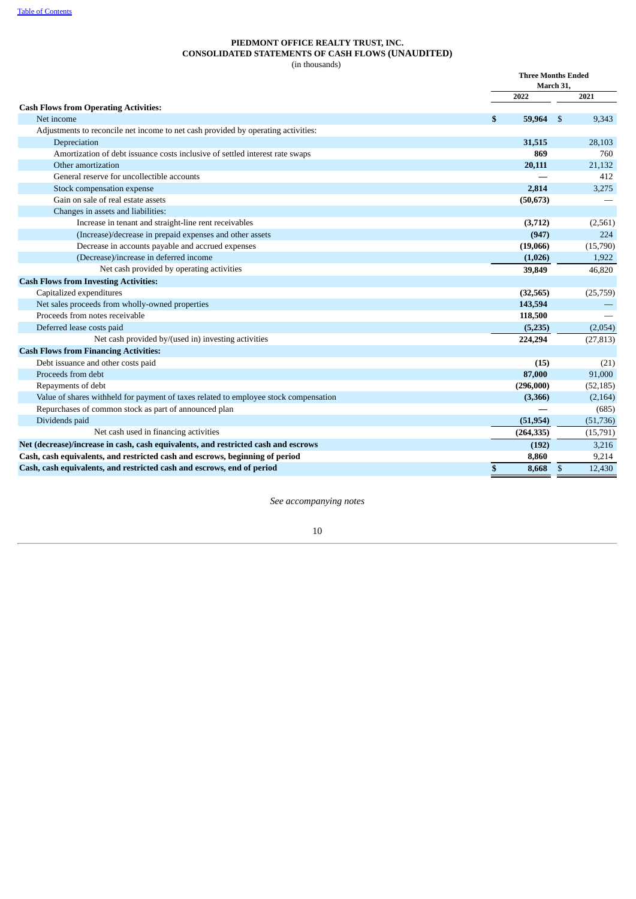#### **PIEDMONT OFFICE REALTY TRUST, INC. CONSOLIDATED STATEMENTS OF CASH FLOWS (UNAUDITED)** (in thousands)

|                                                                                      | <b>Three Months Ended</b><br>March 31, |            |                |           |
|--------------------------------------------------------------------------------------|----------------------------------------|------------|----------------|-----------|
|                                                                                      |                                        | 2022       |                | 2021      |
| <b>Cash Flows from Operating Activities:</b>                                         |                                        |            |                |           |
| Net income                                                                           | \$                                     | 59,964     | \$             | 9,343     |
| Adjustments to reconcile net income to net cash provided by operating activities:    |                                        |            |                |           |
| Depreciation                                                                         |                                        | 31,515     |                | 28,103    |
| Amortization of debt issuance costs inclusive of settled interest rate swaps         |                                        | 869        |                | 760       |
| Other amortization                                                                   |                                        | 20,111     |                | 21,132    |
| General reserve for uncollectible accounts                                           |                                        |            |                | 412       |
| Stock compensation expense                                                           |                                        | 2,814      |                | 3,275     |
| Gain on sale of real estate assets                                                   |                                        | (50, 673)  |                |           |
| Changes in assets and liabilities:                                                   |                                        |            |                |           |
| Increase in tenant and straight-line rent receivables                                |                                        | (3,712)    |                | (2,561)   |
| (Increase)/decrease in prepaid expenses and other assets                             |                                        | (947)      |                | 224       |
| Decrease in accounts payable and accrued expenses                                    |                                        | (19,066)   |                | (15,790)  |
| (Decrease)/increase in deferred income                                               |                                        | (1,026)    |                | 1,922     |
| Net cash provided by operating activities                                            |                                        | 39,849     |                | 46,820    |
| <b>Cash Flows from Investing Activities:</b>                                         |                                        |            |                |           |
| Capitalized expenditures                                                             |                                        | (32, 565)  |                | (25,759)  |
| Net sales proceeds from wholly-owned properties                                      |                                        | 143,594    |                |           |
| Proceeds from notes receivable                                                       |                                        | 118,500    |                |           |
| Deferred lease costs paid                                                            |                                        | (5,235)    |                | (2,054)   |
| Net cash provided by/(used in) investing activities                                  |                                        | 224,294    |                | (27, 813) |
| <b>Cash Flows from Financing Activities:</b>                                         |                                        |            |                |           |
| Debt issuance and other costs paid                                                   |                                        | (15)       |                | (21)      |
| Proceeds from debt                                                                   |                                        | 87,000     |                | 91,000    |
| Repayments of debt                                                                   |                                        | (296,000)  |                | (52, 185) |
| Value of shares withheld for payment of taxes related to employee stock compensation |                                        | (3,366)    |                | (2,164)   |
| Repurchases of common stock as part of announced plan                                |                                        |            |                | (685)     |
| Dividends paid                                                                       |                                        | (51, 954)  |                | (51, 736) |
| Net cash used in financing activities                                                |                                        | (264, 335) |                | (15,791)  |
| Net (decrease)/increase in cash, cash equivalents, and restricted cash and escrows   |                                        | (192)      |                | 3,216     |
| Cash, cash equivalents, and restricted cash and escrows, beginning of period         |                                        | 8,860      |                | 9,214     |
| Cash, cash equivalents, and restricted cash and escrows, end of period               | \$                                     | 8,668      | $\mathfrak{s}$ | 12,430    |

<span id="page-9-0"></span>*See accompanying notes*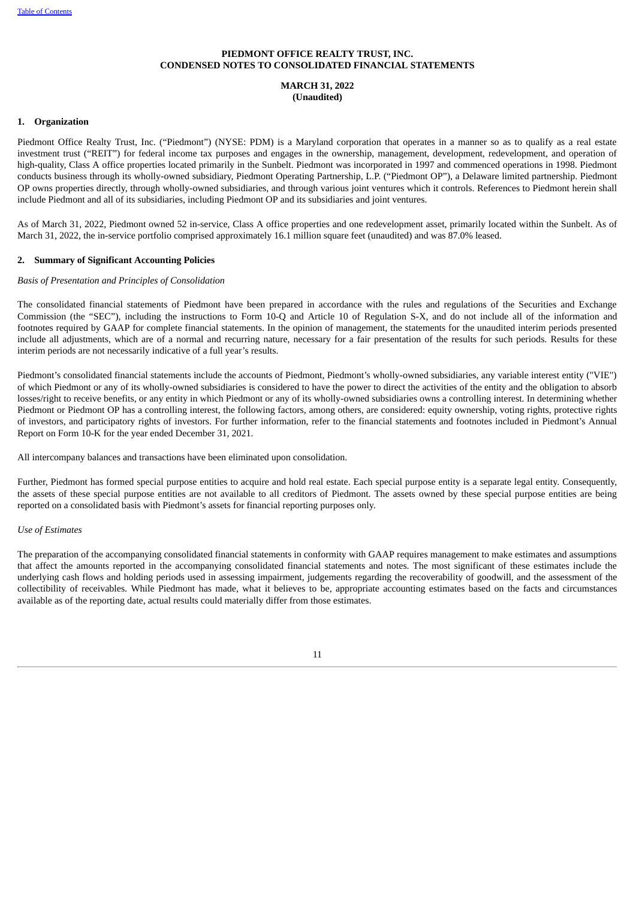#### **PIEDMONT OFFICE REALTY TRUST, INC. CONDENSED NOTES TO CONSOLIDATED FINANCIAL STATEMENTS**

#### **MARCH 31, 2022 (Unaudited)**

#### **1. Organization**

Piedmont Office Realty Trust, Inc. ("Piedmont") (NYSE: PDM) is a Maryland corporation that operates in a manner so as to qualify as a real estate investment trust ("REIT") for federal income tax purposes and engages in the ownership, management, development, redevelopment, and operation of high-quality, Class A office properties located primarily in the Sunbelt. Piedmont was incorporated in 1997 and commenced operations in 1998. Piedmont conducts business through its wholly-owned subsidiary, Piedmont Operating Partnership, L.P. ("Piedmont OP"), a Delaware limited partnership. Piedmont OP owns properties directly, through wholly-owned subsidiaries, and through various joint ventures which it controls. References to Piedmont herein shall include Piedmont and all of its subsidiaries, including Piedmont OP and its subsidiaries and joint ventures.

As of March 31, 2022, Piedmont owned 52 in-service, Class A office properties and one redevelopment asset, primarily located within the Sunbelt. As of March 31, 2022, the in-service portfolio comprised approximately 16.1 million square feet (unaudited) and was 87.0% leased.

#### **2. Summary of Significant Accounting Policies**

#### *Basis of Presentation and Principles of Consolidation*

The consolidated financial statements of Piedmont have been prepared in accordance with the rules and regulations of the Securities and Exchange Commission (the "SEC"), including the instructions to Form 10-Q and Article 10 of Regulation S-X, and do not include all of the information and footnotes required by GAAP for complete financial statements. In the opinion of management, the statements for the unaudited interim periods presented include all adjustments, which are of a normal and recurring nature, necessary for a fair presentation of the results for such periods. Results for these interim periods are not necessarily indicative of a full year's results.

Piedmont's consolidated financial statements include the accounts of Piedmont, Piedmont's wholly-owned subsidiaries, any variable interest entity ("VIE") of which Piedmont or any of its wholly-owned subsidiaries is considered to have the power to direct the activities of the entity and the obligation to absorb losses/right to receive benefits, or any entity in which Piedmont or any of its wholly-owned subsidiaries owns a controlling interest. In determining whether Piedmont or Piedmont OP has a controlling interest, the following factors, among others, are considered: equity ownership, voting rights, protective rights of investors, and participatory rights of investors. For further information, refer to the financial statements and footnotes included in Piedmont's Annual Report on Form 10-K for the year ended December 31, 2021.

All intercompany balances and transactions have been eliminated upon consolidation.

Further, Piedmont has formed special purpose entities to acquire and hold real estate. Each special purpose entity is a separate legal entity. Consequently, the assets of these special purpose entities are not available to all creditors of Piedmont. The assets owned by these special purpose entities are being reported on a consolidated basis with Piedmont's assets for financial reporting purposes only.

#### *Use of Estimates*

The preparation of the accompanying consolidated financial statements in conformity with GAAP requires management to make estimates and assumptions that affect the amounts reported in the accompanying consolidated financial statements and notes. The most significant of these estimates include the underlying cash flows and holding periods used in assessing impairment, judgements regarding the recoverability of goodwill, and the assessment of the collectibility of receivables. While Piedmont has made, what it believes to be, appropriate accounting estimates based on the facts and circumstances available as of the reporting date, actual results could materially differ from those estimates.

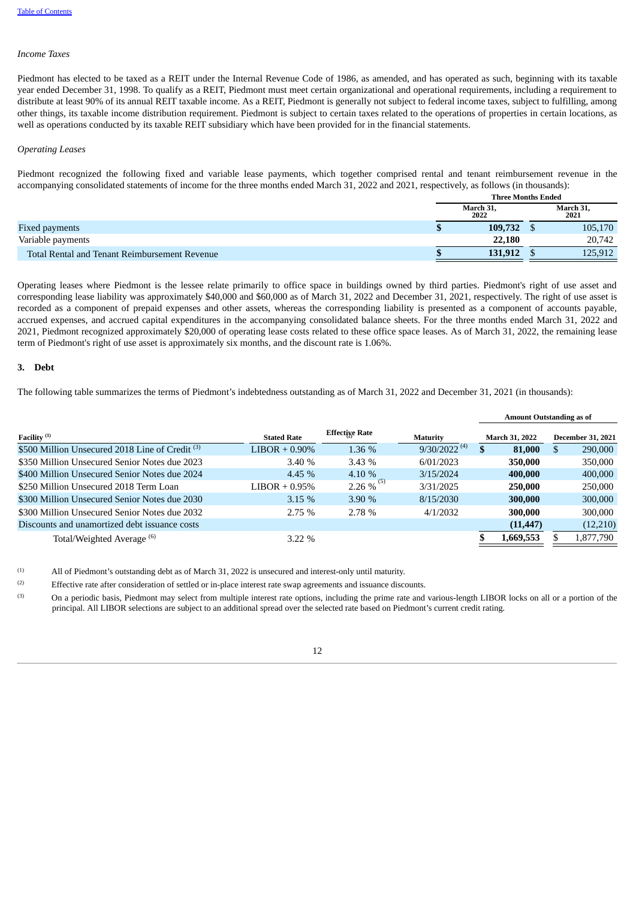#### *Income Taxes*

Piedmont has elected to be taxed as a REIT under the Internal Revenue Code of 1986, as amended, and has operated as such, beginning with its taxable year ended December 31, 1998. To qualify as a REIT, Piedmont must meet certain organizational and operational requirements, including a requirement to distribute at least 90% of its annual REIT taxable income. As a REIT, Piedmont is generally not subject to federal income taxes, subject to fulfilling, among other things, its taxable income distribution requirement. Piedmont is subject to certain taxes related to the operations of properties in certain locations, as well as operations conducted by its taxable REIT subsidiary which have been provided for in the financial statements.

#### *Operating Leases*

Piedmont recognized the following fixed and variable lease payments, which together comprised rental and tenant reimbursement revenue in the accompanying consolidated statements of income for the three months ended March 31, 2022 and 2021, respectively, as follows (in thousands):

|                                               | <b>Three Months Ended</b> |                   |  |                   |  |
|-----------------------------------------------|---------------------------|-------------------|--|-------------------|--|
|                                               |                           | March 31,<br>2022 |  | March 31,<br>2021 |  |
| <b>Fixed payments</b>                         |                           | 109,732           |  | 105,170           |  |
| Variable payments                             |                           | 22,180            |  | 20,742            |  |
| Total Rental and Tenant Reimbursement Revenue |                           | 131,912           |  | 125,912           |  |

Operating leases where Piedmont is the lessee relate primarily to office space in buildings owned by third parties. Piedmont's right of use asset and corresponding lease liability was approximately \$40,000 and \$60,000 as of March 31, 2022 and December 31, 2021, respectively. The right of use asset is recorded as a component of prepaid expenses and other assets, whereas the corresponding liability is presented as a component of accounts payable, accrued expenses, and accrued capital expenditures in the accompanying consolidated balance sheets. For the three months ended March 31, 2022 and 2021, Piedmont recognized approximately \$20,000 of operating lease costs related to these office space leases. As of March 31, 2022, the remaining lease term of Piedmont's right of use asset is approximately six months, and the discount rate is 1.06%.

#### **3. Debt**

(2)

The following table summarizes the terms of Piedmont's indebtedness outstanding as of March 31, 2022 and December 31, 2021 (in thousands):

|                                                            |                    |                          |                   | <b>Amount Outstanding as of</b> |                |   |                          |
|------------------------------------------------------------|--------------------|--------------------------|-------------------|---------------------------------|----------------|---|--------------------------|
| Facility <sup>(1)</sup>                                    | <b>Stated Rate</b> | <b>Effectixe Rate</b>    | <b>Maturity</b>   |                                 | March 31, 2022 |   | <b>December 31, 2021</b> |
| \$500 Million Unsecured 2018 Line of Credit <sup>(3)</sup> | $LIBOR + 0.90\%$   | 1.36 %                   | $9/30/2022^{(4)}$ | S                               | 81,000         | S | 290,000                  |
| \$350 Million Unsecured Senior Notes due 2023              | 3.40%              | 3.43%                    | 6/01/2023         |                                 | 350,000        |   | 350,000                  |
| \$400 Million Unsecured Senior Notes due 2024              | 4.45%              | 4.10 %                   | 3/15/2024         |                                 | 400,000        |   | 400,000                  |
| \$250 Million Unsecured 2018 Term Loan                     | $LIBOR + 0.95\%$   | $2.26 \%$ <sup>(5)</sup> | 3/31/2025         |                                 | 250,000        |   | 250,000                  |
| \$300 Million Unsecured Senior Notes due 2030              | 3.15%              | 3.90%                    | 8/15/2030         |                                 | 300,000        |   | 300,000                  |
| \$300 Million Unsecured Senior Notes due 2032              | 2.75%              | 2.78 %                   | 4/1/2032          |                                 | 300,000        |   | 300,000                  |
| Discounts and unamortized debt issuance costs              |                    |                          |                   |                                 | (11, 447)      |   | (12,210)                 |
| Total/Weighted Average <sup>(6)</sup>                      | $3.22\%$           |                          |                   |                                 | 1,669,553      |   | 1,877,790                |

All of Piedmont's outstanding debt as of March 31, 2022 is unsecured and interest-only until maturity. (1)

Effective rate after consideration of settled or in-place interest rate swap agreements and issuance discounts.

On a periodic basis, Piedmont may select from multiple interest rate options, including the prime rate and various-length LIBOR locks on all or a portion of the principal. All LIBOR selections are subject to an additional spread over the selected rate based on Piedmont's current credit rating. (3)

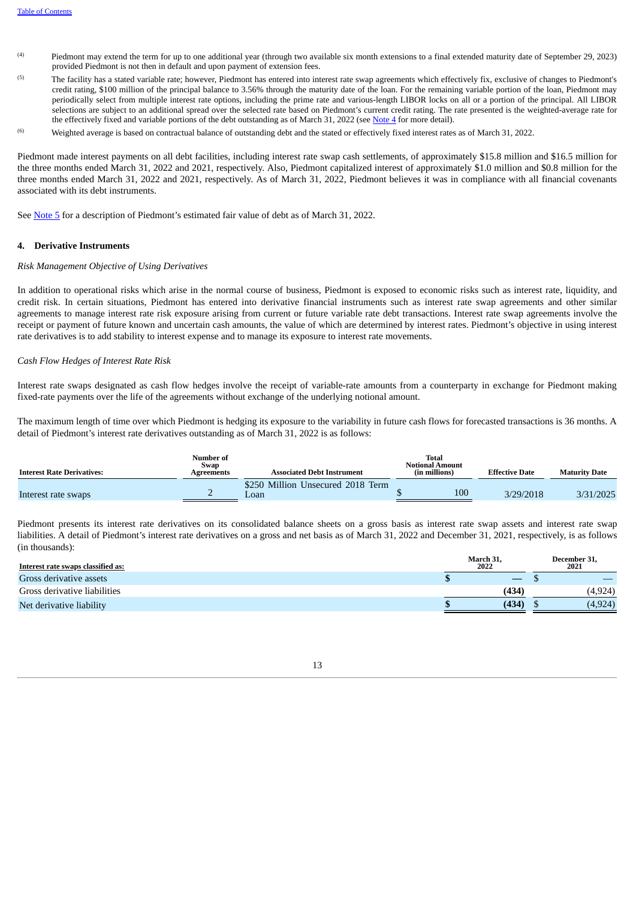- Piedmont may extend the term for up to one additional year (through two available six month extensions to a final extended maturity date of September 29, 2023) provided Piedmont is not then in default and upon payment of extension fees. (4)
- The facility has a stated variable rate; however, Piedmont has entered into interest rate swap agreements which effectively fix, exclusive of changes to Piedmont's credit rating, \$100 million of the principal balance to 3.56% through the maturity date of the loan. For the remaining variable portion of the loan, Piedmont may periodically select from multiple interest rate options, including the prime rate and various-length LIBOR locks on all or a portion of the principal. All LIBOR selections are subject to an additional spread over the selected rate based on Piedmont's current credit rating. The rate presented is the weighted-average rate for the effectively fixed and variable portions of the debt outstanding as of March 31, 2022 (see [Note 4](#page-12-0) for more detail). (5)
- Weighted average is based on contractual balance of outstanding debt and the stated or effectively fixed interest rates as of March 31, 2022. (6)

Piedmont made interest payments on all debt facilities, including interest rate swap cash settlements, of approximately \$15.8 million and \$16.5 million for the three months ended March 31, 2022 and 2021, respectively. Also, Piedmont capitalized interest of approximately \$1.0 million and \$0.8 million for the three months ended March 31, 2022 and 2021, respectively. As of March 31, 2022, Piedmont believes it was in compliance with all financial covenants associated with its debt instruments.

See [Note](#page-13-0) 5 for a description of Piedmont's estimated fair value of debt as of March 31, 2022.

#### <span id="page-12-0"></span>**4. Derivative Instruments**

#### *Risk Management Objective of Using Derivatives*

In addition to operational risks which arise in the normal course of business, Piedmont is exposed to economic risks such as interest rate, liquidity, and credit risk. In certain situations, Piedmont has entered into derivative financial instruments such as interest rate swap agreements and other similar agreements to manage interest rate risk exposure arising from current or future variable rate debt transactions. Interest rate swap agreements involve the receipt or payment of future known and uncertain cash amounts, the value of which are determined by interest rates. Piedmont's objective in using interest rate derivatives is to add stability to interest expense and to manage its exposure to interest rate movements.

#### *Cash Flow Hedges of Interest Rate Risk*

Interest rate swaps designated as cash flow hedges involve the receipt of variable-rate amounts from a counterparty in exchange for Piedmont making fixed-rate payments over the life of the agreements without exchange of the underlying notional amount.

The maximum length of time over which Piedmont is hedging its exposure to the variability in future cash flows for forecasted transactions is 36 months. A detail of Piedmont's interest rate derivatives outstanding as of March 31, 2022 is as follows:

| <b>Interest Rate Derivatives:</b> | Number of<br>Swap<br>Agreements | <b>Associated Debt Instrument</b>         | <b>Total</b><br><b>Notional Amount</b><br>(in millions) | <b>Effective Date</b> | <b>Maturity Date</b> |
|-----------------------------------|---------------------------------|-------------------------------------------|---------------------------------------------------------|-----------------------|----------------------|
| Interest rate swaps               |                                 | \$250 Million Unsecured 2018 Term<br>Loan | 100                                                     | 3/29/2018             | 3/31/2025            |

Piedmont presents its interest rate derivatives on its consolidated balance sheets on a gross basis as interest rate swap assets and interest rate swap liabilities. A detail of Piedmont's interest rate derivatives on a gross and net basis as of March 31, 2022 and December 31, 2021, respectively, is as follows (in thousands):

| Interest rate swaps classified as: | March 31.<br>2022 |       | December 31,<br>2021 |
|------------------------------------|-------------------|-------|----------------------|
| Gross derivative assets            |                   |       |                      |
| Gross derivative liabilities       |                   | (434) | (4,924)              |
| Net derivative liability           |                   | (434) | (4,924)              |

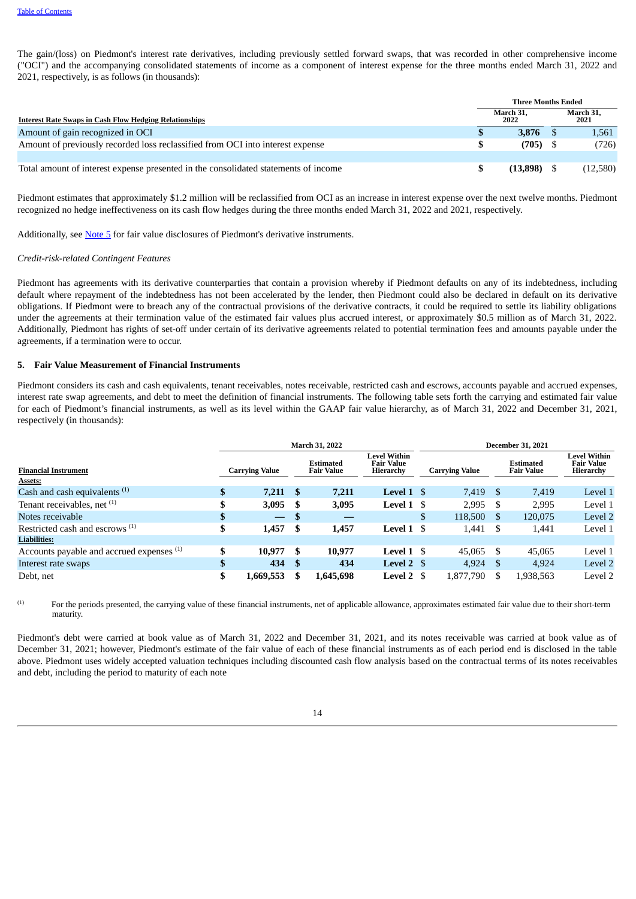The gain/(loss) on Piedmont's interest rate derivatives, including previously settled forward swaps, that was recorded in other comprehensive income ("OCI") and the accompanying consolidated statements of income as a component of interest expense for the three months ended March 31, 2022 and 2021, respectively, is as follows (in thousands):

|                                                                                     | <b>Three Months Ended</b> |                   |  |                   |  |
|-------------------------------------------------------------------------------------|---------------------------|-------------------|--|-------------------|--|
| <b>Interest Rate Swaps in Cash Flow Hedging Relationships</b>                       |                           | March 31.<br>2022 |  | March 31,<br>2021 |  |
| Amount of gain recognized in OCI                                                    |                           | 3.876             |  | 1,561             |  |
| Amount of previously recorded loss reclassified from OCI into interest expense      |                           | $(705)$ \$        |  | (726)             |  |
|                                                                                     |                           |                   |  |                   |  |
| Total amount of interest expense presented in the consolidated statements of income |                           | (13.898)          |  | (12,580)          |  |

Piedmont estimates that approximately \$1.2 million will be reclassified from OCI as an increase in interest expense over the next twelve months. Piedmont recognized no hedge ineffectiveness on its cash flow hedges during the three months ended March 31, 2022 and 2021, respectively.

Additionally, see [Note](#page-13-0) 5 for fair value disclosures of Piedmont's derivative instruments.

#### *Credit-risk-related Contingent Features*

Piedmont has agreements with its derivative counterparties that contain a provision whereby if Piedmont defaults on any of its indebtedness, including default where repayment of the indebtedness has not been accelerated by the lender, then Piedmont could also be declared in default on its derivative obligations. If Piedmont were to breach any of the contractual provisions of the derivative contracts, it could be required to settle its liability obligations under the agreements at their termination value of the estimated fair values plus accrued interest, or approximately \$0.5 million as of March 31, 2022. Additionally, Piedmont has rights of set-off under certain of its derivative agreements related to potential termination fees and amounts payable under the agreements, if a termination were to occur.

#### <span id="page-13-0"></span>**5. Fair Value Measurement of Financial Instruments**

Piedmont considers its cash and cash equivalents, tenant receivables, notes receivable, restricted cash and escrows, accounts payable and accrued expenses, interest rate swap agreements, and debt to meet the definition of financial instruments. The following table sets forth the carrying and estimated fair value for each of Piedmont's financial instruments, as well as its level within the GAAP fair value hierarchy, as of March 31, 2022 and December 31, 2021, respectively (in thousands):

|                                            | <b>March 31, 2022</b> |                          |      |                                       |                                                |    | <b>December 31, 2021</b>                                       |     |           |                                                       |  |  |  |
|--------------------------------------------|-----------------------|--------------------------|------|---------------------------------------|------------------------------------------------|----|----------------------------------------------------------------|-----|-----------|-------------------------------------------------------|--|--|--|
| <b>Financial Instrument</b><br>Assets:     |                       | <b>Carrying Value</b>    |      | <b>Estimated</b><br><b>Fair Value</b> | Level Within<br><b>Fair Value</b><br>Hierarchy |    | <b>Estimated</b><br><b>Carrying Value</b><br><b>Fair Value</b> |     |           | <b>Level Within</b><br><b>Fair Value</b><br>Hierarchy |  |  |  |
| Cash and cash equivalents <sup>(1)</sup>   |                       | $7,211$ \$               |      | 7,211                                 | Level 1 \$                                     |    | 7,419 \$                                                       |     | 7.419     | Level 1                                               |  |  |  |
| Tenant receivables, net <sup>(1)</sup>     |                       | 3,095                    | S    | 3,095                                 | Level $1 \text{ }$ \$                          |    | 2,995                                                          | -S  | 2,995     | Level 1                                               |  |  |  |
| Notes receivable                           |                       | $\overline{\phantom{0}}$ | - \$ |                                       |                                                | \$ | 118,500                                                        | S   | 120,075   | Level 2                                               |  |  |  |
| Restricted cash and escrows <sup>(1)</sup> | \$                    | 1,457                    | S    | 1,457                                 | Level $1 \text{ }$ \$                          |    | 1,441                                                          | S   | 1,441     | Level 1                                               |  |  |  |
| <b>Liabilities:</b>                        |                       |                          |      |                                       |                                                |    |                                                                |     |           |                                                       |  |  |  |
| Accounts payable and accrued expenses (1)  |                       | 10,977                   | \$.  | 10,977                                | Level $1 \text{ }$ \$                          |    | 45.065                                                         | \$  | 45,065    | Level 1                                               |  |  |  |
| Interest rate swaps                        |                       | 434                      | - \$ | 434                                   | Level $2 \quad$                                |    | 4,924                                                          | \$. | 4.924     | Level 2                                               |  |  |  |
| Debt, net                                  | S                     | 1,669,553                |      | 1,645,698                             | Level 2 \$                                     |    | 1.877.790                                                      | S   | 1,938,563 | Level 2                                               |  |  |  |

For the periods presented, the carrying value of these financial instruments, net of applicable allowance, approximates estimated fair value due to their short-term maturity. (1)

Piedmont's debt were carried at book value as of March 31, 2022 and December 31, 2021, and its notes receivable was carried at book value as of December 31, 2021; however, Piedmont's estimate of the fair value of each of these financial instruments as of each period end is disclosed in the table above. Piedmont uses widely accepted valuation techniques including discounted cash flow analysis based on the contractual terms of its notes receivables and debt, including the period to maturity of each note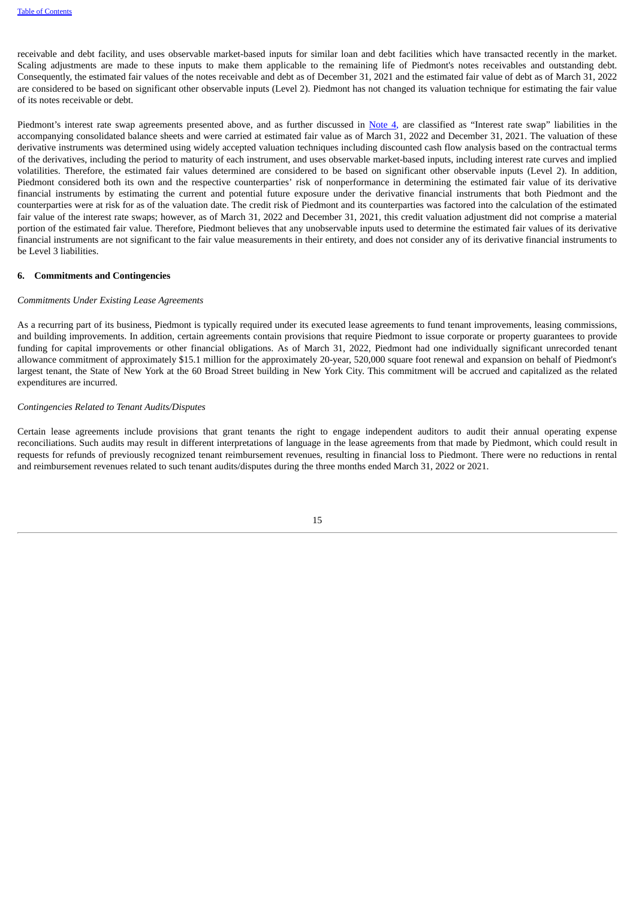receivable and debt facility, and uses observable market-based inputs for similar loan and debt facilities which have transacted recently in the market. Scaling adjustments are made to these inputs to make them applicable to the remaining life of Piedmont's notes receivables and outstanding debt. Consequently, the estimated fair values of the notes receivable and debt as of December 31, 2021 and the estimated fair value of debt as of March 31, 2022 are considered to be based on significant other observable inputs (Level 2). Piedmont has not changed its valuation technique for estimating the fair value of its notes receivable or debt.

Piedmont's interest rate swap agreements presented above, and as further discussed in [Note](#page-12-0) 4, are classified as "Interest rate swap" liabilities in the accompanying consolidated balance sheets and were carried at estimated fair value as of March 31, 2022 and December 31, 2021. The valuation of these derivative instruments was determined using widely accepted valuation techniques including discounted cash flow analysis based on the contractual terms of the derivatives, including the period to maturity of each instrument, and uses observable market-based inputs, including interest rate curves and implied volatilities. Therefore, the estimated fair values determined are considered to be based on significant other observable inputs (Level 2). In addition, Piedmont considered both its own and the respective counterparties' risk of nonperformance in determining the estimated fair value of its derivative financial instruments by estimating the current and potential future exposure under the derivative financial instruments that both Piedmont and the counterparties were at risk for as of the valuation date. The credit risk of Piedmont and its counterparties was factored into the calculation of the estimated fair value of the interest rate swaps; however, as of March 31, 2022 and December 31, 2021, this credit valuation adjustment did not comprise a material portion of the estimated fair value. Therefore, Piedmont believes that any unobservable inputs used to determine the estimated fair values of its derivative financial instruments are not significant to the fair value measurements in their entirety, and does not consider any of its derivative financial instruments to be Level 3 liabilities.

#### <span id="page-14-0"></span>**6. Commitments and Contingencies**

#### *Commitments Under Existing Lease Agreements*

As a recurring part of its business, Piedmont is typically required under its executed lease agreements to fund tenant improvements, leasing commissions, and building improvements. In addition, certain agreements contain provisions that require Piedmont to issue corporate or property guarantees to provide funding for capital improvements or other financial obligations. As of March 31, 2022, Piedmont had one individually significant unrecorded tenant allowance commitment of approximately \$15.1 million for the approximately 20-year, 520,000 square foot renewal and expansion on behalf of Piedmont's largest tenant, the State of New York at the 60 Broad Street building in New York City. This commitment will be accrued and capitalized as the related expenditures are incurred.

#### *Contingencies Related to Tenant Audits/Disputes*

<span id="page-14-1"></span>Certain lease agreements include provisions that grant tenants the right to engage independent auditors to audit their annual operating expense reconciliations. Such audits may result in different interpretations of language in the lease agreements from that made by Piedmont, which could result in requests for refunds of previously recognized tenant reimbursement revenues, resulting in financial loss to Piedmont. There were no reductions in rental and reimbursement revenues related to such tenant audits/disputes during the three months ended March 31, 2022 or 2021.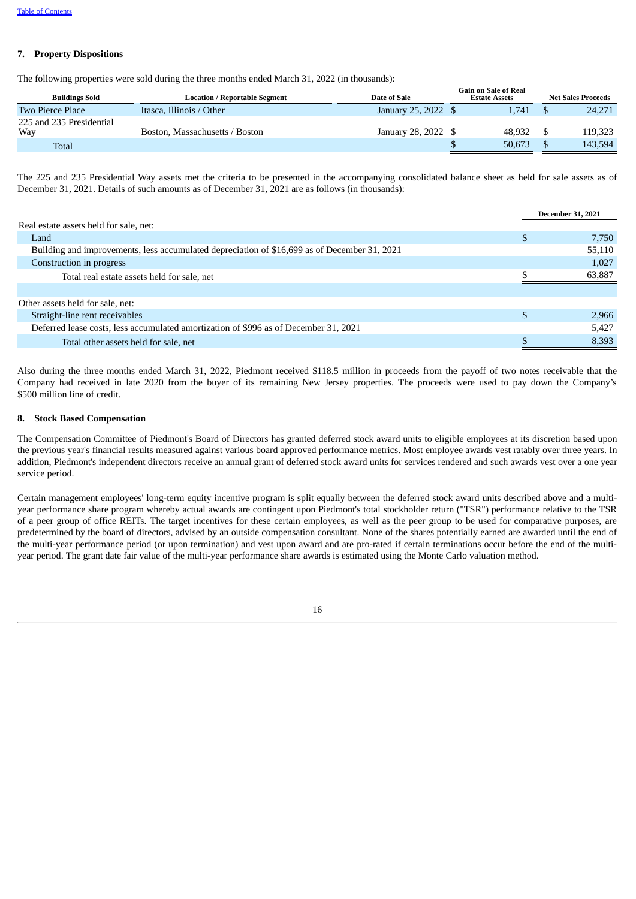#### **7. Property Dispositions**

The following properties were sold during the three months ended March 31, 2022 (in thousands):

| <b>Buildings Sold</b>           | Location / Reportable Segment  | Date of Sale        | Gain on Sale of Real<br><b>Estate Assets</b> | <b>Net Sales Proceeds</b> |
|---------------------------------|--------------------------------|---------------------|----------------------------------------------|---------------------------|
| Two Pierce Place                | Itasca, Illinois / Other       | January 25, 2022 \$ | 1.741                                        | 24,271                    |
| 225 and 235 Presidential<br>Way | Boston, Massachusetts / Boston | January 28, 2022 \$ | 48.932                                       | 119.323                   |
| Total                           |                                |                     | 50.673                                       | 143.594                   |
|                                 |                                |                     |                                              |                           |

The 225 and 235 Presidential Way assets met the criteria to be presented in the accompanying consolidated balance sheet as held for sale assets as of December 31, 2021. Details of such amounts as of December 31, 2021 are as follows (in thousands):

|                                                                                              | <b>December 31, 2021</b> |
|----------------------------------------------------------------------------------------------|--------------------------|
| Real estate assets held for sale, net:                                                       |                          |
| Land                                                                                         | 7.750                    |
| Building and improvements, less accumulated depreciation of \$16,699 as of December 31, 2021 | 55,110                   |
| Construction in progress                                                                     | 1,027                    |
| Total real estate assets held for sale, net                                                  | 63,887                   |
|                                                                                              |                          |
| Other assets held for sale, net:                                                             |                          |
| Straight-line rent receivables                                                               | 2,966                    |
| Deferred lease costs, less accumulated amortization of \$996 as of December 31, 2021         | 5,427                    |
| Total other assets held for sale, net                                                        | 8,393                    |

Also during the three months ended March 31, 2022, Piedmont received \$118.5 million in proceeds from the payoff of two notes receivable that the Company had received in late 2020 from the buyer of its remaining New Jersey properties. The proceeds were used to pay down the Company's \$500 million line of credit.

#### **8. Stock Based Compensation**

The Compensation Committee of Piedmont's Board of Directors has granted deferred stock award units to eligible employees at its discretion based upon the previous year's financial results measured against various board approved performance metrics. Most employee awards vest ratably over three years. In addition, Piedmont's independent directors receive an annual grant of deferred stock award units for services rendered and such awards vest over a one year service period.

Certain management employees' long-term equity incentive program is split equally between the deferred stock award units described above and a multiyear performance share program whereby actual awards are contingent upon Piedmont's total stockholder return ("TSR") performance relative to the TSR of a peer group of office REITs. The target incentives for these certain employees, as well as the peer group to be used for comparative purposes, are predetermined by the board of directors, advised by an outside compensation consultant. None of the shares potentially earned are awarded until the end of the multi-year performance period (or upon termination) and vest upon award and are pro-rated if certain terminations occur before the end of the multiyear period. The grant date fair value of the multi-year performance share awards is estimated using the Monte Carlo valuation method.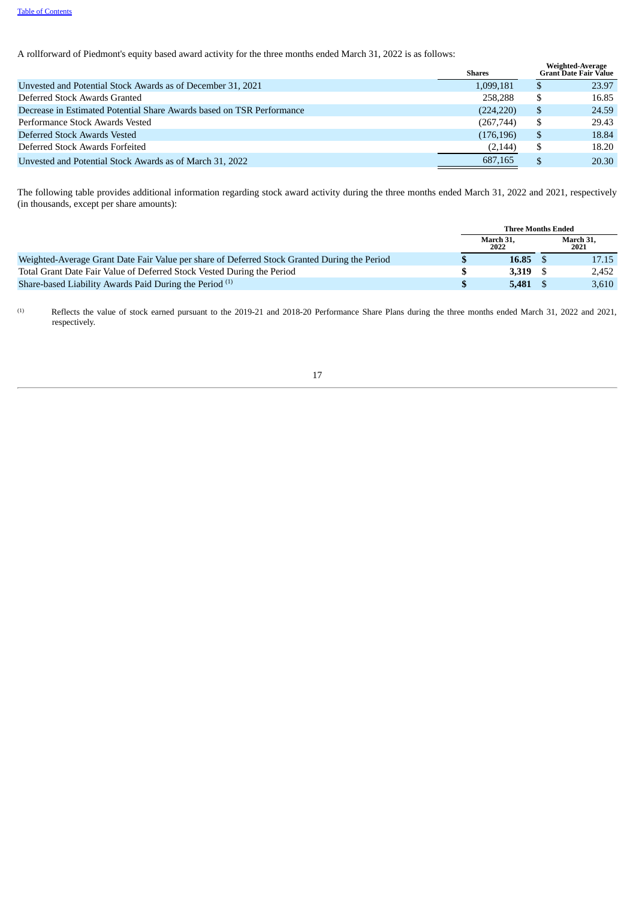A rollforward of Piedmont's equity based award activity for the three months ended March 31, 2022 is as follows:

|                                                                       | <b>Shares</b> | Weighted-Average<br><b>Grant Date Fair Value</b> |
|-----------------------------------------------------------------------|---------------|--------------------------------------------------|
| Unvested and Potential Stock Awards as of December 31, 2021           | 1,099,181     | 23.97                                            |
| Deferred Stock Awards Granted                                         | 258,288       | 16.85                                            |
| Decrease in Estimated Potential Share Awards based on TSR Performance | (224, 220)    | 24.59                                            |
| Performance Stock Awards Vested                                       | (267,744)     | 29.43                                            |
| Deferred Stock Awards Vested                                          | (176, 196)    | 18.84                                            |
| Deferred Stock Awards Forfeited                                       | (2, 144)      | 18.20                                            |
| Unvested and Potential Stock Awards as of March 31, 2022              | 687,165       | 20.30                                            |

The following table provides additional information regarding stock award activity during the three months ended March 31, 2022 and 2021, respectively (in thousands, except per share amounts):

|                                                                                              |     | <b>Three Months Ended</b> |                   |
|----------------------------------------------------------------------------------------------|-----|---------------------------|-------------------|
|                                                                                              |     | March 31.<br>2022         | March 31.<br>2021 |
| Weighted-Average Grant Date Fair Value per share of Deferred Stock Granted During the Period |     | $16.85\quad$              | 17.15             |
| Total Grant Date Fair Value of Deferred Stock Vested During the Period                       | -SS | 3.319                     | 2.452             |
| Share-based Liability Awards Paid During the Period <sup>(1)</sup>                           |     | 5.481 S                   | 3.610             |

Reflects the value of stock earned pursuant to the 2019-21 and 2018-20 Performance Share Plans during the three months ended March 31, 2022 and 2021, respectively. (1)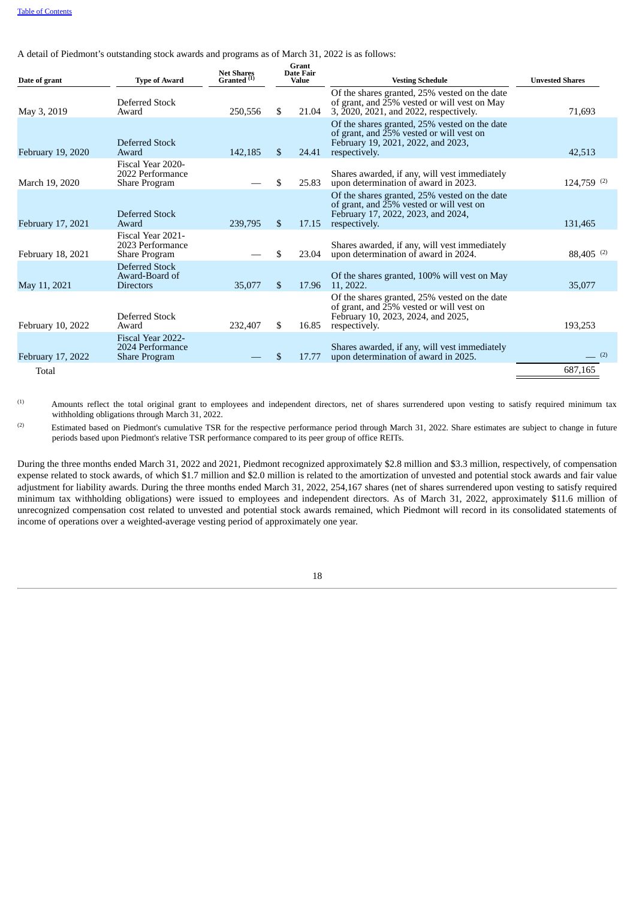A detail of Piedmont's outstanding stock awards and programs as of March 31, 2022 is as follows:

| Date of grant     | <b>Type of Award</b>                                          | <b>Net Shares</b><br>Granted <sup>(1)</sup> |     | Grant<br><b>Date Fair</b><br><b>Value</b> | <b>Vesting Schedule</b>                                                                                                                          | <b>Unvested Shares</b>   |
|-------------------|---------------------------------------------------------------|---------------------------------------------|-----|-------------------------------------------|--------------------------------------------------------------------------------------------------------------------------------------------------|--------------------------|
| May 3, 2019       | Deferred Stock<br>Award                                       | 250,556                                     | \$. | 21.04                                     | Of the shares granted, 25% vested on the date<br>of grant, and 25% vested or will vest on May<br>3, 2020, 2021, and 2022, respectively.          | 71,693                   |
| February 19, 2020 | Deferred Stock<br>Award                                       | 142,185                                     | \$. | 24.41                                     | Of the shares granted, 25% vested on the date<br>of grant, and 25% vested or will vest on<br>February 19, 2021, 2022, and 2023,<br>respectively. | 42,513                   |
| March 19, 2020    | Fiscal Year 2020-<br>2022 Performance<br>Share Program        |                                             | \$  | 25.83                                     | Shares awarded, if any, will vest immediately<br>upon determination of award in 2023.                                                            | $124,759$ <sup>(2)</sup> |
| February 17, 2021 | Deferred Stock<br>Award                                       | 239,795                                     | \$. | 17.15                                     | Of the shares granted, 25% vested on the date<br>of grant, and 25% vested or will vest on<br>February 17, 2022, 2023, and 2024,<br>respectively. | 131,465                  |
| February 18, 2021 | Fiscal Year 2021-<br>2023 Performance<br>Share Program        |                                             | \$  | 23.04                                     | Shares awarded, if any, will vest immediately<br>upon determination of award in 2024.                                                            | $88,405$ <sup>(2)</sup>  |
| May 11, 2021      | Deferred Stock<br>Award-Board of<br><b>Directors</b>          | 35,077                                      | \$. | 17.96                                     | Of the shares granted, 100% will vest on May<br>11, 2022.                                                                                        | 35,077                   |
| February 10, 2022 | Deferred Stock<br>Award                                       | 232.407                                     | \$. | 16.85                                     | Of the shares granted, 25% vested on the date<br>of grant, and 25% vested or will vest on<br>February 10, 2023, 2024, and 2025,<br>respectively. | 193,253                  |
| February 17, 2022 | Fiscal Year 2022-<br>2024 Performance<br><b>Share Program</b> |                                             | £.  | 17.77                                     | Shares awarded, if any, will vest immediately<br>upon determination of award in 2025.                                                            | (2)                      |
| Total             |                                                               |                                             |     |                                           |                                                                                                                                                  | 687,165                  |

Amounts reflect the total original grant to employees and independent directors, net of shares surrendered upon vesting to satisfy required minimum tax withholding obligations through March 31, 2022. (1)

Estimated based on Piedmont's cumulative TSR for the respective performance period through March 31, 2022. Share estimates are subject to change in future periods based upon Piedmont's relative TSR performance compared to its peer group of office REITs. (2)

During the three months ended March 31, 2022 and 2021, Piedmont recognized approximately \$2.8 million and \$3.3 million, respectively, of compensation expense related to stock awards, of which \$1.7 million and \$2.0 million is related to the amortization of unvested and potential stock awards and fair value adjustment for liability awards. During the three months ended March 31, 2022, 254,167 shares (net of shares surrendered upon vesting to satisfy required minimum tax withholding obligations) were issued to employees and independent directors. As of March 31, 2022, approximately \$11.6 million of unrecognized compensation cost related to unvested and potential stock awards remained, which Piedmont will record in its consolidated statements of income of operations over a weighted-average vesting period of approximately one year.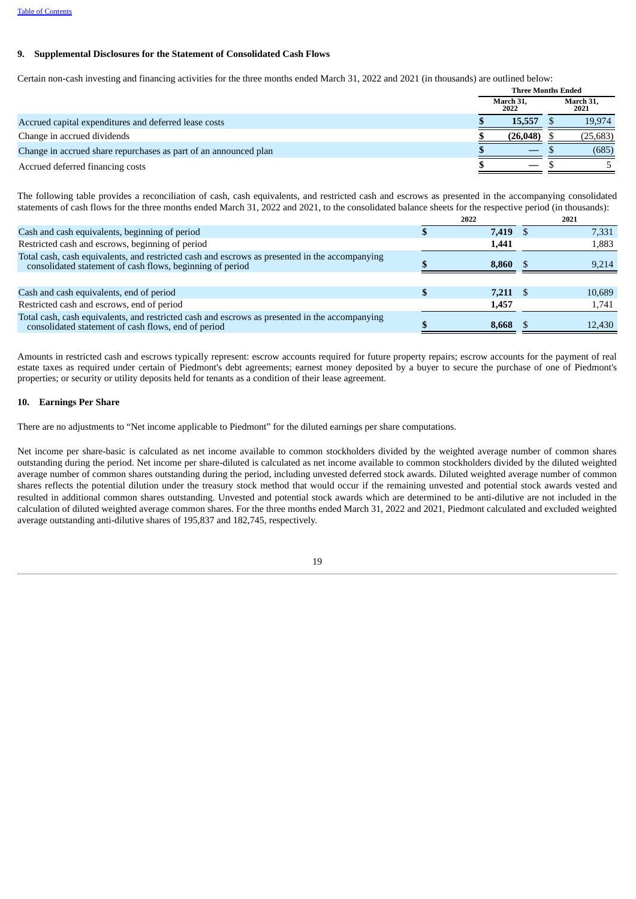#### **9. Supplemental Disclosures for the Statement of Consolidated Cash Flows**

Certain non-cash investing and financing activities for the three months ended March 31, 2022 and 2021 (in thousands) are outlined below:

|                                                                  | <b>Three Months Ended</b> |                          |  |                   |
|------------------------------------------------------------------|---------------------------|--------------------------|--|-------------------|
|                                                                  |                           | March 31,<br>2022        |  | March 31,<br>2021 |
| Accrued capital expenditures and deferred lease costs            |                           | 15,557                   |  | 19,974            |
| Change in accrued dividends                                      |                           | (26, 048)                |  | (25, 683)         |
| Change in accrued share repurchases as part of an announced plan |                           |                          |  | (685)             |
| Accrued deferred financing costs                                 |                           | $\overline{\phantom{m}}$ |  |                   |

The following table provides a reconciliation of cash, cash equivalents, and restricted cash and escrows as presented in the accompanying consolidated statements of cash flows for the three months ended March 31, 2022 and 2021, to the consolidated balance sheets for the respective period (in thousands):

|                                                                                                                                                             | 2022  | 2021   |
|-------------------------------------------------------------------------------------------------------------------------------------------------------------|-------|--------|
| Cash and cash equivalents, beginning of period                                                                                                              | 7,419 | 7,331  |
| Restricted cash and escrows, beginning of period                                                                                                            | 1,441 | 1,883  |
| Total cash, cash equivalents, and restricted cash and escrows as presented in the accompanying<br>consolidated statement of cash flows, beginning of period | 8.860 | 9,214  |
|                                                                                                                                                             |       |        |
| Cash and cash equivalents, end of period                                                                                                                    | 7,211 | 10,689 |
| Restricted cash and escrows, end of period                                                                                                                  | 1,457 | 1.741  |
| Total cash, cash equivalents, and restricted cash and escrows as presented in the accompanying<br>consolidated statement of cash flows, end of period       | 8.668 | 12,430 |
|                                                                                                                                                             |       |        |

Amounts in restricted cash and escrows typically represent: escrow accounts required for future property repairs; escrow accounts for the payment of real estate taxes as required under certain of Piedmont's debt agreements; earnest money deposited by a buyer to secure the purchase of one of Piedmont's properties; or security or utility deposits held for tenants as a condition of their lease agreement.

#### **10. Earnings Per Share**

There are no adjustments to "Net income applicable to Piedmont" for the diluted earnings per share computations.

Net income per share-basic is calculated as net income available to common stockholders divided by the weighted average number of common shares outstanding during the period. Net income per share-diluted is calculated as net income available to common stockholders divided by the diluted weighted average number of common shares outstanding during the period, including unvested deferred stock awards. Diluted weighted average number of common shares reflects the potential dilution under the treasury stock method that would occur if the remaining unvested and potential stock awards vested and resulted in additional common shares outstanding. Unvested and potential stock awards which are determined to be anti-dilutive are not included in the calculation of diluted weighted average common shares. For the three months ended March 31, 2022 and 2021, Piedmont calculated and excluded weighted average outstanding anti-dilutive shares of 195,837 and 182,745, respectively.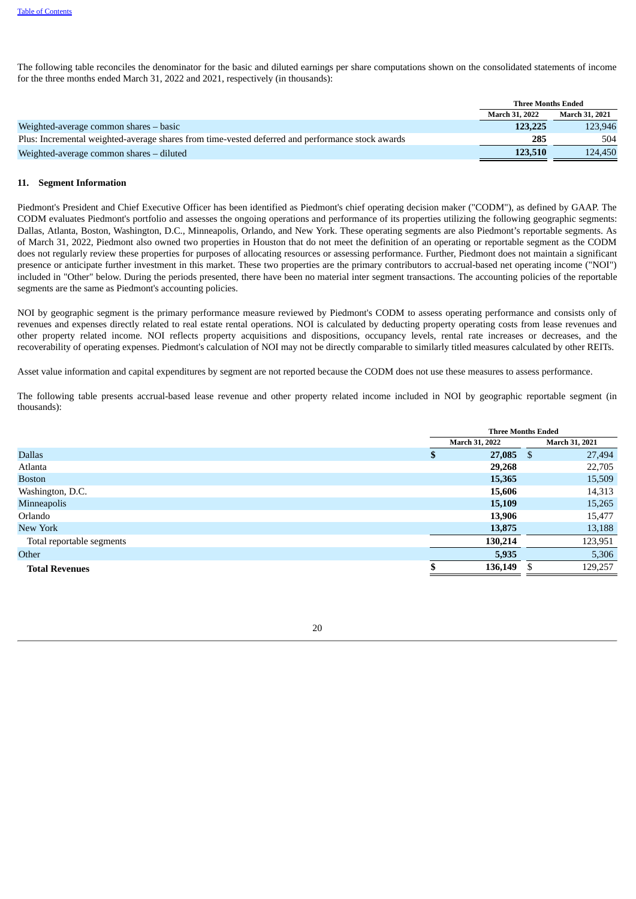The following table reconciles the denominator for the basic and diluted earnings per share computations shown on the consolidated statements of income for the three months ended March 31, 2022 and 2021, respectively (in thousands):

|                                                                                                  | <b>Three Months Ended</b> |                |  |
|--------------------------------------------------------------------------------------------------|---------------------------|----------------|--|
|                                                                                                  | <b>March 31, 2022</b>     | March 31, 2021 |  |
| Weighted-average common shares – basic                                                           | 123,225                   | 123.946        |  |
| Plus: Incremental weighted-average shares from time-vested deferred and performance stock awards | 285                       | 504            |  |
| Weighted-average common shares – diluted                                                         | 123,510                   | 124.450        |  |

#### <span id="page-19-0"></span>**11. Segment Information**

Piedmont's President and Chief Executive Officer has been identified as Piedmont's chief operating decision maker ("CODM"), as defined by GAAP. The CODM evaluates Piedmont's portfolio and assesses the ongoing operations and performance of its properties utilizing the following geographic segments: Dallas, Atlanta, Boston, Washington, D.C., Minneapolis, Orlando, and New York. These operating segments are also Piedmont's reportable segments. As of March 31, 2022, Piedmont also owned two properties in Houston that do not meet the definition of an operating or reportable segment as the CODM does not regularly review these properties for purposes of allocating resources or assessing performance. Further, Piedmont does not maintain a significant presence or anticipate further investment in this market. These two properties are the primary contributors to accrual-based net operating income ("NOI") included in "Other" below. During the periods presented, there have been no material inter segment transactions. The accounting policies of the reportable segments are the same as Piedmont's accounting policies.

NOI by geographic segment is the primary performance measure reviewed by Piedmont's CODM to assess operating performance and consists only of revenues and expenses directly related to real estate rental operations. NOI is calculated by deducting property operating costs from lease revenues and other property related income. NOI reflects property acquisitions and dispositions, occupancy levels, rental rate increases or decreases, and the recoverability of operating expenses. Piedmont's calculation of NOI may not be directly comparable to similarly titled measures calculated by other REITs.

Asset value information and capital expenditures by segment are not reported because the CODM does not use these measures to assess performance.

The following table presents accrual-based lease revenue and other property related income included in NOI by geographic reportable segment (in thousands):

| March 31, 2021<br>March 31, 2022<br>27,085<br><b>Dallas</b><br>27,494<br>\$<br>\$<br>22,705<br>Atlanta<br>29,268<br>15,509<br>15,365<br><b>Boston</b><br>Washington, D.C.<br>14,313<br>15,606<br>Minneapolis<br>15,265<br>15,109<br>Orlando<br>13,906<br>15,477<br>New York<br>13,188<br>13,875<br>Total reportable segments<br>123,951<br>130,214<br>5,306<br>5,935<br>Other<br>129,257<br>136,149<br><b>Total Revenues</b> |  | <b>Three Months Ended</b> |  |  |  |
|------------------------------------------------------------------------------------------------------------------------------------------------------------------------------------------------------------------------------------------------------------------------------------------------------------------------------------------------------------------------------------------------------------------------------|--|---------------------------|--|--|--|
|                                                                                                                                                                                                                                                                                                                                                                                                                              |  |                           |  |  |  |
|                                                                                                                                                                                                                                                                                                                                                                                                                              |  |                           |  |  |  |
|                                                                                                                                                                                                                                                                                                                                                                                                                              |  |                           |  |  |  |
|                                                                                                                                                                                                                                                                                                                                                                                                                              |  |                           |  |  |  |
|                                                                                                                                                                                                                                                                                                                                                                                                                              |  |                           |  |  |  |
|                                                                                                                                                                                                                                                                                                                                                                                                                              |  |                           |  |  |  |
|                                                                                                                                                                                                                                                                                                                                                                                                                              |  |                           |  |  |  |
|                                                                                                                                                                                                                                                                                                                                                                                                                              |  |                           |  |  |  |
|                                                                                                                                                                                                                                                                                                                                                                                                                              |  |                           |  |  |  |
|                                                                                                                                                                                                                                                                                                                                                                                                                              |  |                           |  |  |  |
|                                                                                                                                                                                                                                                                                                                                                                                                                              |  |                           |  |  |  |

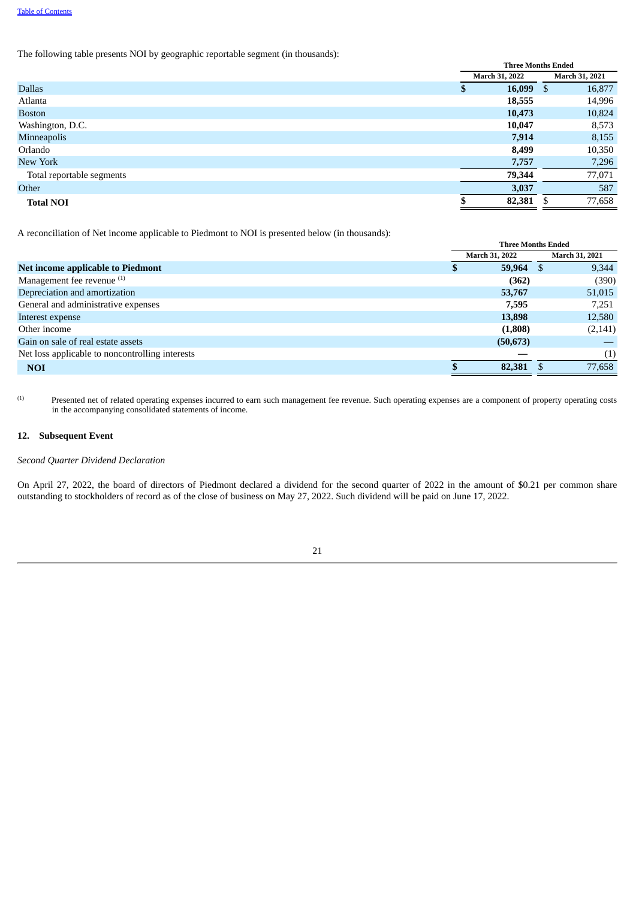The following table presents NOI by geographic reportable segment (in thousands):

|                           |   | <b>Three Months Ended</b> |  |                |  |  |
|---------------------------|---|---------------------------|--|----------------|--|--|
|                           |   | March 31, 2022            |  | March 31, 2021 |  |  |
| <b>Dallas</b>             | Φ | $16,099$ \$               |  | 16,877         |  |  |
| Atlanta                   |   | 18,555                    |  | 14,996         |  |  |
| <b>Boston</b>             |   | 10,473                    |  | 10,824         |  |  |
| Washington, D.C.          |   | 10,047                    |  | 8,573          |  |  |
| Minneapolis               |   | 7,914                     |  | 8,155          |  |  |
| Orlando                   |   | 8,499                     |  | 10,350         |  |  |
| New York                  |   | 7,757                     |  | 7,296          |  |  |
| Total reportable segments |   | 79,344                    |  | 77,071         |  |  |
| Other                     |   | 3,037                     |  | 587            |  |  |
| <b>Total NOI</b>          |   | 82,381                    |  | 77,658         |  |  |

A reconciliation of Net income applicable to Piedmont to NOI is presented below (in thousands):

|                                                 | <b>Three Months Ended</b> |                       |    |                       |
|-------------------------------------------------|---------------------------|-----------------------|----|-----------------------|
|                                                 |                           | <b>March 31, 2022</b> |    | <b>March 31, 2021</b> |
| Net income applicable to Piedmont               | \$                        | 59,964                | -8 | 9,344                 |
| Management fee revenue <sup>(1)</sup>           |                           | (362)                 |    | (390)                 |
| Depreciation and amortization                   |                           | 53,767                |    | 51,015                |
| General and administrative expenses             |                           | 7.595                 |    | 7,251                 |
| Interest expense                                |                           | 13,898                |    | 12,580                |
| Other income                                    |                           | (1,808)               |    | (2, 141)              |
| Gain on sale of real estate assets              |                           | (50, 673)             |    |                       |
| Net loss applicable to noncontrolling interests |                           |                       |    | (1)                   |
| <b>NOI</b>                                      |                           | 82,381                |    | 77,658                |

Presented net of related operating expenses incurred to earn such management fee revenue. Such operating expenses are a component of property operating costs in the accompanying consolidated statements of income. (1)

#### **12. Subsequent Event**

## *Second Quarter Dividend Declaration*

<span id="page-20-0"></span>On April 27, 2022, the board of directors of Piedmont declared a dividend for the second quarter of 2022 in the amount of \$0.21 per common share outstanding to stockholders of record as of the close of business on May 27, 2022. Such dividend will be paid on June 17, 2022.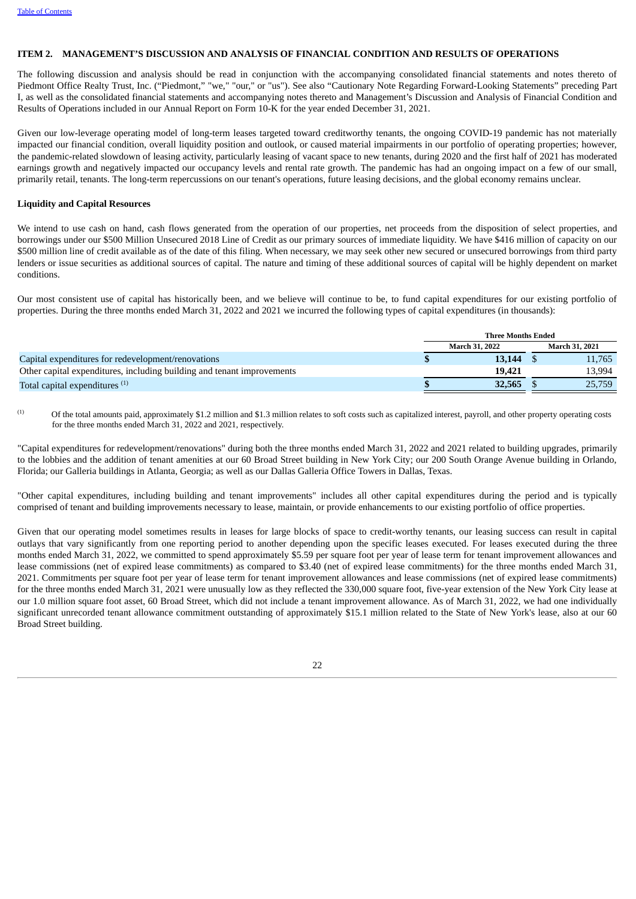#### **ITEM 2. MANAGEMENT'S DISCUSSION AND ANALYSIS OF FINANCIAL CONDITION AND RESULTS OF OPERATIONS**

The following discussion and analysis should be read in conjunction with the accompanying consolidated financial statements and notes thereto of Piedmont Office Realty Trust, Inc. ("Piedmont," "we," "our," or "us"). See also "Cautionary Note Regarding Forward-Looking Statements" preceding Part I, as well as the consolidated financial statements and accompanying notes thereto and Management's Discussion and Analysis of Financial Condition and Results of Operations included in our Annual Report on Form 10-K for the year ended December 31, 2021.

Given our low-leverage operating model of long-term leases targeted toward creditworthy tenants, the ongoing COVID-19 pandemic has not materially impacted our financial condition, overall liquidity position and outlook, or caused material impairments in our portfolio of operating properties; however, the pandemic-related slowdown of leasing activity, particularly leasing of vacant space to new tenants, during 2020 and the first half of 2021 has moderated earnings growth and negatively impacted our occupancy levels and rental rate growth. The pandemic has had an ongoing impact on a few of our small, primarily retail, tenants. The long-term repercussions on our tenant's operations, future leasing decisions, and the global economy remains unclear.

#### **Liquidity and Capital Resources**

We intend to use cash on hand, cash flows generated from the operation of our properties, net proceeds from the disposition of select properties, and borrowings under our \$500 Million Unsecured 2018 Line of Credit as our primary sources of immediate liquidity. We have \$416 million of capacity on our \$500 million line of credit available as of the date of this filing. When necessary, we may seek other new secured or unsecured borrowings from third party lenders or issue securities as additional sources of capital. The nature and timing of these additional sources of capital will be highly dependent on market conditions.

Our most consistent use of capital has historically been, and we believe will continue to be, to fund capital expenditures for our existing portfolio of properties. During the three months ended March 31, 2022 and 2021 we incurred the following types of capital expenditures (in thousands):

|                                                                        | <b>Three Months Ended</b> |                       |  |                       |  |  |
|------------------------------------------------------------------------|---------------------------|-----------------------|--|-----------------------|--|--|
|                                                                        |                           | <b>March 31, 2022</b> |  | <b>March 31, 2021</b> |  |  |
| Capital expenditures for redevelopment/renovations                     |                           | 13,144                |  | 11,765                |  |  |
| Other capital expenditures, including building and tenant improvements |                           | 19,421                |  | 13.994                |  |  |
| Total capital expenditures <sup>(1)</sup>                              |                           | 32,565                |  | 25,759                |  |  |

Of the total amounts paid, approximately \$1.2 million and \$1.3 million relates to soft costs such as capitalized interest, payroll, and other property operating costs for the three months ended March 31, 2022 and 2021, respectively. (1)

"Capital expenditures for redevelopment/renovations" during both the three months ended March 31, 2022 and 2021 related to building upgrades, primarily to the lobbies and the addition of tenant amenities at our 60 Broad Street building in New York City; our 200 South Orange Avenue building in Orlando, Florida; our Galleria buildings in Atlanta, Georgia; as well as our Dallas Galleria Office Towers in Dallas, Texas.

"Other capital expenditures, including building and tenant improvements" includes all other capital expenditures during the period and is typically comprised of tenant and building improvements necessary to lease, maintain, or provide enhancements to our existing portfolio of office properties.

Given that our operating model sometimes results in leases for large blocks of space to credit-worthy tenants, our leasing success can result in capital outlays that vary significantly from one reporting period to another depending upon the specific leases executed. For leases executed during the three months ended March 31, 2022, we committed to spend approximately \$5.59 per square foot per year of lease term for tenant improvement allowances and lease commissions (net of expired lease commitments) as compared to \$3.40 (net of expired lease commitments) for the three months ended March 31, 2021. Commitments per square foot per year of lease term for tenant improvement allowances and lease commissions (net of expired lease commitments) for the three months ended March 31, 2021 were unusually low as they reflected the 330,000 square foot, five-year extension of the New York City lease at our 1.0 million square foot asset, 60 Broad Street, which did not include a tenant improvement allowance. As of March 31, 2022, we had one individually significant unrecorded tenant allowance commitment outstanding of approximately \$15.1 million related to the State of New York's lease, also at our 60 Broad Street building.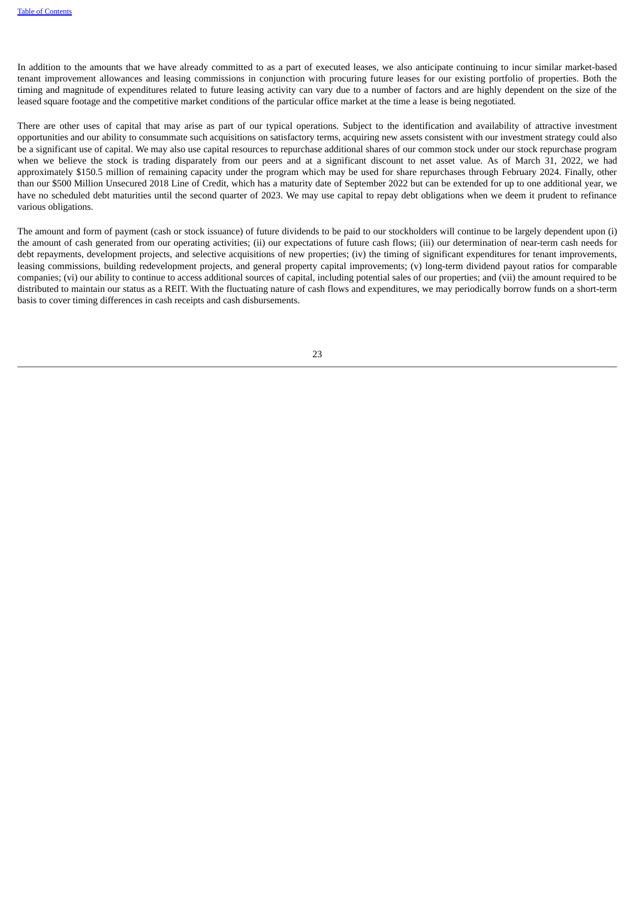In addition to the amounts that we have already committed to as a part of executed leases, we also anticipate continuing to incur similar market-based tenant improvement allowances and leasing commissions in conjunction with procuring future leases for our existing portfolio of properties. Both the timing and magnitude of expenditures related to future leasing activity can vary due to a number of factors and are highly dependent on the size of the leased square footage and the competitive market conditions of the particular office market at the time a lease is being negotiated.

There are other uses of capital that may arise as part of our typical operations. Subject to the identification and availability of attractive investment opportunities and our ability to consummate such acquisitions on satisfactory terms, acquiring new assets consistent with our investment strategy could also be a significant use of capital. We may also use capital resources to repurchase additional shares of our common stock under our stock repurchase program when we believe the stock is trading disparately from our peers and at a significant discount to net asset value. As of March 31, 2022, we had approximately \$150.5 million of remaining capacity under the program which may be used for share repurchases through February 2024. Finally, other than our \$500 Million Unsecured 2018 Line of Credit, which has a maturity date of September 2022 but can be extended for up to one additional year, we have no scheduled debt maturities until the second quarter of 2023. We may use capital to repay debt obligations when we deem it prudent to refinance various obligations.

The amount and form of payment (cash or stock issuance) of future dividends to be paid to our stockholders will continue to be largely dependent upon (i) the amount of cash generated from our operating activities; (ii) our expectations of future cash flows; (iii) our determination of near-term cash needs for debt repayments, development projects, and selective acquisitions of new properties; (iv) the timing of significant expenditures for tenant improvements, leasing commissions, building redevelopment projects, and general property capital improvements; (v) long-term dividend payout ratios for comparable companies; (vi) our ability to continue to access additional sources of capital, including potential sales of our properties; and (vii) the amount required to be distributed to maintain our status as a REIT. With the fluctuating nature of cash flows and expenditures, we may periodically borrow funds on a short-term basis to cover timing differences in cash receipts and cash disbursements.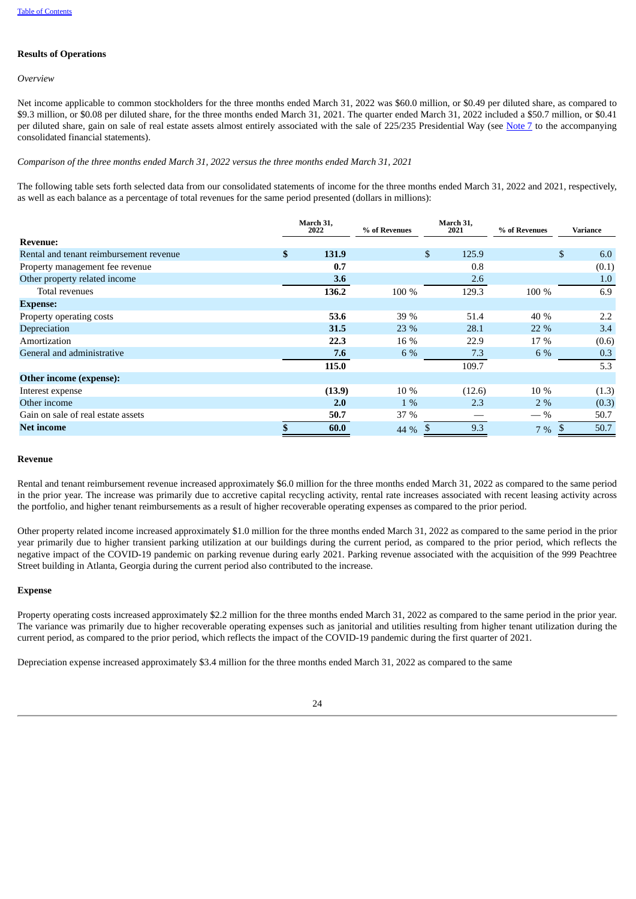## **Results of Operations**

*Overview*

Net income applicable to common stockholders for the three months ended March 31, 2022 was \$60.0 million, or \$0.49 per diluted share, as compared to \$9.3 million, or \$0.08 per diluted share, for the three months ended March 31, 2021. The quarter ended March 31, 2022 included a \$50.7 million, or \$0.41 per diluted share, gain on sale of real estate assets almost entirely associated with the sale of 225/235 Presidential Way (see [Note](#page-14-1) [7](#page-14-1) to the accompanying consolidated financial statements).

#### *Comparison of the three months ended March 31, 2022 versus the three months ended March 31, 2021*

The following table sets forth selected data from our consolidated statements of income for the three months ended March 31, 2022 and 2021, respectively, as well as each balance as a percentage of total revenues for the same period presented (dollars in millions):

|                                         | March 31,<br>2022 | % of Revenues | March 31,<br>2021 | % of Revenues |    | Variance |  |
|-----------------------------------------|-------------------|---------------|-------------------|---------------|----|----------|--|
| <b>Revenue:</b>                         |                   |               |                   |               |    |          |  |
| Rental and tenant reimbursement revenue | \$<br>131.9       |               | \$<br>125.9       |               | \$ | 6.0      |  |
| Property management fee revenue         | 0.7               |               | 0.8               |               |    | (0.1)    |  |
| Other property related income           | 3.6               |               | 2.6               |               |    | 1.0      |  |
| Total revenues                          | 136.2             | 100 %         | 129.3             | 100 %         |    | 6.9      |  |
| <b>Expense:</b>                         |                   |               |                   |               |    |          |  |
| Property operating costs                | 53.6              | 39 %          | 51.4              | 40 %          |    | 2.2      |  |
| Depreciation                            | 31.5              | 23 %          | 28.1              | 22 %          |    | 3.4      |  |
| Amortization                            | 22.3              | 16 %          | 22.9              | 17 %          |    | (0.6)    |  |
| General and administrative              | 7.6               | 6 %           | 7.3               | 6 %           |    | 0.3      |  |
|                                         | 115.0             |               | 109.7             |               |    | 5.3      |  |
| Other income (expense):                 |                   |               |                   |               |    |          |  |
| Interest expense                        | (13.9)            | 10 %          | (12.6)            | 10 %          |    | (1.3)    |  |
| Other income                            | 2.0               | $1\%$         | 2.3               | $2\%$         |    | (0.3)    |  |
| Gain on sale of real estate assets      | 50.7              | 37 %          |                   | $-$ %         |    | 50.7     |  |
| <b>Net income</b>                       | 60.0              | 44 %          | 9.3               | $7\%$         |    | 50.7     |  |

#### **Revenue**

Rental and tenant reimbursement revenue increased approximately \$6.0 million for the three months ended March 31, 2022 as compared to the same period in the prior year. The increase was primarily due to accretive capital recycling activity, rental rate increases associated with recent leasing activity across the portfolio, and higher tenant reimbursements as a result of higher recoverable operating expenses as compared to the prior period.

Other property related income increased approximately \$1.0 million for the three months ended March 31, 2022 as compared to the same period in the prior year primarily due to higher transient parking utilization at our buildings during the current period, as compared to the prior period, which reflects the negative impact of the COVID-19 pandemic on parking revenue during early 2021. Parking revenue associated with the acquisition of the 999 Peachtree Street building in Atlanta, Georgia during the current period also contributed to the increase.

#### **Expense**

Property operating costs increased approximately \$2.2 million for the three months ended March 31, 2022 as compared to the same period in the prior year. The variance was primarily due to higher recoverable operating expenses such as janitorial and utilities resulting from higher tenant utilization during the current period, as compared to the prior period, which reflects the impact of the COVID-19 pandemic during the first quarter of 2021.

Depreciation expense increased approximately \$3.4 million for the three months ended March 31, 2022 as compared to the same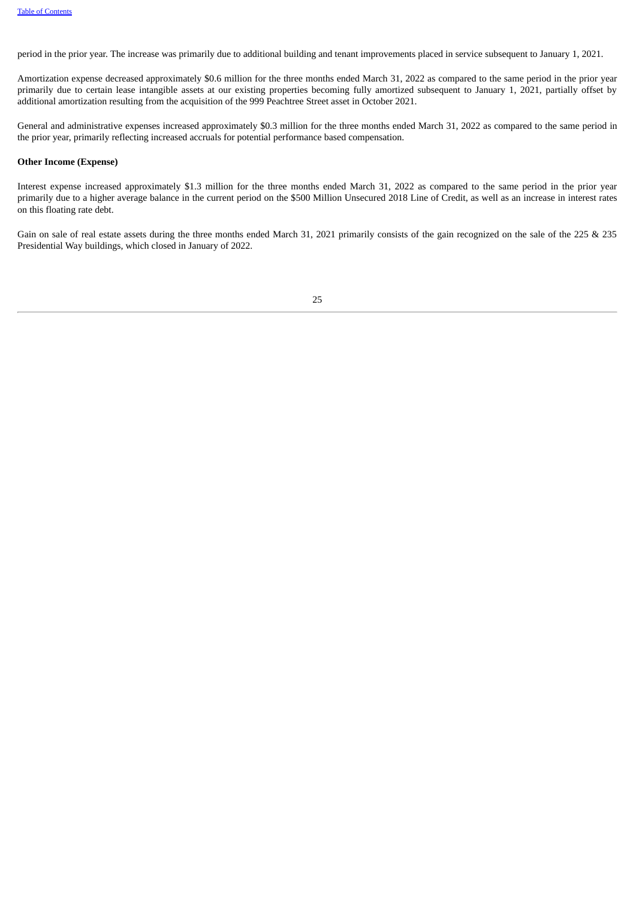period in the prior year. The increase was primarily due to additional building and tenant improvements placed in service subsequent to January 1, 2021.

Amortization expense decreased approximately \$0.6 million for the three months ended March 31, 2022 as compared to the same period in the prior year primarily due to certain lease intangible assets at our existing properties becoming fully amortized subsequent to January 1, 2021, partially offset by additional amortization resulting from the acquisition of the 999 Peachtree Street asset in October 2021.

General and administrative expenses increased approximately \$0.3 million for the three months ended March 31, 2022 as compared to the same period in the prior year, primarily reflecting increased accruals for potential performance based compensation.

#### **Other Income (Expense)**

Interest expense increased approximately \$1.3 million for the three months ended March 31, 2022 as compared to the same period in the prior year primarily due to a higher average balance in the current period on the \$500 Million Unsecured 2018 Line of Credit, as well as an increase in interest rates on this floating rate debt.

Gain on sale of real estate assets during the three months ended March 31, 2021 primarily consists of the gain recognized on the sale of the 225 & 235 Presidential Way buildings, which closed in January of 2022.

| e v |             |
|-----|-------------|
|     | I<br>×<br>٠ |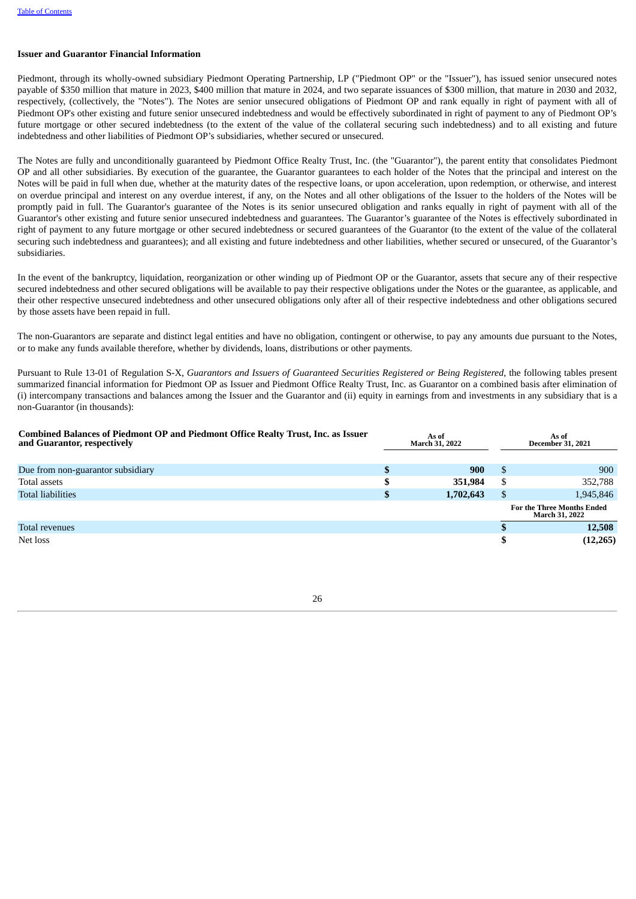#### **Issuer and Guarantor Financial Information**

Piedmont, through its wholly-owned subsidiary Piedmont Operating Partnership, LP ("Piedmont OP" or the "Issuer"), has issued senior unsecured notes payable of \$350 million that mature in 2023, \$400 million that mature in 2024, and two separate issuances of \$300 million, that mature in 2030 and 2032, respectively, (collectively, the "Notes"). The Notes are senior unsecured obligations of Piedmont OP and rank equally in right of payment with all of Piedmont OP's other existing and future senior unsecured indebtedness and would be effectively subordinated in right of payment to any of Piedmont OP's future mortgage or other secured indebtedness (to the extent of the value of the collateral securing such indebtedness) and to all existing and future indebtedness and other liabilities of Piedmont OP's subsidiaries, whether secured or unsecured.

The Notes are fully and unconditionally guaranteed by Piedmont Office Realty Trust, Inc. (the "Guarantor"), the parent entity that consolidates Piedmont OP and all other subsidiaries. By execution of the guarantee, the Guarantor guarantees to each holder of the Notes that the principal and interest on the Notes will be paid in full when due, whether at the maturity dates of the respective loans, or upon acceleration, upon redemption, or otherwise, and interest on overdue principal and interest on any overdue interest, if any, on the Notes and all other obligations of the Issuer to the holders of the Notes will be promptly paid in full. The Guarantor's guarantee of the Notes is its senior unsecured obligation and ranks equally in right of payment with all of the Guarantor's other existing and future senior unsecured indebtedness and guarantees. The Guarantor's guarantee of the Notes is effectively subordinated in right of payment to any future mortgage or other secured indebtedness or secured guarantees of the Guarantor (to the extent of the value of the collateral securing such indebtedness and guarantees); and all existing and future indebtedness and other liabilities, whether secured or unsecured, of the Guarantor's subsidiaries.

In the event of the bankruptcy, liquidation, reorganization or other winding up of Piedmont OP or the Guarantor, assets that secure any of their respective secured indebtedness and other secured obligations will be available to pay their respective obligations under the Notes or the guarantee, as applicable, and their other respective unsecured indebtedness and other unsecured obligations only after all of their respective indebtedness and other obligations secured by those assets have been repaid in full.

The non-Guarantors are separate and distinct legal entities and have no obligation, contingent or otherwise, to pay any amounts due pursuant to the Notes, or to make any funds available therefore, whether by dividends, loans, distributions or other payments.

Pursuant to Rule 13-01 of Regulation S-X, *Guarantors and Issuers of Guaranteed Securities Registered or Being Registered*, the following tables present summarized financial information for Piedmont OP as Issuer and Piedmont Office Realty Trust, Inc. as Guarantor on a combined basis after elimination of (i) intercompany transactions and balances among the Issuer and the Guarantor and (ii) equity in earnings from and investments in any subsidiary that is a non-Guarantor (in thousands):

| <b>Combined Balances of Piedmont OP and Piedmont Office Realty Trust, Inc. as Issuer</b><br>and Guarantor, respectively |   | As of<br><b>March 31, 2022</b> |    | As of<br><b>December 31, 2021</b>                          |
|-------------------------------------------------------------------------------------------------------------------------|---|--------------------------------|----|------------------------------------------------------------|
|                                                                                                                         |   |                                |    |                                                            |
| Due from non-guarantor subsidiary                                                                                       | D | 900                            | -S | 900                                                        |
| Total assets                                                                                                            |   | 351,984                        | S  | 352,788                                                    |
| <b>Total liabilities</b>                                                                                                | D | 1,702,643                      | \$ | 1,945,846                                                  |
|                                                                                                                         |   |                                |    | <b>For the Three Months Ended</b><br><b>March 31, 2022</b> |
| Total revenues                                                                                                          |   |                                |    | 12,508                                                     |
| Net loss                                                                                                                |   |                                |    | (12, 265)                                                  |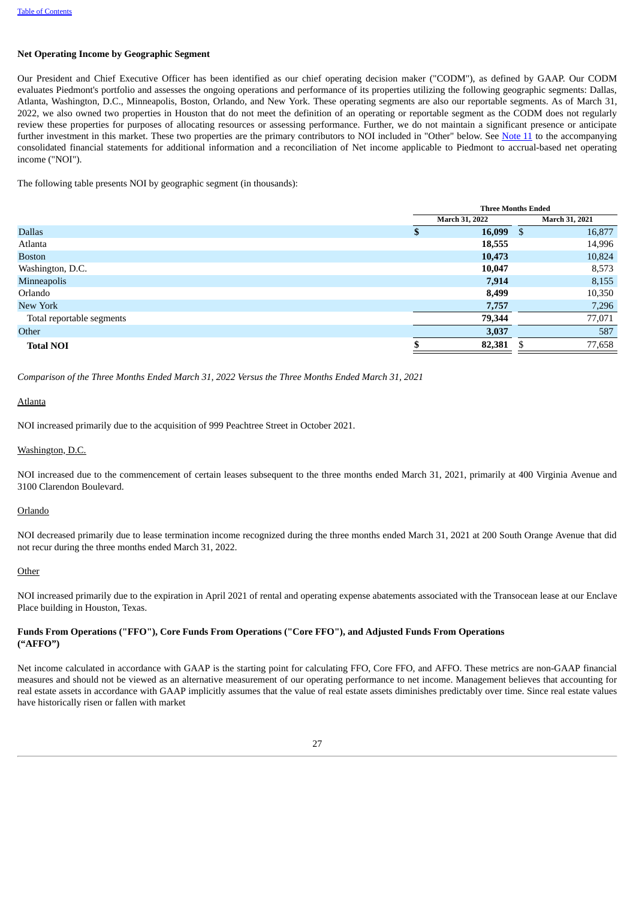#### **Net Operating Income by Geographic Segment**

Our President and Chief Executive Officer has been identified as our chief operating decision maker ("CODM"), as defined by GAAP. Our CODM evaluates Piedmont's portfolio and assesses the ongoing operations and performance of its properties utilizing the following geographic segments: Dallas, Atlanta, Washington, D.C., Minneapolis, Boston, Orlando, and New York. These operating segments are also our reportable segments. As of March 31, 2022, we also owned two properties in Houston that do not meet the definition of an operating or reportable segment as the CODM does not regularly review these properties for purposes of allocating resources or assessing performance. Further, we do not maintain a significant presence or anticipate further investment in this market. These two properties are the primary contributors to NOI included in "Other" below. See [Note](#page-19-0) 11 to the accompanying consolidated financial statements for additional information and a reconciliation of Net income applicable to Piedmont to accrual-based net operating income ("NOI").

The following table presents NOI by geographic segment (in thousands):

|                           |   | <b>Three Months Ended</b> |                |        |  |
|---------------------------|---|---------------------------|----------------|--------|--|
|                           |   | <b>March 31, 2022</b>     | March 31, 2021 |        |  |
| <b>Dallas</b>             | S | $16,099$ \$               |                | 16,877 |  |
| Atlanta                   |   | 18,555                    |                | 14,996 |  |
| <b>Boston</b>             |   | 10,473                    |                | 10,824 |  |
| Washington, D.C.          |   | 10,047                    |                | 8,573  |  |
| Minneapolis               |   | 7,914                     |                | 8,155  |  |
| Orlando                   |   | 8,499                     |                | 10,350 |  |
| New York                  |   | 7,757                     |                | 7,296  |  |
| Total reportable segments |   | 79,344                    |                | 77,071 |  |
| Other                     |   | 3,037                     |                | 587    |  |
| <b>Total NOI</b>          |   | 82,381                    |                | 77,658 |  |

*Comparison of the Three Months Ended March 31, 2022 Versus the Three Months Ended March 31, 2021*

Atlanta

NOI increased primarily due to the acquisition of 999 Peachtree Street in October 2021.

Washington, D.C.

NOI increased due to the commencement of certain leases subsequent to the three months ended March 31, 2021, primarily at 400 Virginia Avenue and 3100 Clarendon Boulevard.

Orlando

NOI decreased primarily due to lease termination income recognized during the three months ended March 31, 2021 at 200 South Orange Avenue that did not recur during the three months ended March 31, 2022.

**Other** 

NOI increased primarily due to the expiration in April 2021 of rental and operating expense abatements associated with the Transocean lease at our Enclave Place building in Houston, Texas.

## **Funds From Operations ("FFO"), Core Funds From Operations ("Core FFO"), and Adjusted Funds From Operations ("AFFO")**

Net income calculated in accordance with GAAP is the starting point for calculating FFO, Core FFO, and AFFO. These metrics are non-GAAP financial measures and should not be viewed as an alternative measurement of our operating performance to net income. Management believes that accounting for real estate assets in accordance with GAAP implicitly assumes that the value of real estate assets diminishes predictably over time. Since real estate values have historically risen or fallen with market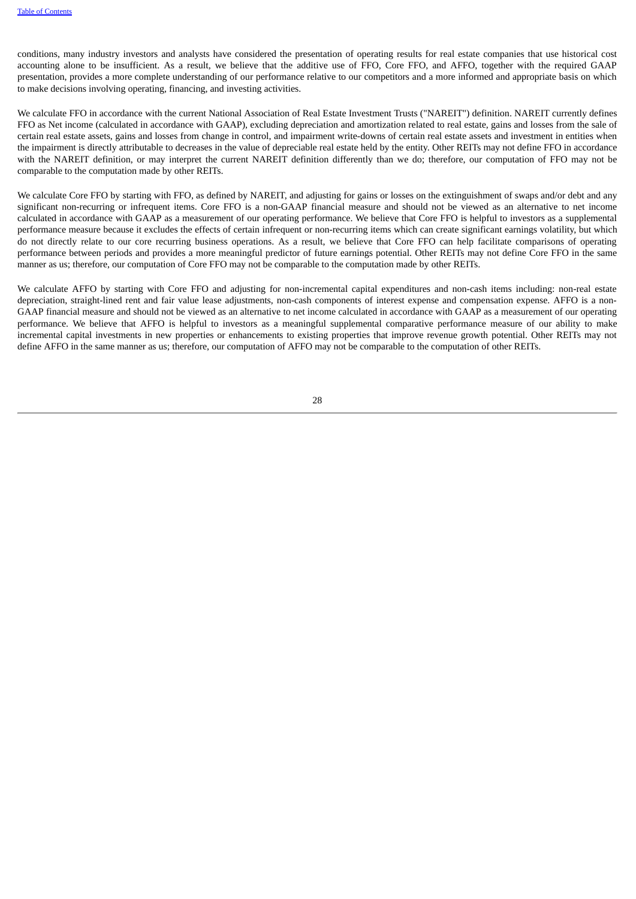conditions, many industry investors and analysts have considered the presentation of operating results for real estate companies that use historical cost accounting alone to be insufficient. As a result, we believe that the additive use of FFO, Core FFO, and AFFO, together with the required GAAP presentation, provides a more complete understanding of our performance relative to our competitors and a more informed and appropriate basis on which to make decisions involving operating, financing, and investing activities.

We calculate FFO in accordance with the current National Association of Real Estate Investment Trusts ("NAREIT") definition. NAREIT currently defines FFO as Net income (calculated in accordance with GAAP), excluding depreciation and amortization related to real estate, gains and losses from the sale of certain real estate assets, gains and losses from change in control, and impairment write-downs of certain real estate assets and investment in entities when the impairment is directly attributable to decreases in the value of depreciable real estate held by the entity. Other REITs may not define FFO in accordance with the NAREIT definition, or may interpret the current NAREIT definition differently than we do; therefore, our computation of FFO may not be comparable to the computation made by other REITs.

We calculate Core FFO by starting with FFO, as defined by NAREIT, and adjusting for gains or losses on the extinguishment of swaps and/or debt and any significant non-recurring or infrequent items. Core FFO is a non-GAAP financial measure and should not be viewed as an alternative to net income calculated in accordance with GAAP as a measurement of our operating performance. We believe that Core FFO is helpful to investors as a supplemental performance measure because it excludes the effects of certain infrequent or non-recurring items which can create significant earnings volatility, but which do not directly relate to our core recurring business operations. As a result, we believe that Core FFO can help facilitate comparisons of operating performance between periods and provides a more meaningful predictor of future earnings potential. Other REITs may not define Core FFO in the same manner as us; therefore, our computation of Core FFO may not be comparable to the computation made by other REITs.

We calculate AFFO by starting with Core FFO and adjusting for non-incremental capital expenditures and non-cash items including: non-real estate depreciation, straight-lined rent and fair value lease adjustments, non-cash components of interest expense and compensation expense. AFFO is a non-GAAP financial measure and should not be viewed as an alternative to net income calculated in accordance with GAAP as a measurement of our operating performance. We believe that AFFO is helpful to investors as a meaningful supplemental comparative performance measure of our ability to make incremental capital investments in new properties or enhancements to existing properties that improve revenue growth potential. Other REITs may not define AFFO in the same manner as us; therefore, our computation of AFFO may not be comparable to the computation of other REITs.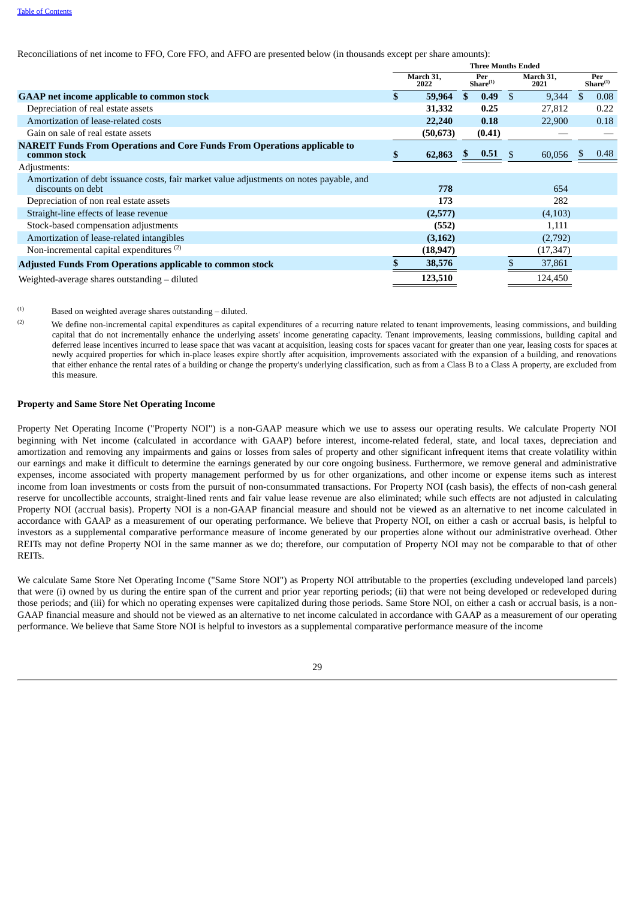Reconciliations of net income to FFO, Core FFO, and AFFO are presented below (in thousands except per share amounts):

|                                                                                                               | <b>Three Months Ended</b>                        |           |     |         |                   |                             |    |      |
|---------------------------------------------------------------------------------------------------------------|--------------------------------------------------|-----------|-----|---------|-------------------|-----------------------------|----|------|
|                                                                                                               | March 31,<br>Per<br>Share <sup>(1)</sup><br>2022 |           |     |         | March 31,<br>2021 | Per<br>Share <sup>(1)</sup> |    |      |
| <b>GAAP</b> net income applicable to common stock                                                             |                                                  | 59,964    | \$. | 0.49    | -\$               | 9,344                       | \$ | 0.08 |
| Depreciation of real estate assets                                                                            |                                                  | 31,332    |     | 0.25    |                   | 27,812                      |    | 0.22 |
| Amortization of lease-related costs                                                                           |                                                  | 22,240    |     | 0.18    |                   | 22,900                      |    | 0.18 |
| Gain on sale of real estate assets                                                                            |                                                  | (50, 673) |     | (0.41)  |                   |                             |    |      |
| <b>NAREIT Funds From Operations and Core Funds From Operations applicable to</b><br>common stock              |                                                  | 62,863    |     | 0.51    | -\$               | 60,056                      |    | 0.48 |
| Adjustments:                                                                                                  |                                                  |           |     |         |                   |                             |    |      |
| Amortization of debt issuance costs, fair market value adjustments on notes payable, and<br>discounts on debt |                                                  | 778       |     |         |                   | 654                         |    |      |
| Depreciation of non real estate assets                                                                        |                                                  | 173       |     |         |                   | 282                         |    |      |
| Straight-line effects of lease revenue                                                                        |                                                  | (2,577)   |     |         |                   | (4,103)                     |    |      |
| Stock-based compensation adjustments                                                                          |                                                  | (552)     |     |         |                   | 1,111                       |    |      |
| Amortization of lease-related intangibles                                                                     |                                                  | (3, 162)  |     |         |                   | (2,792)                     |    |      |
| Non-incremental capital expenditures <sup>(2)</sup>                                                           |                                                  | (18, 947) |     |         |                   | (17, 347)                   |    |      |
| <b>Adjusted Funds From Operations applicable to common stock</b>                                              |                                                  | 38,576    |     |         |                   | 37,861                      |    |      |
| Weighted-average shares outstanding – diluted                                                                 | 123,510                                          |           |     | 124,450 |                   |                             |    |      |

Based on weighted average shares outstanding – diluted.  $(1)$ 

We define non-incremental capital expenditures as capital expenditures of a recurring nature related to tenant improvements, leasing commissions, and building capital that do not incrementally enhance the underlying assets' income generating capacity. Tenant improvements, leasing commissions, building capital and deferred lease incentives incurred to lease space that was vacant at acquisition, leasing costs for spaces vacant for greater than one year, leasing costs for spaces at newly acquired properties for which in-place leases expire shortly after acquisition, improvements associated with the expansion of a building, and renovations that either enhance the rental rates of a building or change the property's underlying classification, such as from a Class B to a Class A property, are excluded from this measure. (2)

#### **Property and Same Store Net Operating Income**

Property Net Operating Income ("Property NOI") is a non-GAAP measure which we use to assess our operating results. We calculate Property NOI beginning with Net income (calculated in accordance with GAAP) before interest, income-related federal, state, and local taxes, depreciation and amortization and removing any impairments and gains or losses from sales of property and other significant infrequent items that create volatility within our earnings and make it difficult to determine the earnings generated by our core ongoing business. Furthermore, we remove general and administrative expenses, income associated with property management performed by us for other organizations, and other income or expense items such as interest income from loan investments or costs from the pursuit of non-consummated transactions. For Property NOI (cash basis), the effects of non-cash general reserve for uncollectible accounts, straight-lined rents and fair value lease revenue are also eliminated; while such effects are not adjusted in calculating Property NOI (accrual basis). Property NOI is a non-GAAP financial measure and should not be viewed as an alternative to net income calculated in accordance with GAAP as a measurement of our operating performance. We believe that Property NOI, on either a cash or accrual basis, is helpful to investors as a supplemental comparative performance measure of income generated by our properties alone without our administrative overhead. Other REITs may not define Property NOI in the same manner as we do; therefore, our computation of Property NOI may not be comparable to that of other REITs.

We calculate Same Store Net Operating Income ("Same Store NOI") as Property NOI attributable to the properties (excluding undeveloped land parcels) that were (i) owned by us during the entire span of the current and prior year reporting periods; (ii) that were not being developed or redeveloped during those periods; and (iii) for which no operating expenses were capitalized during those periods. Same Store NOI, on either a cash or accrual basis, is a non-GAAP financial measure and should not be viewed as an alternative to net income calculated in accordance with GAAP as a measurement of our operating performance. We believe that Same Store NOI is helpful to investors as a supplemental comparative performance measure of the income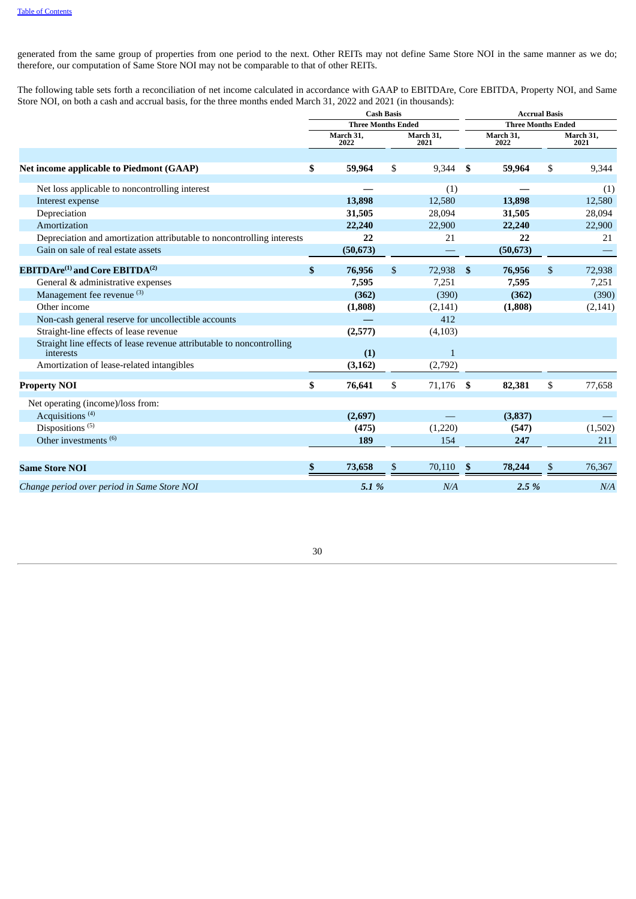generated from the same group of properties from one period to the next. Other REITs may not define Same Store NOI in the same manner as we do; therefore, our computation of Same Store NOI may not be comparable to that of other REITs.

The following table sets forth a reconciliation of net income calculated in accordance with GAAP to EBITDAre, Core EBITDA, Property NOI, and Same Store NOI, on both a cash and accrual basis, for the three months ended March 31, 2022 and 2021 (in thousands):

|                                                                                    | <b>Cash Basis</b><br><b>Three Months Ended</b> |                   |                   |              | <b>Accrual Basis</b>      |                   |    |                   |  |  |
|------------------------------------------------------------------------------------|------------------------------------------------|-------------------|-------------------|--------------|---------------------------|-------------------|----|-------------------|--|--|
|                                                                                    |                                                |                   |                   |              | <b>Three Months Ended</b> |                   |    |                   |  |  |
|                                                                                    |                                                | March 31,<br>2022 | March 31,<br>2021 |              |                           | March 31,<br>2022 |    | March 31,<br>2021 |  |  |
|                                                                                    |                                                |                   |                   |              |                           |                   |    |                   |  |  |
| Net income applicable to Piedmont (GAAP)                                           | \$                                             | 59,964            | \$                | 9,344        | -\$                       | 59,964            | \$ | 9,344             |  |  |
| Net loss applicable to noncontrolling interest                                     |                                                |                   |                   | (1)          |                           |                   |    | (1)               |  |  |
| Interest expense                                                                   |                                                | 13,898            |                   | 12,580       |                           | 13,898            |    | 12,580            |  |  |
| Depreciation                                                                       |                                                | 31,505            |                   | 28,094       |                           | 31,505            |    | 28,094            |  |  |
| Amortization                                                                       |                                                | 22,240            |                   | 22,900       |                           | 22,240            |    | 22,900            |  |  |
| Depreciation and amortization attributable to noncontrolling interests             |                                                | 22                |                   | 21           |                           | 22                |    | 21                |  |  |
| Gain on sale of real estate assets                                                 |                                                | (50, 673)         |                   |              |                           | (50, 673)         |    |                   |  |  |
| <b>EBITDAre<sup>(1)</sup></b> and Core EBITDA <sup>(2)</sup>                       | \$                                             | 76,956            | \$                | 72,938       | \$                        | 76,956            | \$ | 72,938            |  |  |
| General & administrative expenses                                                  |                                                | 7,595             |                   | 7,251        |                           | 7,595             |    | 7,251             |  |  |
| Management fee revenue (3)                                                         |                                                | (362)             |                   | (390)        |                           | (362)             |    | (390)             |  |  |
| Other income                                                                       |                                                | (1,808)           |                   | (2, 141)     |                           | (1,808)           |    | (2, 141)          |  |  |
| Non-cash general reserve for uncollectible accounts                                |                                                |                   |                   | 412          |                           |                   |    |                   |  |  |
| Straight-line effects of lease revenue                                             |                                                | (2,577)           |                   | (4, 103)     |                           |                   |    |                   |  |  |
| Straight line effects of lease revenue attributable to noncontrolling<br>interests |                                                | (1)               |                   | $\mathbf{1}$ |                           |                   |    |                   |  |  |
| Amortization of lease-related intangibles                                          |                                                | (3, 162)          |                   | (2,792)      |                           |                   |    |                   |  |  |
| <b>Property NOI</b>                                                                | \$                                             | 76,641            | \$                | 71,176 \$    |                           | 82,381            | \$ | 77,658            |  |  |
| Net operating (income)/loss from:                                                  |                                                |                   |                   |              |                           |                   |    |                   |  |  |
| Acquisitions <sup>(4)</sup>                                                        |                                                | (2,697)           |                   |              |                           | (3, 837)          |    |                   |  |  |
| Dispositions <sup>(5)</sup>                                                        |                                                | (475)             |                   | (1,220)      |                           | (547)             |    | (1,502)           |  |  |
| Other investments <sup>(6)</sup>                                                   |                                                | 189               |                   | 154          |                           | 247               |    | 211               |  |  |
|                                                                                    |                                                |                   |                   |              |                           |                   |    |                   |  |  |
| <b>Same Store NOI</b>                                                              | \$                                             | 73,658            | \$.               | 70,110       | - \$                      | 78,244            | \$ | 76,367            |  |  |
| Change period over period in Same Store NOI                                        |                                                | 5.1 %             |                   | N/A          |                           | 2.5 %             |    | N/A               |  |  |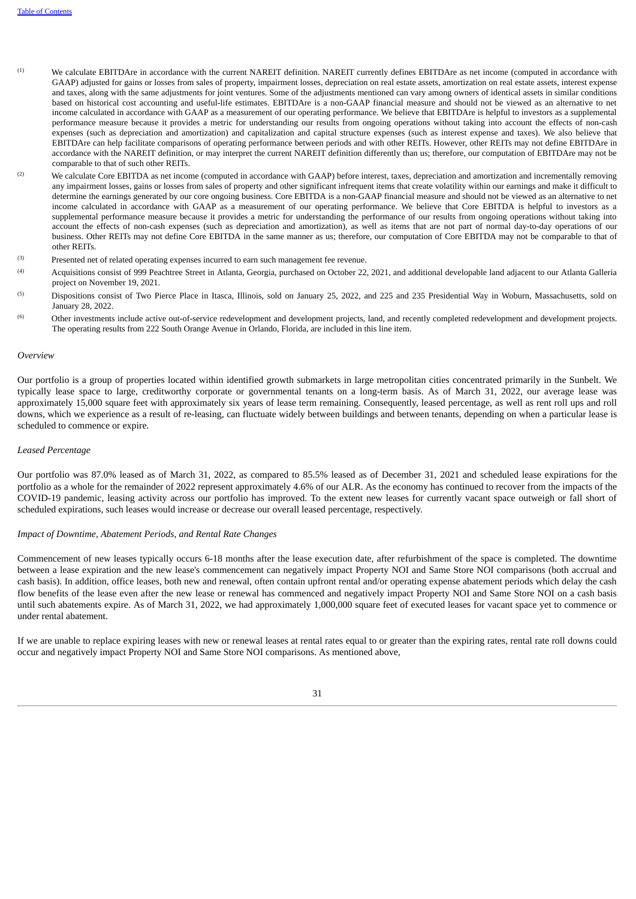- We calculate EBITDAre in accordance with the current NAREIT definition. NAREIT currently defines EBITDAre as net income (computed in accordance with GAAP) adjusted for gains or losses from sales of property, impairment losses, depreciation on real estate assets, amortization on real estate assets, interest expense and taxes, along with the same adjustments for joint ventures. Some of the adjustments mentioned can vary among owners of identical assets in similar conditions based on historical cost accounting and useful-life estimates. EBITDAre is a non-GAAP financial measure and should not be viewed as an alternative to net income calculated in accordance with GAAP as a measurement of our operating performance. We believe that EBITDAre is helpful to investors as a supplemental performance measure because it provides a metric for understanding our results from ongoing operations without taking into account the effects of non-cash expenses (such as depreciation and amortization) and capitalization and capital structure expenses (such as interest expense and taxes). We also believe that EBITDAre can help facilitate comparisons of operating performance between periods and with other REITs. However, other REITs may not define EBITDAre in accordance with the NAREIT definition, or may interpret the current NAREIT definition differently than us; therefore, our computation of EBITDAre may not be comparable to that of such other REITs.  $(1)$
- We calculate Core EBITDA as net income (computed in accordance with GAAP) before interest, taxes, depreciation and amortization and incrementally removing any impairment losses, gains or losses from sales of property and other significant infrequent items that create volatility within our earnings and make it difficult to determine the earnings generated by our core ongoing business. Core EBITDA is a non-GAAP financial measure and should not be viewed as an alternative to net income calculated in accordance with GAAP as a measurement of our operating performance. We believe that Core EBITDA is helpful to investors as a supplemental performance measure because it provides a metric for understanding the performance of our results from ongoing operations without taking into account the effects of non-cash expenses (such as depreciation and amortization), as well as items that are not part of normal day-to-day operations of our business. Other REITs may not define Core EBITDA in the same manner as us; therefore, our computation of Core EBITDA may not be comparable to that of other REITs. (2)
- Presented net of related operating expenses incurred to earn such management fee revenue. (3)
- Acquisitions consist of 999 Peachtree Street in Atlanta, Georgia, purchased on October 22, 2021, and additional developable land adjacent to our Atlanta Galleria project on November 19, 2021. (4)
- Dispositions consist of Two Pierce Place in Itasca, Illinois, sold on January 25, 2022, and 225 and 235 Presidential Way in Woburn, Massachusetts, sold on January 28, 2022. (5)
- Other investments include active out-of-service redevelopment and development projects, land, and recently completed redevelopment and development projects. The operating results from 222 South Orange Avenue in Orlando, Florida, are included in this line item. (6)

#### *Overview*

Our portfolio is a group of properties located within identified growth submarkets in large metropolitan cities concentrated primarily in the Sunbelt. We typically lease space to large, creditworthy corporate or governmental tenants on a long-term basis. As of March 31, 2022, our average lease was approximately 15,000 square feet with approximately six years of lease term remaining. Consequently, leased percentage, as well as rent roll ups and roll downs, which we experience as a result of re-leasing, can fluctuate widely between buildings and between tenants, depending on when a particular lease is scheduled to commence or expire.

#### *Leased Percentage*

Our portfolio was 87.0% leased as of March 31, 2022, as compared to 85.5% leased as of December 31, 2021 and scheduled lease expirations for the portfolio as a whole for the remainder of 2022 represent approximately 4.6% of our ALR. As the economy has continued to recover from the impacts of the COVID-19 pandemic, leasing activity across our portfolio has improved. To the extent new leases for currently vacant space outweigh or fall short of scheduled expirations, such leases would increase or decrease our overall leased percentage, respectively.

#### *Impact of Downtime, Abatement Periods, and Rental Rate Changes*

Commencement of new leases typically occurs 6-18 months after the lease execution date, after refurbishment of the space is completed. The downtime between a lease expiration and the new lease's commencement can negatively impact Property NOI and Same Store NOI comparisons (both accrual and cash basis). In addition, office leases, both new and renewal, often contain upfront rental and/or operating expense abatement periods which delay the cash flow benefits of the lease even after the new lease or renewal has commenced and negatively impact Property NOI and Same Store NOI on a cash basis until such abatements expire. As of March 31, 2022, we had approximately 1,000,000 square feet of executed leases for vacant space yet to commence or under rental abatement.

If we are unable to replace expiring leases with new or renewal leases at rental rates equal to or greater than the expiring rates, rental rate roll downs could occur and negatively impact Property NOI and Same Store NOI comparisons. As mentioned above,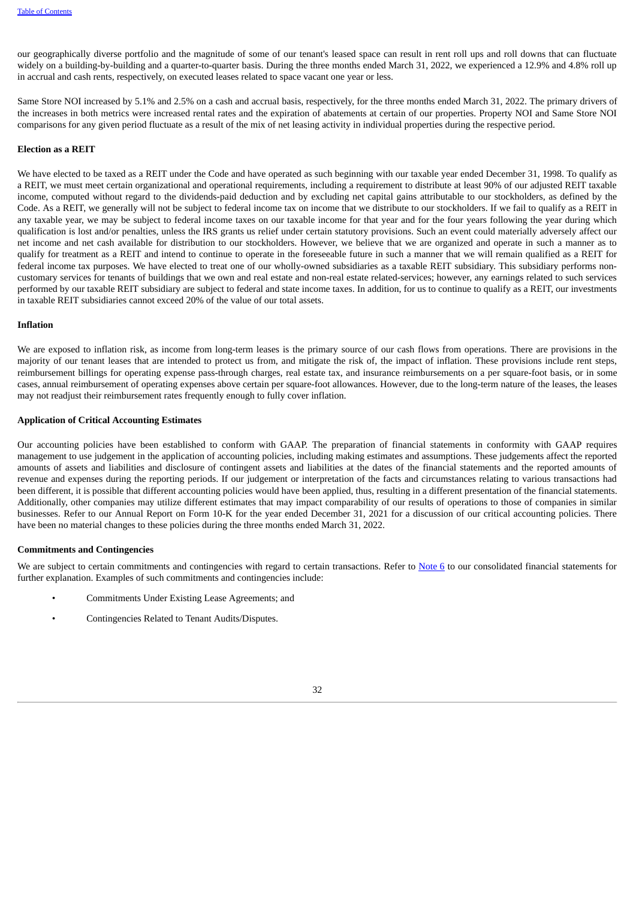our geographically diverse portfolio and the magnitude of some of our tenant's leased space can result in rent roll ups and roll downs that can fluctuate widely on a building-by-building and a quarter-to-quarter basis. During the three months ended March 31, 2022, we experienced a 12.9% and 4.8% roll up in accrual and cash rents, respectively, on executed leases related to space vacant one year or less.

Same Store NOI increased by 5.1% and 2.5% on a cash and accrual basis, respectively, for the three months ended March 31, 2022. The primary drivers of the increases in both metrics were increased rental rates and the expiration of abatements at certain of our properties. Property NOI and Same Store NOI comparisons for any given period fluctuate as a result of the mix of net leasing activity in individual properties during the respective period.

#### **Election as a REIT**

We have elected to be taxed as a REIT under the Code and have operated as such beginning with our taxable year ended December 31, 1998. To qualify as a REIT, we must meet certain organizational and operational requirements, including a requirement to distribute at least 90% of our adjusted REIT taxable income, computed without regard to the dividends-paid deduction and by excluding net capital gains attributable to our stockholders, as defined by the Code. As a REIT, we generally will not be subject to federal income tax on income that we distribute to our stockholders. If we fail to qualify as a REIT in any taxable year, we may be subject to federal income taxes on our taxable income for that year and for the four years following the year during which qualification is lost and/or penalties, unless the IRS grants us relief under certain statutory provisions. Such an event could materially adversely affect our net income and net cash available for distribution to our stockholders. However, we believe that we are organized and operate in such a manner as to qualify for treatment as a REIT and intend to continue to operate in the foreseeable future in such a manner that we will remain qualified as a REIT for federal income tax purposes. We have elected to treat one of our wholly-owned subsidiaries as a taxable REIT subsidiary. This subsidiary performs noncustomary services for tenants of buildings that we own and real estate and non-real estate related-services; however, any earnings related to such services performed by our taxable REIT subsidiary are subject to federal and state income taxes. In addition, for us to continue to qualify as a REIT, our investments in taxable REIT subsidiaries cannot exceed 20% of the value of our total assets.

#### **Inflation**

We are exposed to inflation risk, as income from long-term leases is the primary source of our cash flows from operations. There are provisions in the majority of our tenant leases that are intended to protect us from, and mitigate the risk of, the impact of inflation. These provisions include rent steps, reimbursement billings for operating expense pass-through charges, real estate tax, and insurance reimbursements on a per square-foot basis, or in some cases, annual reimbursement of operating expenses above certain per square-foot allowances. However, due to the long-term nature of the leases, the leases may not readjust their reimbursement rates frequently enough to fully cover inflation.

#### **Application of Critical Accounting Estimates**

Our accounting policies have been established to conform with GAAP. The preparation of financial statements in conformity with GAAP requires management to use judgement in the application of accounting policies, including making estimates and assumptions. These judgements affect the reported amounts of assets and liabilities and disclosure of contingent assets and liabilities at the dates of the financial statements and the reported amounts of revenue and expenses during the reporting periods. If our judgement or interpretation of the facts and circumstances relating to various transactions had been different, it is possible that different accounting policies would have been applied, thus, resulting in a different presentation of the financial statements. Additionally, other companies may utilize different estimates that may impact comparability of our results of operations to those of companies in similar businesses. Refer to our Annual Report on Form 10-K for the year ended December 31, 2021 for a discussion of our critical accounting policies. There have been no material changes to these policies during the three months ended March 31, 2022.

#### **Commitments and Contingencies**

We are subject to certain commitments and contingencies with regard to certain transactions. Refer to **[Note](#page-14-0) 6** to our consolidated financial statements for further explanation. Examples of such commitments and contingencies include:

- Commitments Under Existing Lease Agreements; and
- <span id="page-31-0"></span>• Contingencies Related to Tenant Audits/Disputes.

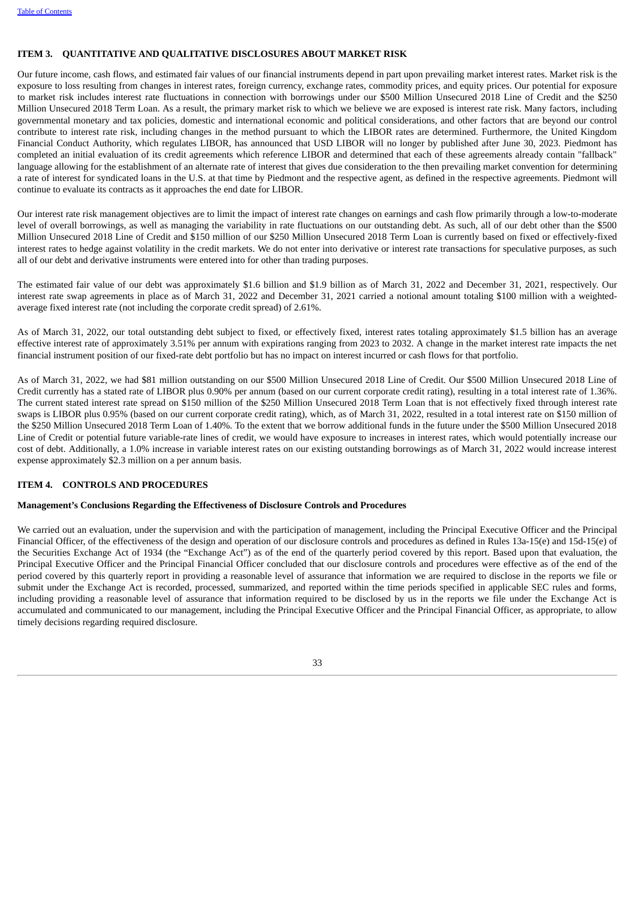#### **ITEM 3. QUANTITATIVE AND QUALITATIVE DISCLOSURES ABOUT MARKET RISK**

Our future income, cash flows, and estimated fair values of our financial instruments depend in part upon prevailing market interest rates. Market risk is the exposure to loss resulting from changes in interest rates, foreign currency, exchange rates, commodity prices, and equity prices. Our potential for exposure to market risk includes interest rate fluctuations in connection with borrowings under our \$500 Million Unsecured 2018 Line of Credit and the \$250 Million Unsecured 2018 Term Loan. As a result, the primary market risk to which we believe we are exposed is interest rate risk. Many factors, including governmental monetary and tax policies, domestic and international economic and political considerations, and other factors that are beyond our control contribute to interest rate risk, including changes in the method pursuant to which the LIBOR rates are determined. Furthermore, the United Kingdom Financial Conduct Authority, which regulates LIBOR, has announced that USD LIBOR will no longer by published after June 30, 2023. Piedmont has completed an initial evaluation of its credit agreements which reference LIBOR and determined that each of these agreements already contain "fallback" language allowing for the establishment of an alternate rate of interest that gives due consideration to the then prevailing market convention for determining a rate of interest for syndicated loans in the U.S. at that time by Piedmont and the respective agent, as defined in the respective agreements. Piedmont will continue to evaluate its contracts as it approaches the end date for LIBOR.

Our interest rate risk management objectives are to limit the impact of interest rate changes on earnings and cash flow primarily through a low-to-moderate level of overall borrowings, as well as managing the variability in rate fluctuations on our outstanding debt. As such, all of our debt other than the \$500 Million Unsecured 2018 Line of Credit and \$150 million of our \$250 Million Unsecured 2018 Term Loan is currently based on fixed or effectively-fixed interest rates to hedge against volatility in the credit markets. We do not enter into derivative or interest rate transactions for speculative purposes, as such all of our debt and derivative instruments were entered into for other than trading purposes.

The estimated fair value of our debt was approximately \$1.6 billion and \$1.9 billion as of March 31, 2022 and December 31, 2021, respectively. Our interest rate swap agreements in place as of March 31, 2022 and December 31, 2021 carried a notional amount totaling \$100 million with a weightedaverage fixed interest rate (not including the corporate credit spread) of 2.61%.

As of March 31, 2022, our total outstanding debt subject to fixed, or effectively fixed, interest rates totaling approximately \$1.5 billion has an average effective interest rate of approximately 3.51% per annum with expirations ranging from 2023 to 2032. A change in the market interest rate impacts the net financial instrument position of our fixed-rate debt portfolio but has no impact on interest incurred or cash flows for that portfolio.

As of March 31, 2022, we had \$81 million outstanding on our \$500 Million Unsecured 2018 Line of Credit. Our \$500 Million Unsecured 2018 Line of Credit currently has a stated rate of LIBOR plus 0.90% per annum (based on our current corporate credit rating), resulting in a total interest rate of 1.36%. The current stated interest rate spread on \$150 million of the \$250 Million Unsecured 2018 Term Loan that is not effectively fixed through interest rate swaps is LIBOR plus 0.95% (based on our current corporate credit rating), which, as of March 31, 2022, resulted in a total interest rate on \$150 million of the \$250 Million Unsecured 2018 Term Loan of 1.40%. To the extent that we borrow additional funds in the future under the \$500 Million Unsecured 2018 Line of Credit or potential future variable-rate lines of credit, we would have exposure to increases in interest rates, which would potentially increase our cost of debt. Additionally, a 1.0% increase in variable interest rates on our existing outstanding borrowings as of March 31, 2022 would increase interest expense approximately \$2.3 million on a per annum basis.

#### <span id="page-32-0"></span>**ITEM 4. CONTROLS AND PROCEDURES**

#### **Management's Conclusions Regarding the Effectiveness of Disclosure Controls and Procedures**

We carried out an evaluation, under the supervision and with the participation of management, including the Principal Executive Officer and the Principal Financial Officer, of the effectiveness of the design and operation of our disclosure controls and procedures as defined in Rules 13a-15(e) and 15d-15(e) of the Securities Exchange Act of 1934 (the "Exchange Act") as of the end of the quarterly period covered by this report. Based upon that evaluation, the Principal Executive Officer and the Principal Financial Officer concluded that our disclosure controls and procedures were effective as of the end of the period covered by this quarterly report in providing a reasonable level of assurance that information we are required to disclose in the reports we file or submit under the Exchange Act is recorded, processed, summarized, and reported within the time periods specified in applicable SEC rules and forms, including providing a reasonable level of assurance that information required to be disclosed by us in the reports we file under the Exchange Act is accumulated and communicated to our management, including the Principal Executive Officer and the Principal Financial Officer, as appropriate, to allow timely decisions regarding required disclosure.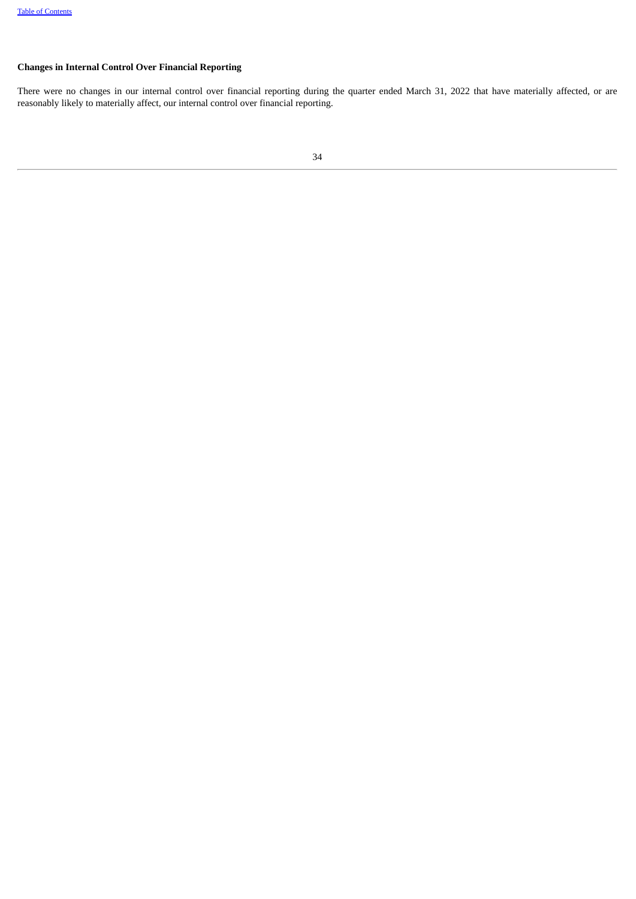## **Changes in Internal Control Over Financial Reporting**

There were no changes in our internal control over financial reporting during the quarter ended March 31, 2022 that have materially affected, or are reasonably likely to materially affect, our internal control over financial reporting.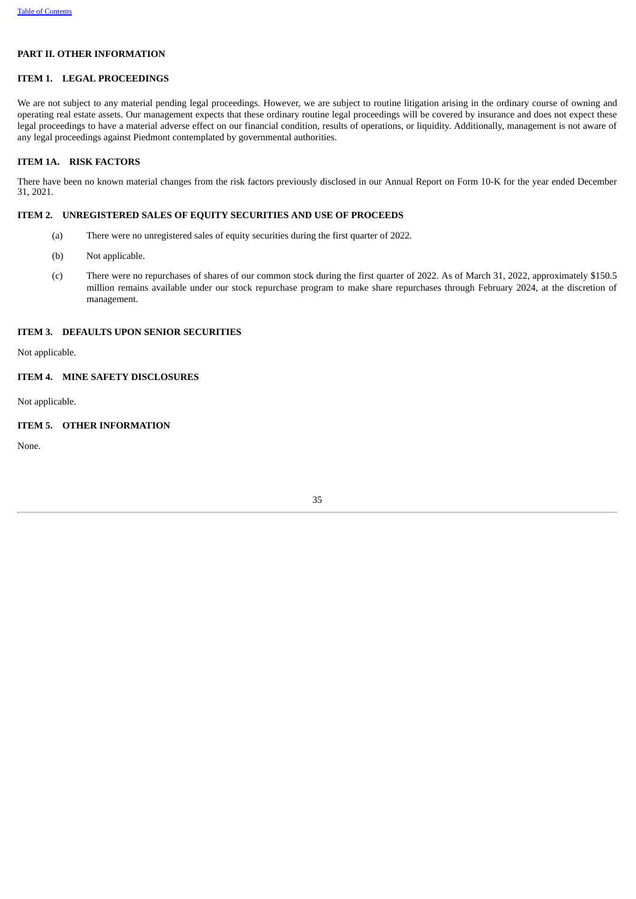#### **PART II. OTHER INFORMATION**

## <span id="page-34-0"></span>**ITEM 1. LEGAL PROCEEDINGS**

We are not subject to any material pending legal proceedings. However, we are subject to routine litigation arising in the ordinary course of owning and operating real estate assets. Our management expects that these ordinary routine legal proceedings will be covered by insurance and does not expect these legal proceedings to have a material adverse effect on our financial condition, results of operations, or liquidity. Additionally, management is not aware of any legal proceedings against Piedmont contemplated by governmental authorities.

## <span id="page-34-1"></span>**ITEM 1A. RISK FACTORS**

There have been no known material changes from the risk factors previously disclosed in our Annual Report on Form 10-K for the year ended December 31, 2021.

## <span id="page-34-2"></span>**ITEM 2. UNREGISTERED SALES OF EQUITY SECURITIES AND USE OF PROCEEDS**

- (a) There were no unregistered sales of equity securities during the first quarter of 2022.
- (b) Not applicable.
- (c) There were no repurchases of shares of our common stock during the first quarter of 2022. As of March 31, 2022, approximately \$150.5 million remains available under our stock repurchase program to make share repurchases through February 2024, at the discretion of management.

#### <span id="page-34-3"></span>**ITEM 3. DEFAULTS UPON SENIOR SECURITIES**

Not applicable.

#### <span id="page-34-4"></span>**ITEM 4. MINE SAFETY DISCLOSURES**

Not applicable.

## <span id="page-34-5"></span>**ITEM 5. OTHER INFORMATION**

<span id="page-34-6"></span>None.

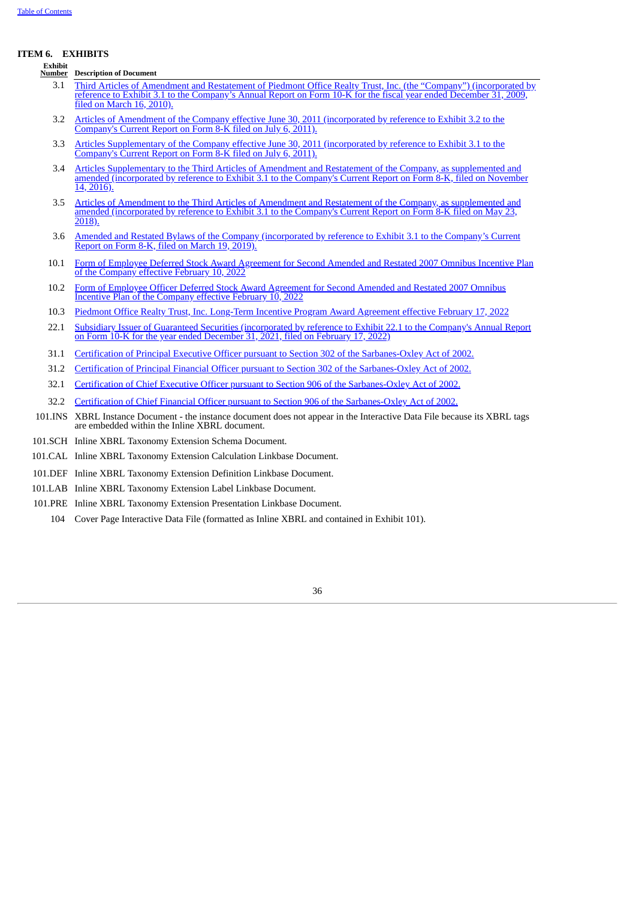#### **ITEM 6. EXHIBITS**

**Exhibit**

**Number Description of Document**

- 3.1 Third Articles of Amendment and Restatement of Piedmont Office Realty Trust, Inc. (the "Company") [\(incorporated](http://www.sec.gov/Archives/edgar/data/1042776/000119312510058371/dex31.htm) by reference to Exhibit 3.1 to the Company's Annual Report on Form 10-K for the fiscal year ended December 31, 2009, filed on March 16, 2010).
- 3.2 Articles of Amendment of the Company effective June 30, 2011 [\(incorporated](http://www.sec.gov/Archives/edgar/data/1042776/000104277611000057/ex32articlesofamendmentofp.htm) by reference to Exhibit 3.2 to the Company's Current Report on Form 8-K filed on July 6, 2011).
- 3.3 Articles [Supplementary](http://www.sec.gov/Archives/edgar/data/1042776/000104277611000057/ex31articlessupplementaryo.htm) of the Company effective June 30, 2011 (incorporated by reference to Exhibit 3.1 to the Company's Current Report on Form 8-K filed on July 6, 2011).
- 3.4 Articles [Supplementary](http://www.sec.gov/Archives/edgar/data/1042776/000104277616000359/ex31articlessupplementaryt.htm) to the Third Articles of Amendment and Restatement of the Company, as supplemented and amended (incorporated by reference to Exhibit 3.1 to the Company's Current Report on Form 8-K, filed on November 14, 2016).
- 3.5 Articles of Amendment to the Third Articles of Amendment and Restatement of the Company, as [supplemented](http://www.sec.gov/Archives/edgar/data/1042776/000119312518171309/d759625dex31.htm) and amended (incorporated by reference to Exhibit 3.1 to the Company's Current Report on Form 8-K filed on May 23, 2018).
- 3.6 Amended and Restated Bylaws of the Company [\(incorporated](http://www.sec.gov/Archives/edgar/data/1042776/000117494719000389/c516377_ex3-1.htm) by reference to Exhibit 3.1 to the Company's Current Report on Form 8-K, filed on March 19, 2019).
- 10.1 Form of Employee Deferred Stock Award [Agreement](#page-37-0) for Second Amended and Restated 2007 Omnibus Incentive Plan of the Company effective February 10, 2022
- 10.2 Form of Employee Officer Deferred Stock Award [Agreement](#page-43-0) for Second Amended and Restated 2007 Omnibus Incentive Plan of the Company effective [February](#page-43-0) 10, 2022
- 10.3 Piedmont Office Realty Trust, Inc. [Long-Term](#page-48-0) Incentive Program Award Agreement effective February 17, 2022
- 22.1 Subsidiary Issuer of Guaranteed Securities [\(incorporated](http://www.sec.gov/Archives/edgar/data/0001042776/000104277622000061/pdm123121ex221.htm) by reference to Exhibit 22.1 to the Company's Annual Report on Form 10-K for the year ended December 31, 2021, filed on February 17, 2022)
- 31.1 Certification of Principal Executive Officer pursuant to Section 302 of the [Sarbanes-Oxley](#page-54-0) Act of 2002.
- 31.2 Certification of Principal Financial Officer pursuant to Section 302 of the [Sarbanes-Oxley](#page-55-0) Act of 2002.
- 32.1 Certification of Chief Executive Officer pursuant to Section 906 of the [Sarbanes-Oxley](#page-56-0) Act of 2002.
- 32.2 Certification of Chief Financial Officer pursuant to Section 906 of the [Sarbanes-Oxley](#page-57-0) Act of 2002.
- 101.INS XBRL Instance Document the instance document does not appear in the Interactive Data File because its XBRL tags are embedded within the Inline XBRL document.
- 101.SCH Inline XBRL Taxonomy Extension Schema Document.
- 101.CAL Inline XBRL Taxonomy Extension Calculation Linkbase Document.
- 101.DEF Inline XBRL Taxonomy Extension Definition Linkbase Document.
- 101.LAB Inline XBRL Taxonomy Extension Label Linkbase Document.
- 101.PRE Inline XBRL Taxonomy Extension Presentation Linkbase Document.
	- 104 Cover Page Interactive Data File (formatted as Inline XBRL and contained in Exhibit 101).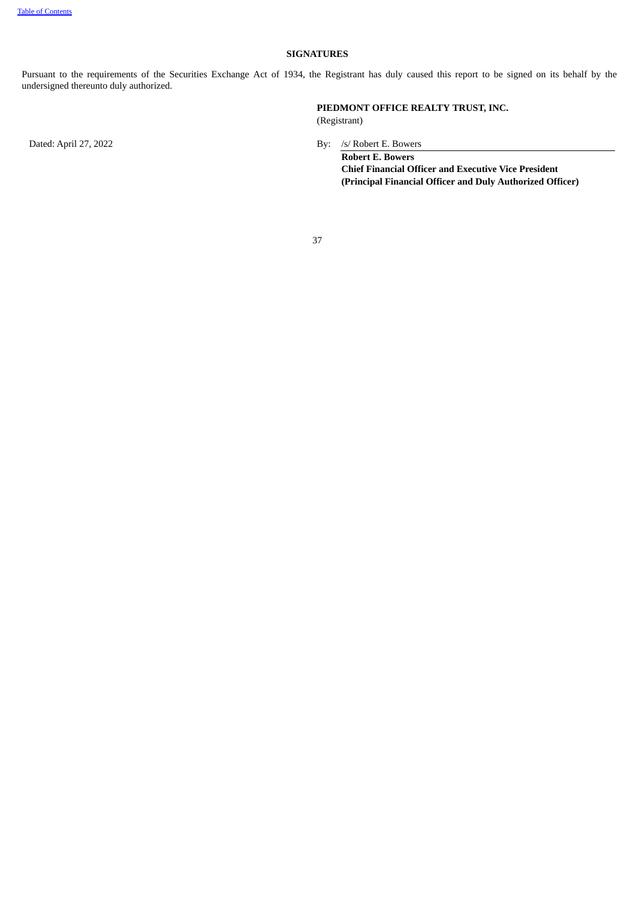#### **SIGNATURES**

Pursuant to the requirements of the Securities Exchange Act of 1934, the Registrant has duly caused this report to be signed on its behalf by the undersigned thereunto duly authorized.

**PIEDMONT OFFICE REALTY TRUST, INC.** (Registrant)

Dated: April 27, 2022 By: /s/ Robert E. Bowers

**Robert E. Bowers Chief Financial Officer and Executive Vice President (Principal Financial Officer and Duly Authorized Officer)**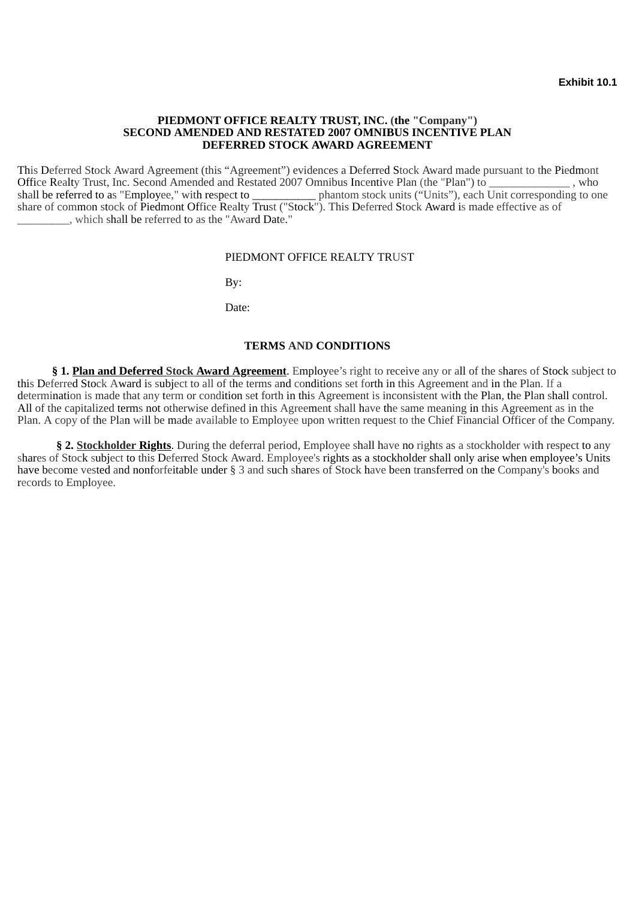## <span id="page-37-0"></span>**PIEDMONT OFFICE REALTY TRUST, INC. (the "Company") SECOND AMENDED AND RESTATED 2007 OMNIBUS INCENTIVE PLAN DEFERRED STOCK AWARD AGREEMENT**

This Deferred Stock Award Agreement (this "Agreement") evidences a Deferred Stock Award made pursuant to the Piedmont Office Realty Trust, Inc. Second Amended and Restated 2007 Omnibus Incentive Plan (the "Plan") to \_\_\_\_\_\_\_\_\_\_\_\_\_\_\_\_\_, who shall be referred to as "Employee." with respect to phantom stock units ("Units"), each Unit correspo phantom stock units ("Units"), each Unit corresponding to one share of common stock of Piedmont Office Realty Trust ("Stock"). This Deferred Stock Award is made effective as of \_\_\_\_\_\_\_\_\_, which shall be referred to as the "Award Date."

## PIEDMONT OFFICE REALTY TRUST

By:

Date:

## **TERMS AND CONDITIONS**

**§ 1. Plan and Deferred Stock Award Agreement**. Employee's right to receive any or all of the shares of Stock subject to this Deferred Stock Award is subject to all of the terms and conditions set forth in this Agreement and in the Plan. If a determination is made that any term or condition set forth in this Agreement is inconsistent with the Plan, the Plan shall control. All of the capitalized terms not otherwise defined in this Agreement shall have the same meaning in this Agreement as in the Plan. A copy of the Plan will be made available to Employee upon written request to the Chief Financial Officer of the Company.

**§ 2. Stockholder Rights**. During the deferral period, Employee shall have no rights as a stockholder with respect to any shares of Stock subject to this Deferred Stock Award. Employee's rights as a stockholder shall only arise when employee's Units have become vested and nonforfeitable under § 3 and such shares of Stock have been transferred on the Company's books and records to Employee.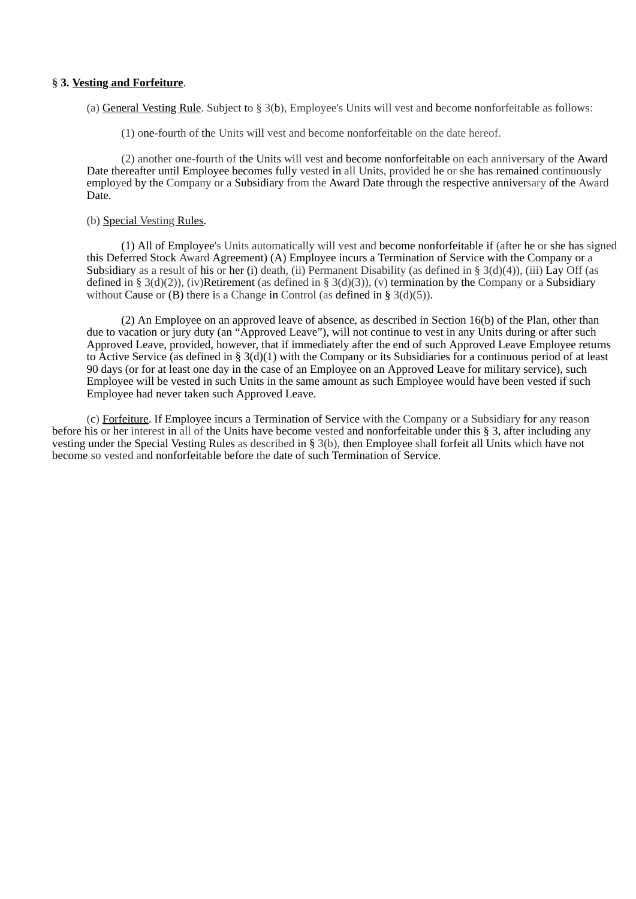## **§ 3. Vesting and Forfeiture**.

(a) General Vesting Rule. Subject to  $\S 3(b)$ , Employee's Units will vest and become nonforfeitable as follows:

(1) one-fourth of the Units will vest and become nonforfeitable on the date hereof.

(2) another one-fourth of the Units will vest and become nonforfeitable on each anniversary of the Award Date thereafter until Employee becomes fully vested in all Units, provided he or she has remained continuously employed by the Company or a Subsidiary from the Award Date through the respective anniversary of the Award Date.

## (b) Special Vesting Rules.

(1) All of Employee's Units automatically will vest and become nonforfeitable if (after he or she has signed this Deferred Stock Award Agreement) (A) Employee incurs a Termination of Service with the Company or a Subsidiary as a result of his or her (i) death, (ii) Permanent Disability (as defined in § 3(d)(4)), (iii) Lay Off (as defined in § 3(d)(2)), (iv)Retirement (as defined in § 3(d)(3)), (v) termination by the Company or a Subsidiary without Cause or  $(B)$  there is a Change in Control (as defined in § 3(d)(5)).

(2) An Employee on an approved leave of absence, as described in Section 16(b) of the Plan, other than due to vacation or jury duty (an "Approved Leave"), will not continue to vest in any Units during or after such Approved Leave, provided, however, that if immediately after the end of such Approved Leave Employee returns to Active Service (as defined in § 3(d)(1) with the Company or its Subsidiaries for a continuous period of at least 90 days (or for at least one day in the case of an Employee on an Approved Leave for military service), such Employee will be vested in such Units in the same amount as such Employee would have been vested if such Employee had never taken such Approved Leave.

(c) Forfeiture. If Employee incurs a Termination of Service with the Company or a Subsidiary for any reason before his or her interest in all of the Units have become vested and nonforfeitable under this § 3, after including any vesting under the Special Vesting Rules as described in § 3(b), then Employee shall forfeit all Units which have not become so vested and nonforfeitable before the date of such Termination of Service.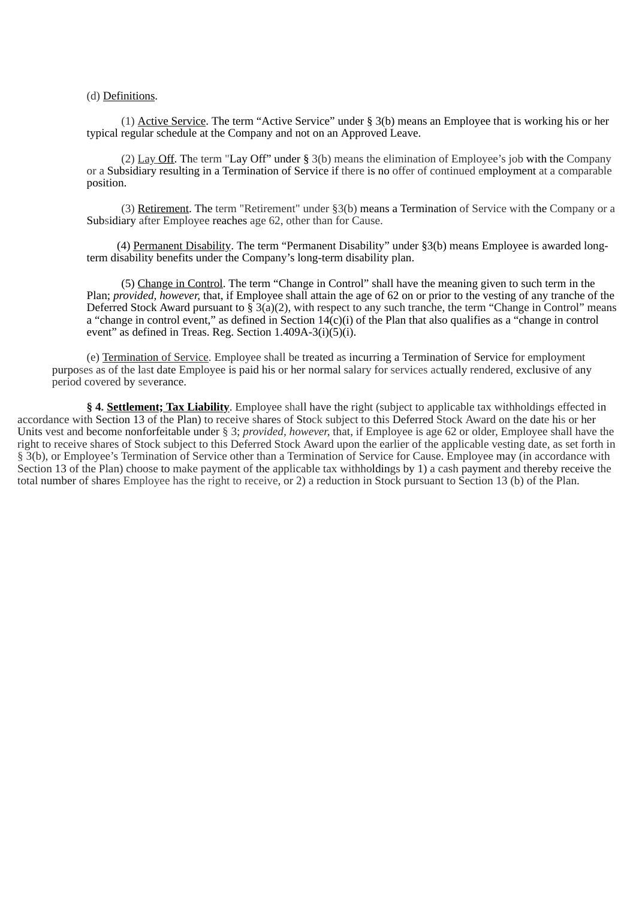(d) Definitions.

(1) Active Service. The term "Active Service" under § 3(b) means an Employee that is working his or her typical regular schedule at the Company and not on an Approved Leave.

(2) Lay Off. The term "Lay Off" under § 3(b) means the elimination of Employee's job with the Company or a Subsidiary resulting in a Termination of Service if there is no offer of continued employment at a comparable position.

(3) Retirement. The term "Retirement" under §3(b) means a Termination of Service with the Company or a Subsidiary after Employee reaches age 62, other than for Cause.

(4) Permanent Disability. The term "Permanent Disability" under §3(b) means Employee is awarded longterm disability benefits under the Company's long-term disability plan.

(5) Change in Control. The term "Change in Control" shall have the meaning given to such term in the Plan; *provided, however,* that, if Employee shall attain the age of 62 on or prior to the vesting of any tranche of the Deferred Stock Award pursuant to  $\S$  3(a)(2), with respect to any such tranche, the term "Change in Control" means a "change in control event," as defined in Section  $14(c)(i)$  of the Plan that also qualifies as a "change in control event" as defined in Treas. Reg. Section 1.409A-3(i)(5)(i).

(e) Termination of Service. Employee shall be treated as incurring a Termination of Service for employment purposes as of the last date Employee is paid his or her normal salary for services actually rendered, exclusive of any period covered by severance.

**§ 4. Settlement; Tax Liability**. Employee shall have the right (subject to applicable tax withholdings effected in accordance with Section 13 of the Plan) to receive shares of Stock subject to this Deferred Stock Award on the date his or her Units vest and become nonforfeitable under § 3; *provided, however,* that, if Employee is age 62 or older, Employee shall have the right to receive shares of Stock subject to this Deferred Stock Award upon the earlier of the applicable vesting date, as set forth in § 3(b), or Employee's Termination of Service other than a Termination of Service for Cause. Employee may (in accordance with Section 13 of the Plan) choose to make payment of the applicable tax withholdings by 1) a cash payment and thereby receive the total number of shares Employee has the right to receive, or 2) a reduction in Stock pursuant to Section 13 (b) of the Plan.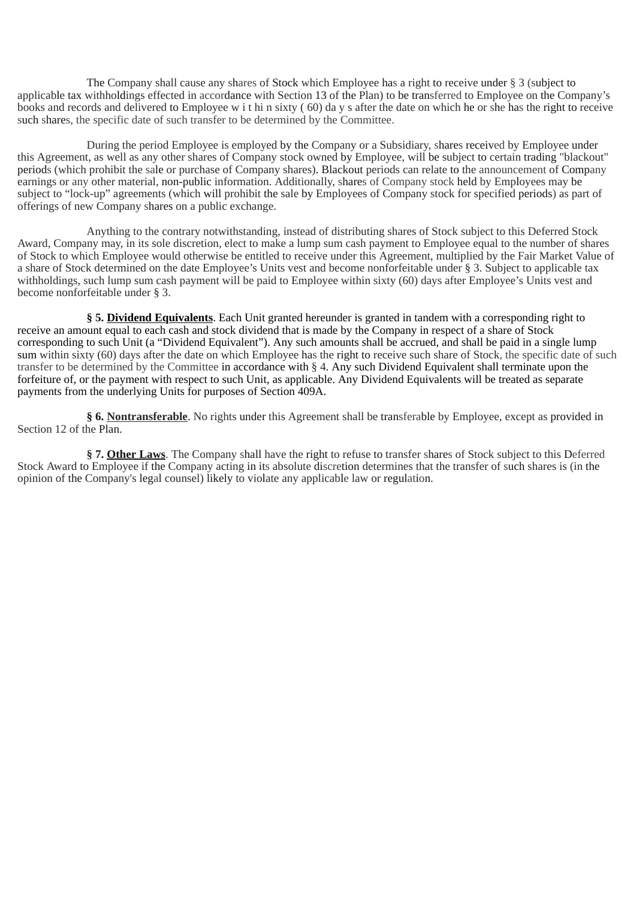The Company shall cause any shares of Stock which Employee has a right to receive under § 3 (subject to applicable tax withholdings effected in accordance with Section 13 of the Plan) to be transferred to Employee on the Company's books and records and delivered to Employee w i t hi n sixty ( 60) da y s after the date on which he or she has the right to receive such shares, the specific date of such transfer to be determined by the Committee.

During the period Employee is employed by the Company or a Subsidiary, shares received by Employee under this Agreement, as well as any other shares of Company stock owned by Employee, will be subject to certain trading "blackout" periods (which prohibit the sale or purchase of Company shares). Blackout periods can relate to the announcement of Company earnings or any other material, non-public information. Additionally, shares of Company stock held by Employees may be subject to "lock-up" agreements (which will prohibit the sale by Employees of Company stock for specified periods) as part of offerings of new Company shares on a public exchange.

Anything to the contrary notwithstanding, instead of distributing shares of Stock subject to this Deferred Stock Award, Company may, in its sole discretion, elect to make a lump sum cash payment to Employee equal to the number of shares of Stock to which Employee would otherwise be entitled to receive under this Agreement, multiplied by the Fair Market Value of a share of Stock determined on the date Employee's Units vest and become nonforfeitable under § 3. Subject to applicable tax withholdings, such lump sum cash payment will be paid to Employee within sixty (60) days after Employee's Units vest and become nonforfeitable under § 3.

**§ 5. Dividend Equivalents**. Each Unit granted hereunder is granted in tandem with a corresponding right to receive an amount equal to each cash and stock dividend that is made by the Company in respect of a share of Stock corresponding to such Unit (a "Dividend Equivalent"). Any such amounts shall be accrued, and shall be paid in a single lump sum within sixty (60) days after the date on which Employee has the right to receive such share of Stock, the specific date of such transfer to be determined by the Committee in accordance with § 4. Any such Dividend Equivalent shall terminate upon the forfeiture of, or the payment with respect to such Unit, as applicable. Any Dividend Equivalents will be treated as separate payments from the underlying Units for purposes of Section 409A.

**§ 6. Nontransferable**. No rights under this Agreement shall be transferable by Employee, except as provided in Section 12 of the Plan.

**§ 7. Other Laws**. The Company shall have the right to refuse to transfer shares of Stock subject to this Deferred Stock Award to Employee if the Company acting in its absolute discretion determines that the transfer of such shares is (in the opinion of the Company's legal counsel) likely to violate any applicable law or regulation.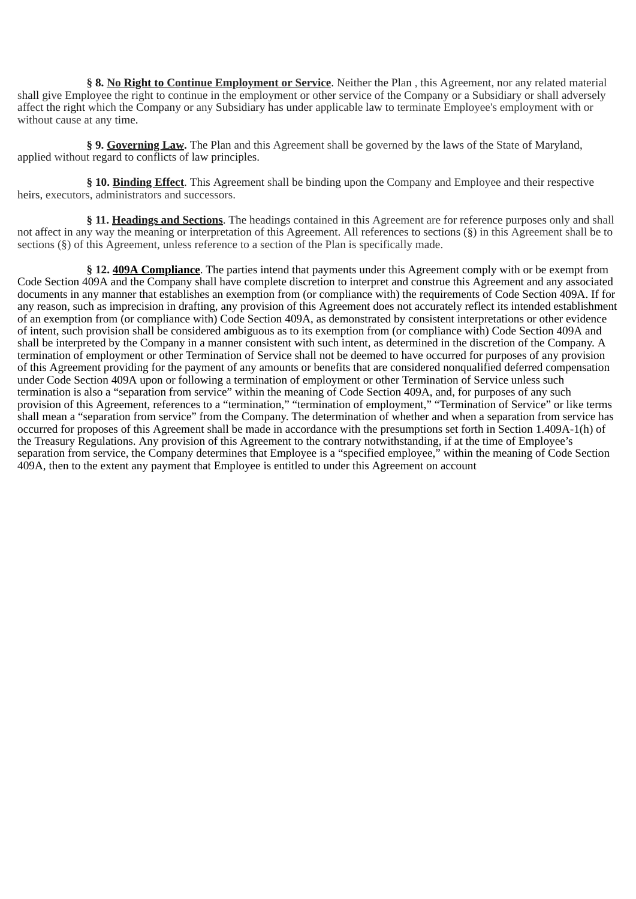**§ 8. No Right to Continue Employment or Service**. Neither the Plan , this Agreement, nor any related material shall give Employee the right to continue in the employment or other service of the Company or a Subsidiary or shall adversely affect the right which the Company or any Subsidiary has under applicable law to terminate Employee's employment with or without cause at any time.

**§ 9. Governing Law.** The Plan and this Agreement shall be governed by the laws of the State of Maryland, applied without regard to conflicts of law principles.

**§ 10. Binding Effect**. This Agreement shall be binding upon the Company and Employee and their respective heirs, executors, administrators and successors.

**§ 11. Headings and Sections**. The headings contained in this Agreement are for reference purposes only and shall not affect in any way the meaning or interpretation of this Agreement. All references to sections (§) in this Agreement shall be to sections (§) of this Agreement, unless reference to a section of the Plan is specifically made.

**§ 12. 409A Compliance**. The parties intend that payments under this Agreement comply with or be exempt from Code Section 409A and the Company shall have complete discretion to interpret and construe this Agreement and any associated documents in any manner that establishes an exemption from (or compliance with) the requirements of Code Section 409A. If for any reason, such as imprecision in drafting, any provision of this Agreement does not accurately reflect its intended establishment of an exemption from (or compliance with) Code Section 409A, as demonstrated by consistent interpretations or other evidence of intent, such provision shall be considered ambiguous as to its exemption from (or compliance with) Code Section 409A and shall be interpreted by the Company in a manner consistent with such intent, as determined in the discretion of the Company. A termination of employment or other Termination of Service shall not be deemed to have occurred for purposes of any provision of this Agreement providing for the payment of any amounts or benefits that are considered nonqualified deferred compensation under Code Section 409A upon or following a termination of employment or other Termination of Service unless such termination is also a "separation from service" within the meaning of Code Section 409A, and, for purposes of any such provision of this Agreement, references to a "termination," "termination of employment," "Termination of Service" or like terms shall mean a "separation from service" from the Company. The determination of whether and when a separation from service has occurred for proposes of this Agreement shall be made in accordance with the presumptions set forth in Section 1.409A-1(h) of the Treasury Regulations. Any provision of this Agreement to the contrary notwithstanding, if at the time of Employee's separation from service, the Company determines that Employee is a "specified employee," within the meaning of Code Section 409A, then to the extent any payment that Employee is entitled to under this Agreement on account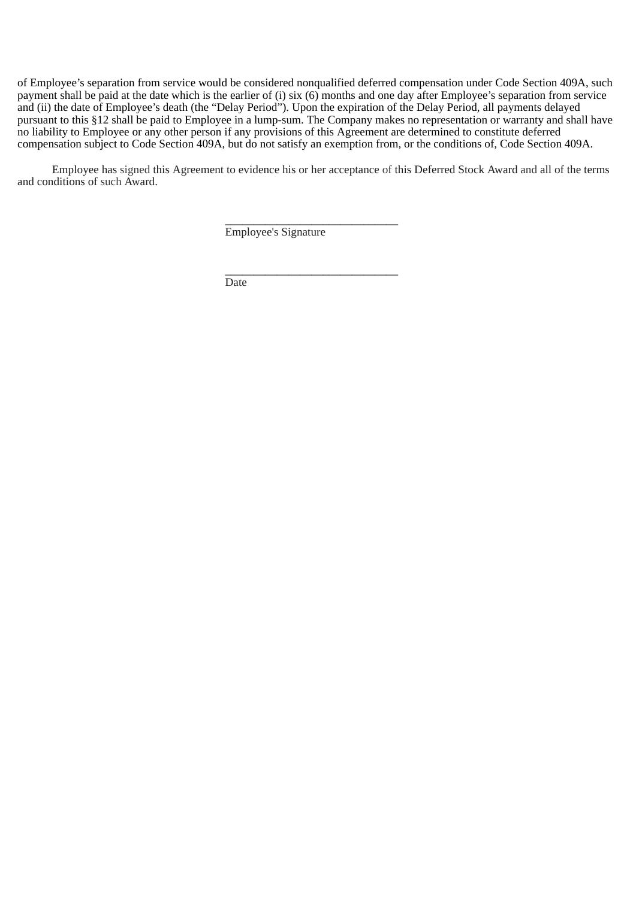of Employee's separation from service would be considered nonqualified deferred compensation under Code Section 409A, such payment shall be paid at the date which is the earlier of (i) six (6) months and one day after Employee's separation from service and (ii) the date of Employee's death (the "Delay Period"). Upon the expiration of the Delay Period, all payments delayed pursuant to this §12 shall be paid to Employee in a lump-sum. The Company makes no representation or warranty and shall have no liability to Employee or any other person if any provisions of this Agreement are determined to constitute deferred compensation subject to Code Section 409A, but do not satisfy an exemption from, or the conditions of, Code Section 409A.

Employee has signed this Agreement to evidence his or her acceptance of this Deferred Stock Award and all of the terms and conditions of such Award.

\_\_\_\_\_\_\_\_\_\_\_\_\_\_\_\_\_\_\_\_\_\_\_\_\_\_\_\_\_\_

\_\_\_\_\_\_\_\_\_\_\_\_\_\_\_\_\_\_\_\_\_\_\_\_\_\_\_\_\_\_

Employee's Signature

Date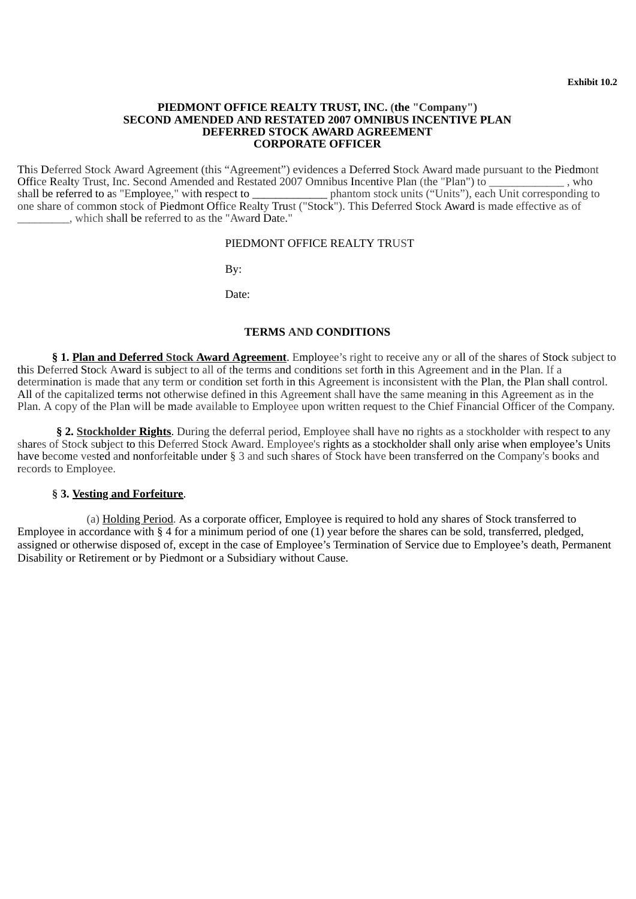## <span id="page-43-0"></span>**PIEDMONT OFFICE REALTY TRUST, INC. (the "Company") SECOND AMENDED AND RESTATED 2007 OMNIBUS INCENTIVE PLAN DEFERRED STOCK AWARD AGREEMENT CORPORATE OFFICER**

This Deferred Stock Award Agreement (this "Agreement") evidences a Deferred Stock Award made pursuant to the Piedmont Office Realty Trust, Inc. Second Amended and Restated 2007 Omnibus Incentive Plan (the "Plan") to \_\_\_\_\_\_\_\_\_\_\_\_\_, who shall be referred to as "Employee," with respect to \_\_\_\_\_\_\_\_\_\_\_\_\_\_\_\_\_\_\_ phantom stock units ("Units"), ea phantom stock units ("Units"), each Unit corresponding to one share of common stock of Piedmont Office Realty Trust ("Stock"). This Deferred Stock Award is made effective as of \_\_\_\_\_\_\_\_\_, which shall be referred to as the "Award Date."

## PIEDMONT OFFICE REALTY TRUST

By:

Date:

## **TERMS AND CONDITIONS**

**§ 1. Plan and Deferred Stock Award Agreement**. Employee's right to receive any or all of the shares of Stock subject to this Deferred Stock Award is subject to all of the terms and conditions set forth in this Agreement and in the Plan. If a determination is made that any term or condition set forth in this Agreement is inconsistent with the Plan, the Plan shall control. All of the capitalized terms not otherwise defined in this Agreement shall have the same meaning in this Agreement as in the Plan. A copy of the Plan will be made available to Employee upon written request to the Chief Financial Officer of the Company.

**§ 2. Stockholder Rights**. During the deferral period, Employee shall have no rights as a stockholder with respect to any shares of Stock subject to this Deferred Stock Award. Employee's rights as a stockholder shall only arise when employee's Units have become vested and nonforfeitable under § 3 and such shares of Stock have been transferred on the Company's books and records to Employee.

## **§ 3. Vesting and Forfeiture**.

(a) Holding Period. As a corporate officer, Employee is required to hold any shares of Stock transferred to Employee in accordance with § 4 for a minimum period of one (1) year before the shares can be sold, transferred, pledged, assigned or otherwise disposed of, except in the case of Employee's Termination of Service due to Employee's death, Permanent Disability or Retirement or by Piedmont or a Subsidiary without Cause.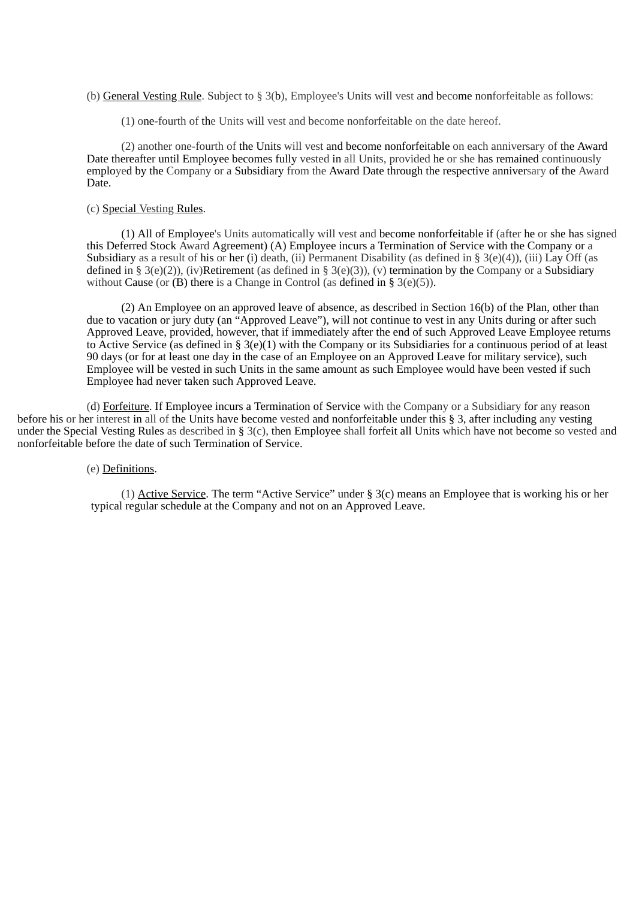(b) General Vesting Rule. Subject to § 3(b), Employee's Units will vest and become nonforfeitable as follows:

(1) one-fourth of the Units will vest and become nonforfeitable on the date hereof.

(2) another one-fourth of the Units will vest and become nonforfeitable on each anniversary of the Award Date thereafter until Employee becomes fully vested in all Units, provided he or she has remained continuously employed by the Company or a Subsidiary from the Award Date through the respective anniversary of the Award Date.

## (c) Special Vesting Rules.

(1) All of Employee's Units automatically will vest and become nonforfeitable if (after he or she has signed this Deferred Stock Award Agreement) (A) Employee incurs a Termination of Service with the Company or a Subsidiary as a result of his or her (i) death, (ii) Permanent Disability (as defined in §  $3(e)(4)$ ), (iii) Lay Off (as defined in § 3(e)(2)), (iv)Retirement (as defined in § 3(e)(3)), (v) termination by the Company or a Subsidiary without Cause (or (B) there is a Change in Control (as defined in § 3(e)(5)).

(2) An Employee on an approved leave of absence, as described in Section 16(b) of the Plan, other than due to vacation or jury duty (an "Approved Leave"), will not continue to vest in any Units during or after such Approved Leave, provided, however, that if immediately after the end of such Approved Leave Employee returns to Active Service (as defined in § 3(e)(1) with the Company or its Subsidiaries for a continuous period of at least 90 days (or for at least one day in the case of an Employee on an Approved Leave for military service), such Employee will be vested in such Units in the same amount as such Employee would have been vested if such Employee had never taken such Approved Leave.

(d) Forfeiture. If Employee incurs a Termination of Service with the Company or a Subsidiary for any reason before his or her interest in all of the Units have become vested and nonforfeitable under this § 3, after including any vesting under the Special Vesting Rules as described in § 3(c), then Employee shall forfeit all Units which have not become so vested and nonforfeitable before the date of such Termination of Service.

## (e) Definitions.

(1) Active Service. The term "Active Service" under § 3(c) means an Employee that is working his or her typical regular schedule at the Company and not on an Approved Leave.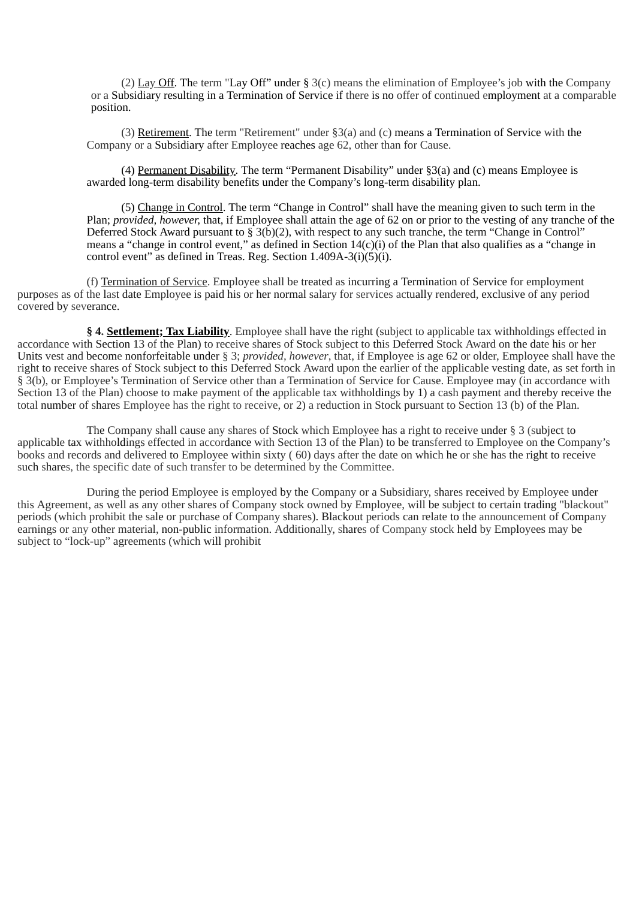(2) Lay Off. The term "Lay Off" under § 3(c) means the elimination of Employee's job with the Company or a Subsidiary resulting in a Termination of Service if there is no offer of continued employment at a comparable position.

(3) Retirement. The term "Retirement" under §3(a) and (c) means a Termination of Service with the Company or a Subsidiary after Employee reaches age 62, other than for Cause.

(4) Permanent Disability. The term "Permanent Disability" under §3(a) and (c) means Employee is awarded long-term disability benefits under the Company's long-term disability plan.

(5) Change in Control. The term "Change in Control" shall have the meaning given to such term in the Plan; *provided, however,* that, if Employee shall attain the age of 62 on or prior to the vesting of any tranche of the Deferred Stock Award pursuant to  $\hat{S}$  3(b)(2), with respect to any such tranche, the term "Change in Control" means a "change in control event," as defined in Section 14(c)(i) of the Plan that also qualifies as a "change in control event" as defined in Treas. Reg. Section  $1.409A-3(i)(5)(i)$ .

(f) Termination of Service. Employee shall be treated as incurring a Termination of Service for employment purposes as of the last date Employee is paid his or her normal salary for services actually rendered, exclusive of any period covered by severance.

**§ 4. Settlement; Tax Liability**. Employee shall have the right (subject to applicable tax withholdings effected in accordance with Section 13 of the Plan) to receive shares of Stock subject to this Deferred Stock Award on the date his or her Units vest and become nonforfeitable under § 3; *provided, however*, that, if Employee is age 62 or older, Employee shall have the right to receive shares of Stock subject to this Deferred Stock Award upon the earlier of the applicable vesting date, as set forth in § 3(b), or Employee's Termination of Service other than a Termination of Service for Cause. Employee may (in accordance with Section 13 of the Plan) choose to make payment of the applicable tax withholdings by 1) a cash payment and thereby receive the total number of shares Employee has the right to receive, or 2) a reduction in Stock pursuant to Section 13 (b) of the Plan.

The Company shall cause any shares of Stock which Employee has a right to receive under § 3 (subject to applicable tax withholdings effected in accordance with Section 13 of the Plan) to be transferred to Employee on the Company's books and records and delivered to Employee within sixty ( 60) days after the date on which he or she has the right to receive such shares, the specific date of such transfer to be determined by the Committee.

During the period Employee is employed by the Company or a Subsidiary, shares received by Employee under this Agreement, as well as any other shares of Company stock owned by Employee, will be subject to certain trading "blackout" periods (which prohibit the sale or purchase of Company shares). Blackout periods can relate to the announcement of Company earnings or any other material, non-public information. Additionally, shares of Company stock held by Employees may be subject to "lock-up" agreements (which will prohibit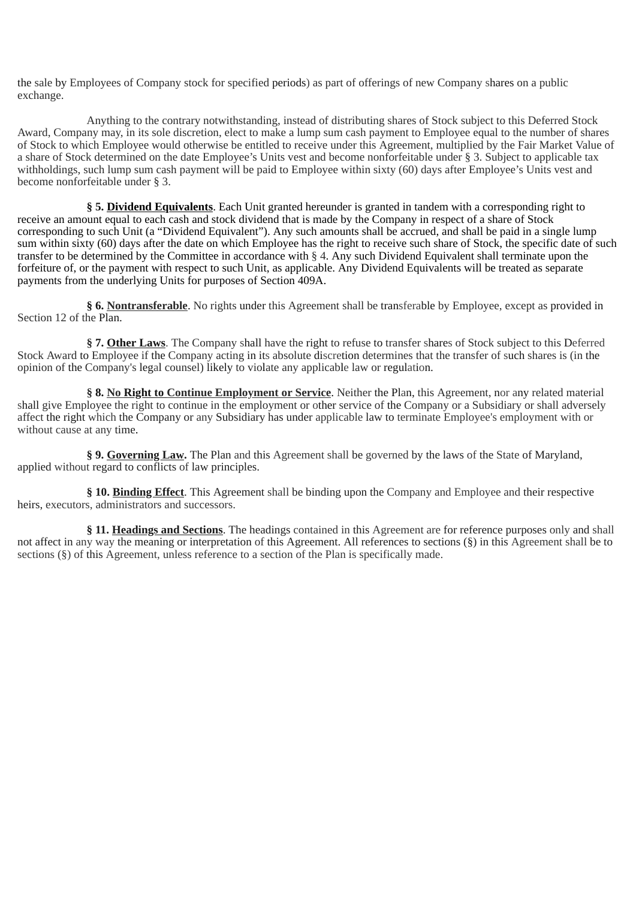the sale by Employees of Company stock for specified periods) as part of offerings of new Company shares on a public exchange.

Anything to the contrary notwithstanding, instead of distributing shares of Stock subject to this Deferred Stock Award, Company may, in its sole discretion, elect to make a lump sum cash payment to Employee equal to the number of shares of Stock to which Employee would otherwise be entitled to receive under this Agreement, multiplied by the Fair Market Value of a share of Stock determined on the date Employee's Units vest and become nonforfeitable under § 3. Subject to applicable tax withholdings, such lump sum cash payment will be paid to Employee within sixty (60) days after Employee's Units vest and become nonforfeitable under § 3.

**§ 5. Dividend Equivalents**. Each Unit granted hereunder is granted in tandem with a corresponding right to receive an amount equal to each cash and stock dividend that is made by the Company in respect of a share of Stock corresponding to such Unit (a "Dividend Equivalent"). Any such amounts shall be accrued, and shall be paid in a single lump sum within sixty (60) days after the date on which Employee has the right to receive such share of Stock, the specific date of such transfer to be determined by the Committee in accordance with § 4. Any such Dividend Equivalent shall terminate upon the forfeiture of, or the payment with respect to such Unit, as applicable. Any Dividend Equivalents will be treated as separate payments from the underlying Units for purposes of Section 409A.

**§ 6. Nontransferable**. No rights under this Agreement shall be transferable by Employee, except as provided in Section 12 of the Plan.

**§ 7. Other Laws**. The Company shall have the right to refuse to transfer shares of Stock subject to this Deferred Stock Award to Employee if the Company acting in its absolute discretion determines that the transfer of such shares is (in the opinion of the Company's legal counsel) likely to violate any applicable law or regulation.

**§ 8. No Right to Continue Employment or Service**. Neither the Plan, this Agreement, nor any related material shall give Employee the right to continue in the employment or other service of the Company or a Subsidiary or shall adversely affect the right which the Company or any Subsidiary has under applicable law to terminate Employee's employment with or without cause at any time.

**§ 9. Governing Law.** The Plan and this Agreement shall be governed by the laws of the State of Maryland, applied without regard to conflicts of law principles.

**§ 10. Binding Effect**. This Agreement shall be binding upon the Company and Employee and their respective heirs, executors, administrators and successors.

**§ 11. Headings and Sections**. The headings contained in this Agreement are for reference purposes only and shall not affect in any way the meaning or interpretation of this Agreement. All references to sections (§) in this Agreement shall be to sections (§) of this Agreement, unless reference to a section of the Plan is specifically made.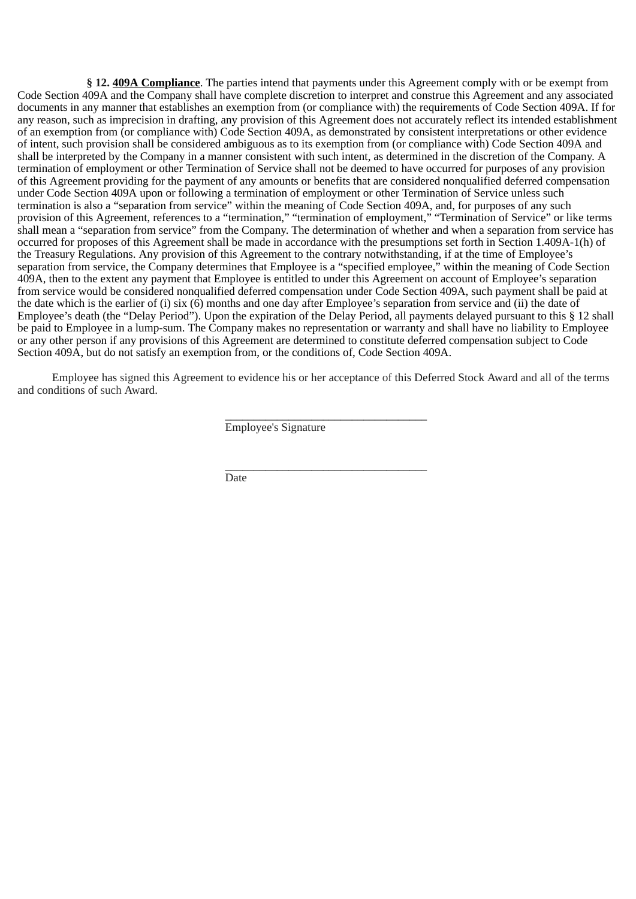**§ 12. 409A Compliance**. The parties intend that payments under this Agreement comply with or be exempt from Code Section 409A and the Company shall have complete discretion to interpret and construe this Agreement and any associated documents in any manner that establishes an exemption from (or compliance with) the requirements of Code Section 409A. If for any reason, such as imprecision in drafting, any provision of this Agreement does not accurately reflect its intended establishment of an exemption from (or compliance with) Code Section 409A, as demonstrated by consistent interpretations or other evidence of intent, such provision shall be considered ambiguous as to its exemption from (or compliance with) Code Section 409A and shall be interpreted by the Company in a manner consistent with such intent, as determined in the discretion of the Company. A termination of employment or other Termination of Service shall not be deemed to have occurred for purposes of any provision of this Agreement providing for the payment of any amounts or benefits that are considered nonqualified deferred compensation under Code Section 409A upon or following a termination of employment or other Termination of Service unless such termination is also a "separation from service" within the meaning of Code Section 409A, and, for purposes of any such provision of this Agreement, references to a "termination," "termination of employment," "Termination of Service" or like terms shall mean a "separation from service" from the Company. The determination of whether and when a separation from service has occurred for proposes of this Agreement shall be made in accordance with the presumptions set forth in Section 1.409A-1(h) of the Treasury Regulations. Any provision of this Agreement to the contrary notwithstanding, if at the time of Employee's separation from service, the Company determines that Employee is a "specified employee," within the meaning of Code Section 409A, then to the extent any payment that Employee is entitled to under this Agreement on account of Employee's separation from service would be considered nonqualified deferred compensation under Code Section 409A, such payment shall be paid at the date which is the earlier of (i) six (6) months and one day after Employee's separation from service and (ii) the date of Employee's death (the "Delay Period"). Upon the expiration of the Delay Period, all payments delayed pursuant to this § 12 shall be paid to Employee in a lump-sum. The Company makes no representation or warranty and shall have no liability to Employee or any other person if any provisions of this Agreement are determined to constitute deferred compensation subject to Code Section 409A, but do not satisfy an exemption from, or the conditions of, Code Section 409A.

Employee has signed this Agreement to evidence his or her acceptance of this Deferred Stock Award and all of the terms and conditions of such Award.

 $\frac{1}{2}$  ,  $\frac{1}{2}$  ,  $\frac{1}{2}$  ,  $\frac{1}{2}$  ,  $\frac{1}{2}$  ,  $\frac{1}{2}$  ,  $\frac{1}{2}$  ,  $\frac{1}{2}$  ,  $\frac{1}{2}$  ,  $\frac{1}{2}$  ,  $\frac{1}{2}$  ,  $\frac{1}{2}$  ,  $\frac{1}{2}$  ,  $\frac{1}{2}$  ,  $\frac{1}{2}$  ,  $\frac{1}{2}$  ,  $\frac{1}{2}$  ,  $\frac{1}{2}$  ,  $\frac{1$ 

 $\frac{1}{2}$  ,  $\frac{1}{2}$  ,  $\frac{1}{2}$  ,  $\frac{1}{2}$  ,  $\frac{1}{2}$  ,  $\frac{1}{2}$  ,  $\frac{1}{2}$  ,  $\frac{1}{2}$  ,  $\frac{1}{2}$  ,  $\frac{1}{2}$  ,  $\frac{1}{2}$  ,  $\frac{1}{2}$  ,  $\frac{1}{2}$  ,  $\frac{1}{2}$  ,  $\frac{1}{2}$  ,  $\frac{1}{2}$  ,  $\frac{1}{2}$  ,  $\frac{1}{2}$  ,  $\frac{1$ 

Employee's Signature

Date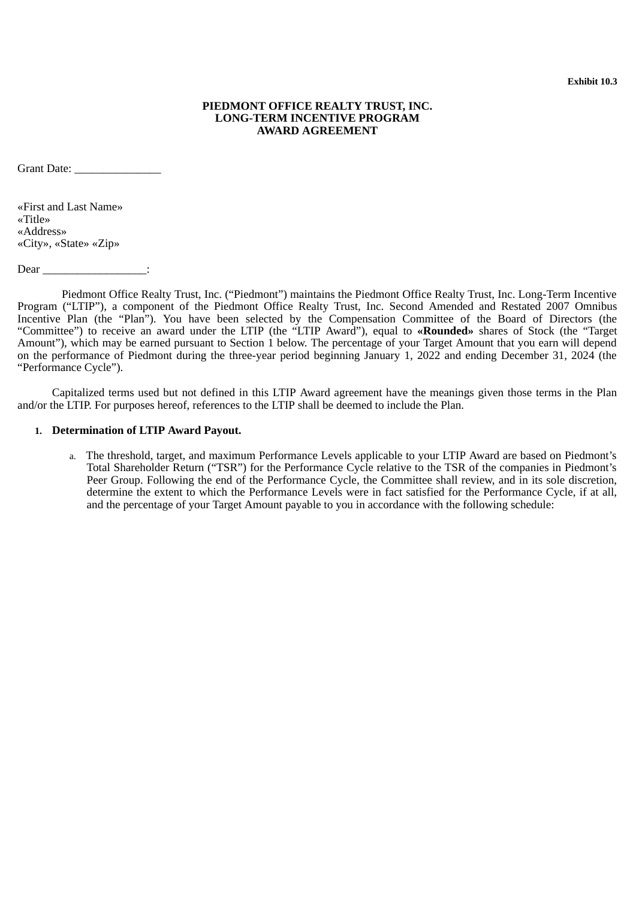## **PIEDMONT OFFICE REALTY TRUST, INC. LONG-TERM INCENTIVE PROGRAM AWARD AGREEMENT**

<span id="page-48-0"></span>Grant Date: \_\_\_\_\_\_\_\_\_\_\_\_\_\_\_

«First and Last Name» «Title» «Address» «City», «State» «Zip»

Dear \_\_\_\_\_\_\_\_\_\_\_\_\_\_\_\_\_\_\_\_\_:

Piedmont Office Realty Trust, Inc. ("Piedmont") maintains the Piedmont Office Realty Trust, Inc. Long-Term Incentive Program ("LTIP"), a component of the Piedmont Office Realty Trust, Inc. Second Amended and Restated 2007 Omnibus Incentive Plan (the "Plan"). You have been selected by the Compensation Committee of the Board of Directors (the "Committee") to receive an award under the LTIP (the "LTIP Award"), equal to **«Rounded»** shares of Stock (the "Target Amount"), which may be earned pursuant to Section 1 below. The percentage of your Target Amount that you earn will depend on the performance of Piedmont during the three-year period beginning January 1, 2022 and ending December 31, 2024 (the "Performance Cycle").

Capitalized terms used but not defined in this LTIP Award agreement have the meanings given those terms in the Plan and/or the LTIP. For purposes hereof, references to the LTIP shall be deemed to include the Plan.

## **1. Determination of LTIP Award Payout.**

a. The threshold, target, and maximum Performance Levels applicable to your LTIP Award are based on Piedmont's Total Shareholder Return ("TSR") for the Performance Cycle relative to the TSR of the companies in Piedmont's Peer Group. Following the end of the Performance Cycle, the Committee shall review, and in its sole discretion, determine the extent to which the Performance Levels were in fact satisfied for the Performance Cycle, if at all, and the percentage of your Target Amount payable to you in accordance with the following schedule: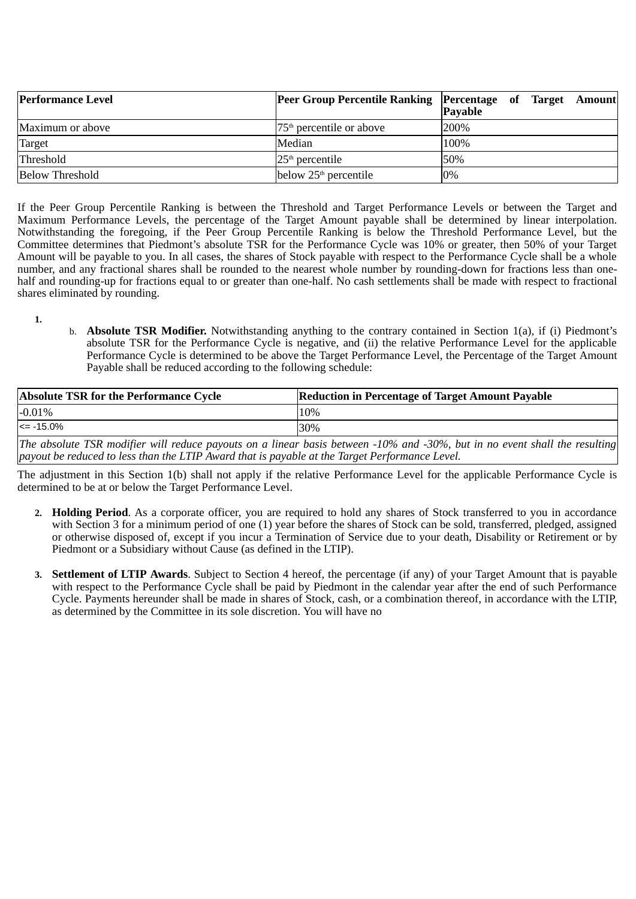| <b>Performance Level</b> | <b>Peer Group Percentile Ranking Percentage of Target Amount</b> | <b>Payable</b> |  |  |
|--------------------------|------------------------------------------------------------------|----------------|--|--|
| Maximum or above         | $75th$ percentile or above                                       | 200%           |  |  |
| <b>Target</b>            | Median                                                           | 100%           |  |  |
| Threshold                | $25th$ percentile                                                | 50%            |  |  |
| <b>Below Threshold</b>   | below $25th$ percentile                                          | $0\%$          |  |  |

If the Peer Group Percentile Ranking is between the Threshold and Target Performance Levels or between the Target and Maximum Performance Levels, the percentage of the Target Amount payable shall be determined by linear interpolation. Notwithstanding the foregoing, if the Peer Group Percentile Ranking is below the Threshold Performance Level, but the Committee determines that Piedmont's absolute TSR for the Performance Cycle was 10% or greater, then 50% of your Target Amount will be payable to you. In all cases, the shares of Stock payable with respect to the Performance Cycle shall be a whole number, and any fractional shares shall be rounded to the nearest whole number by rounding-down for fractions less than onehalf and rounding-up for fractions equal to or greater than one-half. No cash settlements shall be made with respect to fractional shares eliminated by rounding.

- **1.**
- b. **Absolute TSR Modifier.** Notwithstanding anything to the contrary contained in Section 1(a), if (i) Piedmont's absolute TSR for the Performance Cycle is negative, and (ii) the relative Performance Level for the applicable Performance Cycle is determined to be above the Target Performance Level, the Percentage of the Target Amount Payable shall be reduced according to the following schedule:

| Absolute TSR for the Performance Cycle | <b>Reduction in Percentage of Target Amount Payable</b>                                                                   |
|----------------------------------------|---------------------------------------------------------------------------------------------------------------------------|
| $-0.01%$                               | 10%                                                                                                                       |
| $\le$ = -15.0%                         | 30%                                                                                                                       |
|                                        | The ghealute TCD modifier will reduce payaute an a linear basis between 100/ and 200/ but in no quant shall the resulting |

*The absolute TSR modifier will reduce payouts on a linear basis between -10% and -30%, but in no event shall the resulting payout be reduced to less than the LTIP Award that is payable at the Target Performance Level.*

The adjustment in this Section 1(b) shall not apply if the relative Performance Level for the applicable Performance Cycle is determined to be at or below the Target Performance Level.

- **2. Holding Period**. As a corporate officer, you are required to hold any shares of Stock transferred to you in accordance with Section 3 for a minimum period of one (1) year before the shares of Stock can be sold, transferred, pledged, assigned or otherwise disposed of, except if you incur a Termination of Service due to your death, Disability or Retirement or by Piedmont or a Subsidiary without Cause (as defined in the LTIP).
- **3. Settlement of LTIP Awards**. Subject to Section 4 hereof, the percentage (if any) of your Target Amount that is payable with respect to the Performance Cycle shall be paid by Piedmont in the calendar year after the end of such Performance Cycle. Payments hereunder shall be made in shares of Stock, cash, or a combination thereof, in accordance with the LTIP, as determined by the Committee in its sole discretion. You will have no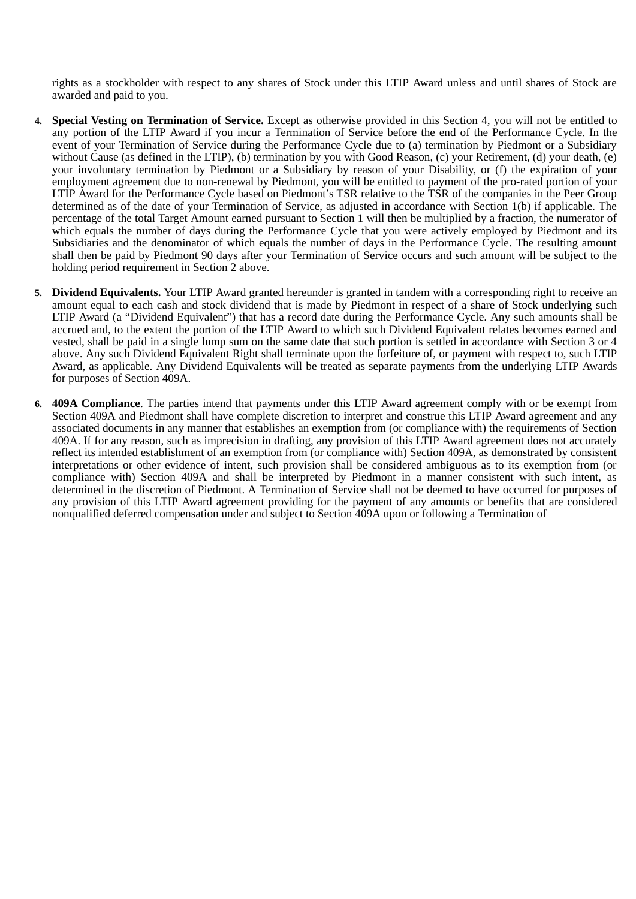rights as a stockholder with respect to any shares of Stock under this LTIP Award unless and until shares of Stock are awarded and paid to you.

- **4. Special Vesting on Termination of Service.** Except as otherwise provided in this Section 4, you will not be entitled to any portion of the LTIP Award if you incur a Termination of Service before the end of the Performance Cycle. In the event of your Termination of Service during the Performance Cycle due to (a) termination by Piedmont or a Subsidiary without Cause (as defined in the LTIP), (b) termination by you with Good Reason, (c) your Retirement, (d) your death, (e) your involuntary termination by Piedmont or a Subsidiary by reason of your Disability, or (f) the expiration of your employment agreement due to non-renewal by Piedmont, you will be entitled to payment of the pro-rated portion of your LTIP Award for the Performance Cycle based on Piedmont's TSR relative to the TSR of the companies in the Peer Group determined as of the date of your Termination of Service, as adjusted in accordance with Section 1(b) if applicable. The percentage of the total Target Amount earned pursuant to Section 1 will then be multiplied by a fraction, the numerator of which equals the number of days during the Performance Cycle that you were actively employed by Piedmont and its Subsidiaries and the denominator of which equals the number of days in the Performance Cycle. The resulting amount shall then be paid by Piedmont 90 days after your Termination of Service occurs and such amount will be subject to the holding period requirement in Section 2 above.
- **5. Dividend Equivalents.** Your LTIP Award granted hereunder is granted in tandem with a corresponding right to receive an amount equal to each cash and stock dividend that is made by Piedmont in respect of a share of Stock underlying such LTIP Award (a "Dividend Equivalent") that has a record date during the Performance Cycle. Any such amounts shall be accrued and, to the extent the portion of the LTIP Award to which such Dividend Equivalent relates becomes earned and vested, shall be paid in a single lump sum on the same date that such portion is settled in accordance with Section 3 or 4 above. Any such Dividend Equivalent Right shall terminate upon the forfeiture of, or payment with respect to, such LTIP Award, as applicable. Any Dividend Equivalents will be treated as separate payments from the underlying LTIP Awards for purposes of Section 409A.
- **6. 409A Compliance**. The parties intend that payments under this LTIP Award agreement comply with or be exempt from Section 409A and Piedmont shall have complete discretion to interpret and construe this LTIP Award agreement and any associated documents in any manner that establishes an exemption from (or compliance with) the requirements of Section 409A. If for any reason, such as imprecision in drafting, any provision of this LTIP Award agreement does not accurately reflect its intended establishment of an exemption from (or compliance with) Section 409A, as demonstrated by consistent interpretations or other evidence of intent, such provision shall be considered ambiguous as to its exemption from (or compliance with) Section 409A and shall be interpreted by Piedmont in a manner consistent with such intent, as determined in the discretion of Piedmont. A Termination of Service shall not be deemed to have occurred for purposes of any provision of this LTIP Award agreement providing for the payment of any amounts or benefits that are considered nonqualified deferred compensation under and subject to Section 409A upon or following a Termination of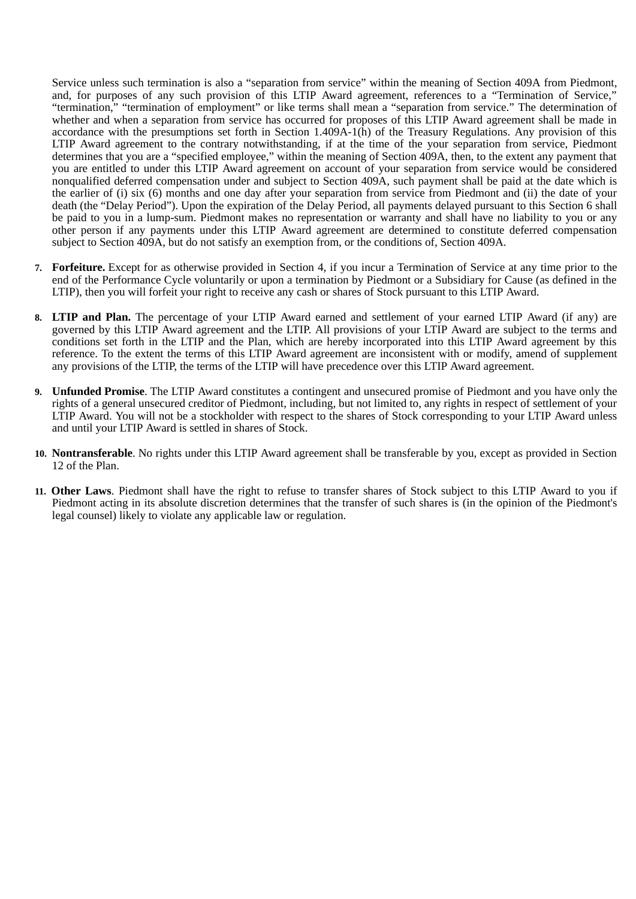Service unless such termination is also a "separation from service" within the meaning of Section 409A from Piedmont, and, for purposes of any such provision of this LTIP Award agreement, references to a "Termination of Service," "termination," "termination of employment" or like terms shall mean a "separation from service." The determination of whether and when a separation from service has occurred for proposes of this LTIP Award agreement shall be made in accordance with the presumptions set forth in Section 1.409A-1(h) of the Treasury Regulations. Any provision of this LTIP Award agreement to the contrary notwithstanding, if at the time of the your separation from service, Piedmont determines that you are a "specified employee," within the meaning of Section 409A, then, to the extent any payment that you are entitled to under this LTIP Award agreement on account of your separation from service would be considered nonqualified deferred compensation under and subject to Section 409A, such payment shall be paid at the date which is the earlier of (i) six (6) months and one day after your separation from service from Piedmont and (ii) the date of your death (the "Delay Period"). Upon the expiration of the Delay Period, all payments delayed pursuant to this Section 6 shall be paid to you in a lump-sum. Piedmont makes no representation or warranty and shall have no liability to you or any other person if any payments under this LTIP Award agreement are determined to constitute deferred compensation subject to Section 409A, but do not satisfy an exemption from, or the conditions of, Section 409A.

- **7. Forfeiture.** Except for as otherwise provided in Section 4, if you incur a Termination of Service at any time prior to the end of the Performance Cycle voluntarily or upon a termination by Piedmont or a Subsidiary for Cause (as defined in the LTIP), then you will forfeit your right to receive any cash or shares of Stock pursuant to this LTIP Award.
- **8. LTIP and Plan.** The percentage of your LTIP Award earned and settlement of your earned LTIP Award (if any) are governed by this LTIP Award agreement and the LTIP. All provisions of your LTIP Award are subject to the terms and conditions set forth in the LTIP and the Plan, which are hereby incorporated into this LTIP Award agreement by this reference. To the extent the terms of this LTIP Award agreement are inconsistent with or modify, amend of supplement any provisions of the LTIP, the terms of the LTIP will have precedence over this LTIP Award agreement.
- **9. Unfunded Promise**. The LTIP Award constitutes a contingent and unsecured promise of Piedmont and you have only the rights of a general unsecured creditor of Piedmont, including, but not limited to, any rights in respect of settlement of your LTIP Award. You will not be a stockholder with respect to the shares of Stock corresponding to your LTIP Award unless and until your LTIP Award is settled in shares of Stock.
- **10. Nontransferable**. No rights under this LTIP Award agreement shall be transferable by you, except as provided in Section 12 of the Plan.
- **11. Other Laws**. Piedmont shall have the right to refuse to transfer shares of Stock subject to this LTIP Award to you if Piedmont acting in its absolute discretion determines that the transfer of such shares is (in the opinion of the Piedmont's legal counsel) likely to violate any applicable law or regulation.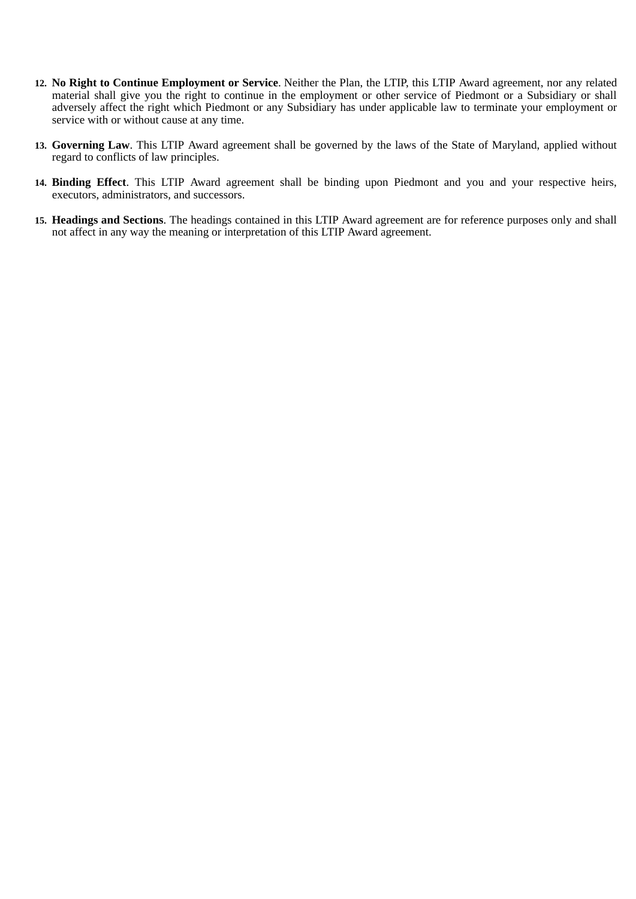- **12. No Right to Continue Employment or Service**. Neither the Plan, the LTIP, this LTIP Award agreement, nor any related material shall give you the right to continue in the employment or other service of Piedmont or a Subsidiary or shall adversely affect the right which Piedmont or any Subsidiary has under applicable law to terminate your employment or service with or without cause at any time.
- **13. Governing Law**. This LTIP Award agreement shall be governed by the laws of the State of Maryland, applied without regard to conflicts of law principles.
- **14. Binding Effect**. This LTIP Award agreement shall be binding upon Piedmont and you and your respective heirs, executors, administrators, and successors.
- **15. Headings and Sections**. The headings contained in this LTIP Award agreement are for reference purposes only and shall not affect in any way the meaning or interpretation of this LTIP Award agreement.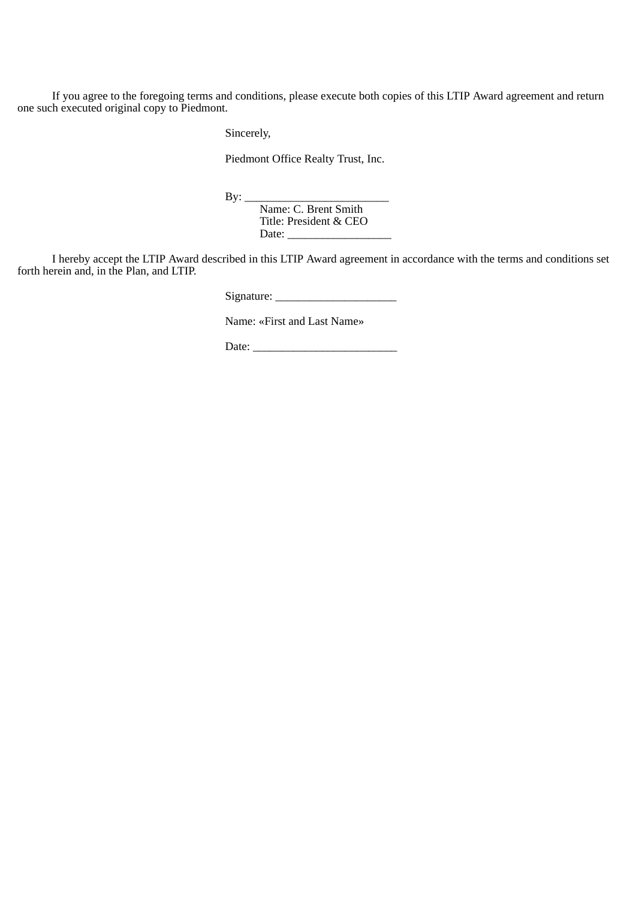If you agree to the foregoing terms and conditions, please execute both copies of this LTIP Award agreement and return one such executed original copy to Piedmont.

Sincerely,

Piedmont Office Realty Trust, Inc.

By: \_\_\_\_\_\_\_\_\_\_\_\_\_\_\_\_\_\_\_\_\_\_\_\_\_

Name: C. Brent Smith Title: President & CEO Date:

I hereby accept the LTIP Award described in this LTIP Award agreement in accordance with the terms and conditions set forth herein and, in the Plan, and LTIP.

Signature: \_\_\_\_\_\_\_\_\_\_\_\_\_\_\_\_\_\_\_\_\_

Name: «First and Last Name»

Date: \_\_\_\_\_\_\_\_\_\_\_\_\_\_\_\_\_\_\_\_\_\_\_\_\_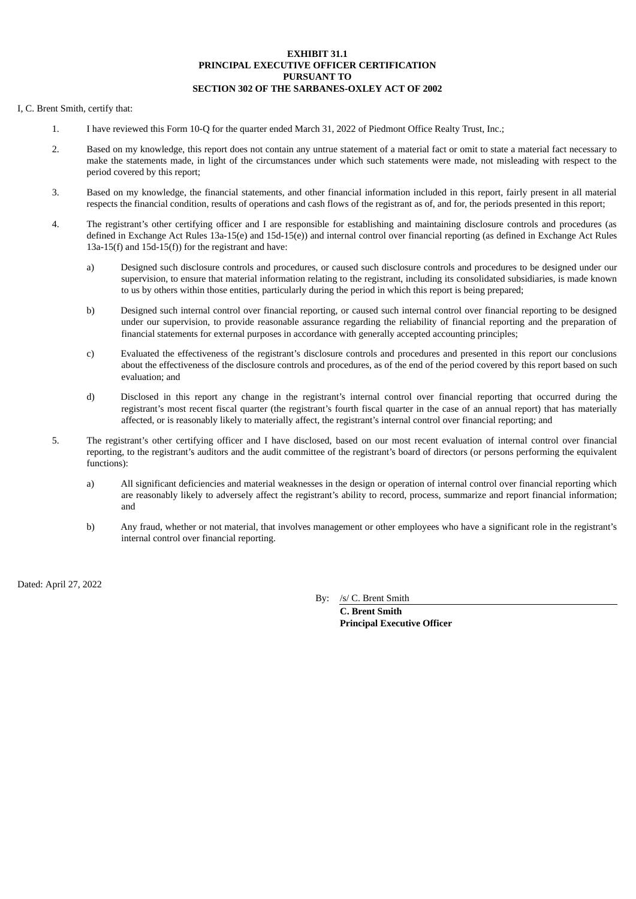## **EXHIBIT 31.1 PRINCIPAL EXECUTIVE OFFICER CERTIFICATION PURSUANT TO SECTION 302 OF THE SARBANES-OXLEY ACT OF 2002**

#### <span id="page-54-0"></span>I, C. Brent Smith, certify that:

- 1. I have reviewed this Form 10-Q for the quarter ended March 31, 2022 of Piedmont Office Realty Trust, Inc.;
- 2. Based on my knowledge, this report does not contain any untrue statement of a material fact or omit to state a material fact necessary to make the statements made, in light of the circumstances under which such statements were made, not misleading with respect to the period covered by this report;
- 3. Based on my knowledge, the financial statements, and other financial information included in this report, fairly present in all material respects the financial condition, results of operations and cash flows of the registrant as of, and for, the periods presented in this report;
- 4. The registrant's other certifying officer and I are responsible for establishing and maintaining disclosure controls and procedures (as defined in Exchange Act Rules 13a-15(e) and 15d-15(e)) and internal control over financial reporting (as defined in Exchange Act Rules 13a-15(f) and 15d-15(f)) for the registrant and have:
	- a) Designed such disclosure controls and procedures, or caused such disclosure controls and procedures to be designed under our supervision, to ensure that material information relating to the registrant, including its consolidated subsidiaries, is made known to us by others within those entities, particularly during the period in which this report is being prepared;
	- b) Designed such internal control over financial reporting, or caused such internal control over financial reporting to be designed under our supervision, to provide reasonable assurance regarding the reliability of financial reporting and the preparation of financial statements for external purposes in accordance with generally accepted accounting principles;
	- c) Evaluated the effectiveness of the registrant's disclosure controls and procedures and presented in this report our conclusions about the effectiveness of the disclosure controls and procedures, as of the end of the period covered by this report based on such evaluation; and
	- d) Disclosed in this report any change in the registrant's internal control over financial reporting that occurred during the registrant's most recent fiscal quarter (the registrant's fourth fiscal quarter in the case of an annual report) that has materially affected, or is reasonably likely to materially affect, the registrant's internal control over financial reporting; and
- 5. The registrant's other certifying officer and I have disclosed, based on our most recent evaluation of internal control over financial reporting, to the registrant's auditors and the audit committee of the registrant's board of directors (or persons performing the equivalent functions):
	- a) All significant deficiencies and material weaknesses in the design or operation of internal control over financial reporting which are reasonably likely to adversely affect the registrant's ability to record, process, summarize and report financial information; and
	- b) Any fraud, whether or not material, that involves management or other employees who have a significant role in the registrant's internal control over financial reporting.

Dated: April 27, 2022

By: /s/ C. Brent Smith

**C. Brent Smith Principal Executive Officer**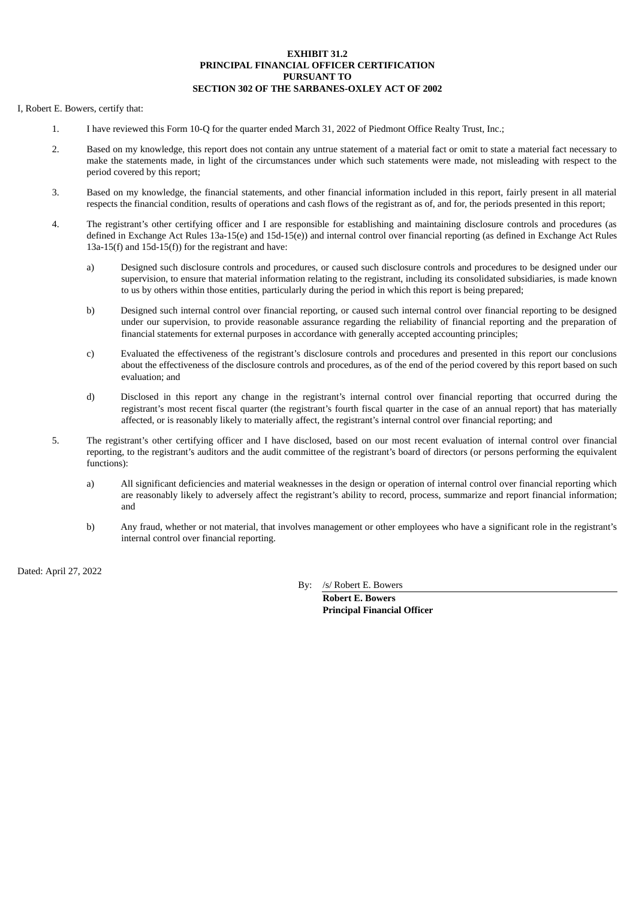## **EXHIBIT 31.2 PRINCIPAL FINANCIAL OFFICER CERTIFICATION PURSUANT TO SECTION 302 OF THE SARBANES-OXLEY ACT OF 2002**

#### <span id="page-55-0"></span>I, Robert E. Bowers, certify that:

- 1. I have reviewed this Form 10-Q for the quarter ended March 31, 2022 of Piedmont Office Realty Trust, Inc.;
- 2. Based on my knowledge, this report does not contain any untrue statement of a material fact or omit to state a material fact necessary to make the statements made, in light of the circumstances under which such statements were made, not misleading with respect to the period covered by this report;
- 3. Based on my knowledge, the financial statements, and other financial information included in this report, fairly present in all material respects the financial condition, results of operations and cash flows of the registrant as of, and for, the periods presented in this report;
- 4. The registrant's other certifying officer and I are responsible for establishing and maintaining disclosure controls and procedures (as defined in Exchange Act Rules 13a-15(e) and 15d-15(e)) and internal control over financial reporting (as defined in Exchange Act Rules 13a-15(f) and 15d-15(f)) for the registrant and have:
	- a) Designed such disclosure controls and procedures, or caused such disclosure controls and procedures to be designed under our supervision, to ensure that material information relating to the registrant, including its consolidated subsidiaries, is made known to us by others within those entities, particularly during the period in which this report is being prepared;
	- b) Designed such internal control over financial reporting, or caused such internal control over financial reporting to be designed under our supervision, to provide reasonable assurance regarding the reliability of financial reporting and the preparation of financial statements for external purposes in accordance with generally accepted accounting principles;
	- c) Evaluated the effectiveness of the registrant's disclosure controls and procedures and presented in this report our conclusions about the effectiveness of the disclosure controls and procedures, as of the end of the period covered by this report based on such evaluation; and
	- d) Disclosed in this report any change in the registrant's internal control over financial reporting that occurred during the registrant's most recent fiscal quarter (the registrant's fourth fiscal quarter in the case of an annual report) that has materially affected, or is reasonably likely to materially affect, the registrant's internal control over financial reporting; and
- 5. The registrant's other certifying officer and I have disclosed, based on our most recent evaluation of internal control over financial reporting, to the registrant's auditors and the audit committee of the registrant's board of directors (or persons performing the equivalent functions):
	- a) All significant deficiencies and material weaknesses in the design or operation of internal control over financial reporting which are reasonably likely to adversely affect the registrant's ability to record, process, summarize and report financial information; and
	- b) Any fraud, whether or not material, that involves management or other employees who have a significant role in the registrant's internal control over financial reporting.

Dated: April 27, 2022

By: /s/ Robert E. Bowers

**Robert E. Bowers Principal Financial Officer**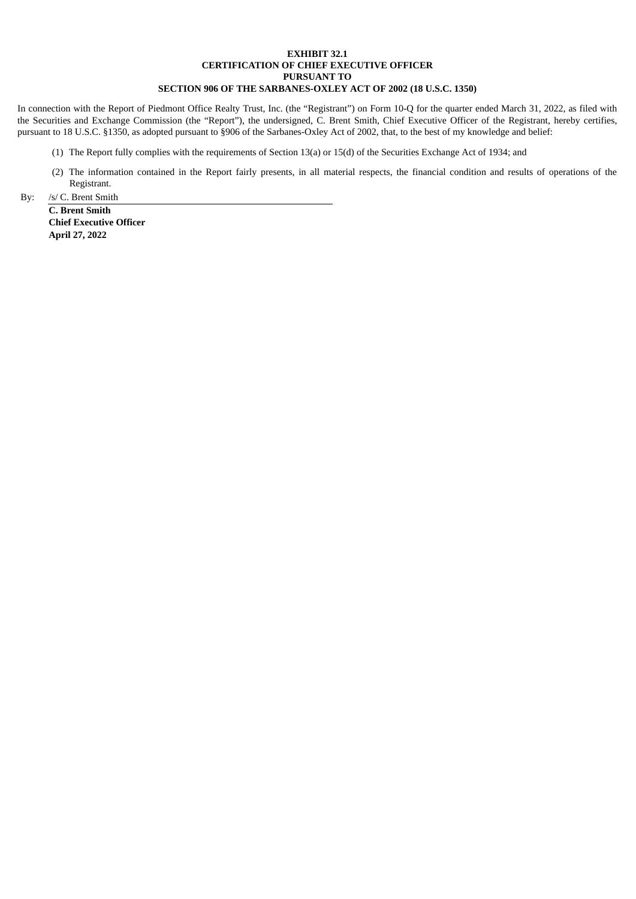## **EXHIBIT 32.1 CERTIFICATION OF CHIEF EXECUTIVE OFFICER PURSUANT TO SECTION 906 OF THE SARBANES-OXLEY ACT OF 2002 (18 U.S.C. 1350)**

<span id="page-56-0"></span>In connection with the Report of Piedmont Office Realty Trust, Inc. (the "Registrant") on Form 10-Q for the quarter ended March 31, 2022, as filed with the Securities and Exchange Commission (the "Report"), the undersigned, C. Brent Smith, Chief Executive Officer of the Registrant, hereby certifies, pursuant to 18 U.S.C. §1350, as adopted pursuant to §906 of the Sarbanes-Oxley Act of 2002, that, to the best of my knowledge and belief:

- (1) The Report fully complies with the requirements of Section 13(a) or 15(d) of the Securities Exchange Act of 1934; and
- (2) The information contained in the Report fairly presents, in all material respects, the financial condition and results of operations of the Registrant.

By: /s/ C. Brent Smith

**C. Brent Smith Chief Executive Officer April 27, 2022**